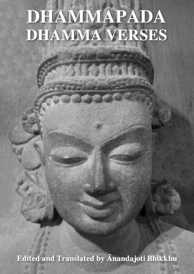# DHAMMAPADA DHAMMA VERSES

Edited and Translated by Anandajoti Bhikkhu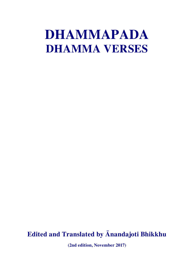## **DHAMMAPADA DHAMMA VERSES**

## **Edited and Translated by Ānandajoti Bhikkhu**

**(2nd edition, November 2017)**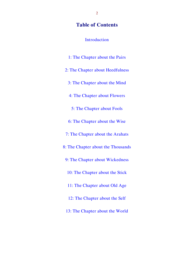#### **Table of Contents**

[Introduction](#page-4-0)

[1: The Chapter about the Pairs](#page-13-0) [2: The Chapter about Heedfulness](#page-22-0) [3: The Chapter about the Mind](#page-25-0) [4: The Chapter about Flowers](#page-29-0) [5: The Chapter about Fools](#page-34-0) [6: The Chapter about the Wise](#page-40-0) [7: The Chapter about the Arahats](#page-47-0) [8: The Chapter about the Thousands](#page-50-0) [9: The Chapter about Wickedness](#page-53-0) [10: The Chapter about the Stick](#page-58-0) [11: The Chapter about Old Age](#page-63-0) [12: The Chapter about the Self](#page-66-0) [13: The Chapter about the World](#page-74-0)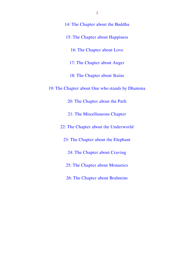| 14: The Chapter about the Buddha               |
|------------------------------------------------|
| 15: The Chapter about Happiness                |
| 16: The Chapter about Love                     |
| 17: The Chapter about Anger                    |
| 18: The Chapter about Stains                   |
| 19: The Chapter about One who stands by Dhamma |
| 20: The Chapter about the Path                 |
| 21: The Miscellaneous Chapter                  |
| 22: The Chapter about the Underworld           |
| 23: The Chapter about the Elephant             |
| 24: The Chapter about Craving                  |
| 25: The Chapter about Monastics                |
| 26: The Chapter about Brahmins                 |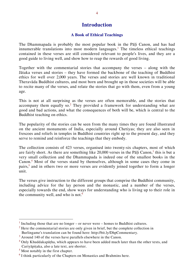#### <span id="page-4-0"></span>**Introduction**

#### **A Book of Ethical Teachings**

The Dhammapada is probably the most popular book in the Pāḷi Canon, and has had innumerable translations into most modern languages.<sup>1</sup> The timeless ethical teachings contained in these verses are still considered relevant to people's lives, and they are a good guide to living well, and show how to reap the rewards of good living.

Together with the commentarial stories that accompany the verses – along with the Jātaka verses and stories – they have formed the backbone of the teaching of Buddhist ethics for well over 2,000 years. The verses and stories are well known in traditional Theravāda Buddhist cultures, and most born and brought up in those societies will be able to recite many of the verses, and relate the stories that go with them, even from a young age.

This is not at all surprising as the verses are often memorable, and the stories that accompany them equally so.<sup>2</sup> They provided a framework for understanding what are good and bad actions, and what the consequences of both will be, which is central to the Buddhist teaching on ethics.

The popularity of the stories can be seen from the many times they are found illustrated on the ancient monuments of India, especially around Chetiyas; they are also seen in frescoes and reliefs in temples in Buddhist countries right up to the present day, and they serve to remind and reinforce the teachings that they embody.

The collection consists of 423 verses, organised into twenty-six chapters, most of which are fairly short. As there are something like  $20,000$  verses in the Pali Canon,<sup>3</sup> this is but a very small collection and the Dhammapada is indeed one of the smallest books in the Canon.<sup>4</sup> Most of the verses stand by themselves, although in some cases they come in pairs,<sup>5</sup> and in others two or more verses are evidently joined together to form a longer unit.

The verses give instruction to the different groups that comprise the Buddhist community, including advice for the lay person and the monastic, and a number of the verses, especially towards the end, show ways for understanding who is living up to their role in the community well, and who is not. $6$ 

<sup>1</sup> Including those that are no longer – or never were – homes to Buddhist cultures.

 $2<sup>2</sup>$  Here the commentarial stories are only given in brief, but the complete collection in Burlingame's translation can be found here: http://bit.ly/DhpCommentary.

<sup>&</sup>lt;sup>3</sup> Around 140 of the verses have parallels elsewhere in the Canon.

<sup>&</sup>lt;sup>4</sup> Only Khuddakapātha, which appears to have been added much later than the other texts, and Cariyāpiṭaka, also a late text, are shorter.

 $<sup>5</sup>$  Most notably in the first chapter.</sup>

 $6$  I think particularly of the Chapters on Monastics and Brahmins here.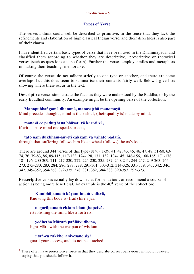#### Introduction  $-5$

#### **Types of Verse**

The verses I think could well be described as primitive, in the sense that they lack the refinements and elaboration of high classical Indian verse, and their directness is also part of their charm.

I have identified certain basic types of verse that have been used in the Dhammapada, and classified them according to whether they are descriptive,<sup>1</sup> prescriptive or rhetorical verses (such as questions and so forth). Further the verses employ similes and metaphors in making their teachings memorable.

Of course the verses do not adhere strictly to one type or another, and there are some overlaps, but this does seem to summarise their contents fairly well. Below I give lists showing where these occur in the text.

**Descriptive** verses simple state the facts as they were understood by the Buddha, or by the early Buddhist community. An example might be the opening verse of the collection:

#### **Manopubbaṅgamā dhammā, manoseṭṭhā manomayā,**

Mind precedes thoughts, mind is their chief, (their quality is) made by mind,

#### **manasā ce paduṭṭhena bhāsati vā karoti vā,**

if with a base mind one speaks or acts,

#### **tato naṁ dukkham-anveti cakkaṁ va vahato padaṁ.**

through that, suffering follows him like a wheel (follows) the ox's foot.

There are around 344 verses of this type (81%): 1-39, 41, 42, 43, 45, 46, 47, 48, 51-60, 63- 74, 76, 79-83, 86, 89-115, 117-122, 124-128, 131, 132, 134-145, 148-156, 160-165, 171-178, 181-196, 200-209, 211, 217-220, 222, 225-230, 235, 237, 240, 241, 244-247, 249-263, 265- 273, 275-280, 283, 284, 286, 287, 288, 291-301, 303-312, 314-326, 331-339, 341, 342, 346, 347, 349-352, 354-368, 372-375, 378, 381, 382, 384-388, 390-393, 395-323.

**Prescriptive** verses actually lay down rules for behaviour, or recommend a course of action as being more beneficial. An example is the 40<sup>th</sup> verse of the collection:

**Kumbhūpamaṁ kāyam-imaṁ viditvā,** 

Knowing this body is (frail) like a jar,

**nagarūpamaṁ cittam-idaṁ ṭhapetvā,** establishing the mind like a fortress,

**yodhetha Māraṁ paññāvudhena,**  fight Māra with the weapon of wisdom,

**jitañ-ca rakkhe, anivesano siyā.**  guard your success, and do not be attached.

<sup>1</sup> These often have prescriptive force in that they describe correct behaviour, without, however, saying that you should follow it.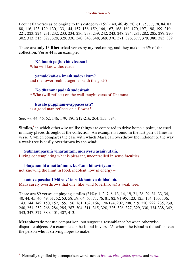I count 67 verses as belonging to this category (15%): 40, 46, 49, 50, 61, 75, 77, 78, 84, 87, 88, 116, 123, 129, 130, 133, 144, 157, 158, 159, 166, 167, 168, 169, 170, 197, 198, 199, 210, 221, 223, 224, 231, 232, 233, 234, 236, 238, 239, 242, 243, 248, 274, 281, 282, 285, 289, 290, 302, 313, 315, 327, 328, 329, 330, 340, 343, 348, 369, 370, 371, 376, 377, 379, 380, 383, 389.

There are only 13 **Rhetorical** verses by my reckoning, and they make up 3% of the collection. Verse 44 is an example:

**Kŏ imaṁ paṭhaviṁ vicessati** Who will know this earth

**yamalokañ-ca imaṁ sadevakaṁ?** and the lower realm, together with the gods?

**Ko dhammapadaṁ sudesitaṁ** \* Who (will reflect) on the well-taught verse of Dhamma

**kusalo puppham-ivappacessati?**  as a good man reflects on a flower?

See: vv. 44, 46, 62, 146, 179, 180, 212-216, 264, 353, 394.

**Similes,<sup>1</sup>** in which otherwise unlike things are compared to drive home a point, are used in many places throughout the collection. An example is found in the last pair of lines in verse 7, which compares the ease with which Māra can overthrow the indolent to the way a weak tree is easily overthrown by the wind:

**Subhānupassiṁ viharantaṁ, indriyesu asaṁvutaṁ,** Living contemplating what is pleasant, uncontrolled in sense faculties,

**bhojanamhi amattaññuṁ, kusītaṁ hīnavīriyaṁ –** not knowing the limit in food, indolent, low in energy –

 $\overline{a}$ 

**taṁ ve pasahati Māro vāto rukkhaṁ va dubbalaṁ.**  Māra surely overthrows that one, like wind (overthrows) a weak tree.

There are 89 verses employing similes (21%): 1, 2, 7, 8, 13, 14, 19, 21, 28, 29, 31, 33, 34, 40, 44, 45, 46, 49, 51, 52, 53, 58, 59, 64, 65, 71, 76, 81, 82, 91-95, 123, 125, 134, 135, 136, 143, 144, 149, 150, 152, 155, 156, 161, 162, 164, 170-174, 202, 208, 219, 220, 222, 235, 239, 240, 251, 252, 268, 284, 285, 287, 304, 311, 315, 320, 325, 326, 327, 329, 330, 334-338, 342, 343, 347, 377, 380, 401, 407, 413.

**Metaphors** do not use comparison, but suggest a resemblance between otherwise disparate objects. An example can be found in verse 25, where the island is the safe haven the person who is striving hopes to make.

<sup>1</sup> Normally signified by a comparison word such as *iva*, *va*, *viya*, *yathā*, *upama* and *sama*.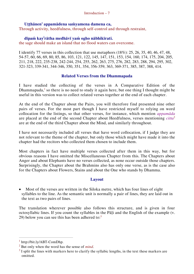#### **Uṭṭhānen' appamādena saṁyamena damena ca,**

Through activity, heedfulness, through self-control and through restraint,

#### **dīpaṁ kay<sup>i</sup> rātha medhāvī yaṁ ogho nābhikīrati.**

the sage should make an island that no flood waters can overcome.

I identify 77 verses in this collection that use metaphors (18%): 25, 26, 35, 40, 46, 47, 48, 54-57, 60, 66, 69, 80, 85, 86, 103, 121, 122, 145, 147, 151, 153, 154, 160, 174, 175, 204, 205, 211, 218, 222, 235-238, 242-244, 254, 255, 262, 263, 275, 276, 282, 283, 288, 294, 295, 302, 321-323, 339-341, 344-346, 350, 351, 354, 356-359, 363, 369-371, 385, 387, 388, 414.

#### **Related Verses from the Dhammapada**

I have studied the collecting of the verses in A Comparative Edition of the Dhammapada,<sup>1</sup> so there is no need to study it again here, but one thing I thought might be useful in this version was to collect related verses together at the end of each chapter.

At the end of the Chapter about the Pairs, you will therefore find presented nine other pairs of verses. For the most part though I have restricted myself to relying on word collocation for the listings, so that other verses, for instance, which mention *appamāda* are placed at the end of the second Chapter about Heedfulness, verses mentioning *citta*<sup>2</sup> are at the end of the third Chapter about the Mind, and similarly throughout.

I have not necessarily included all verses that have word collocation, if I judge they are not relevant to the theme of the chapter, but only those which might have made it into the chapter had the recitors who collected them chosen to include them.

Most chapters in fact have multiple verses collected after them in this way, but for obvious reasons I have omitted the Miscellaneous Chapter from this. The Chapters about Anger and about Elephants have no verses collected, as none occur outside those chapters. Surprisingly, the Chapter about the Brahmins also has only one verse, as is the case also for the Chapters about Flowers, Stains and about the One who stands by Dhamma.

#### **Layout**

 Most of the verses are written in the Siloka metre, which has four lines of eight syllables to the line. As the semantic unit is normally a pair of lines, they are laid out in the text as two pairs of lines.

The translation wherever possible also follows this structure, and is given in four octosyllabic lines. If you count the syllables in the Pāḷi and the English of the example (v. 29) below you can see this has been adhered to: $3$ 

 $<sup>1</sup>$  http://bit.ly/ABT-ComDhp.</sup>

<sup>2</sup> But only when the word has the sense of *mind*.

 $3$  I split the lines with markers here to clarify the syllabic lengths, in the text these markers are omitted.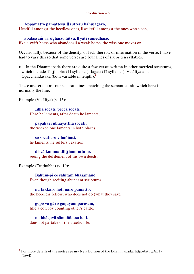#### **Appamatto pamattesu, || suttesu bahujāgaro,**

Heedful amongst the heedless ones,  $\parallel$  wakeful amongst the ones who sleep,

#### **abalassaṁ va sīghasso hitvā, || yāti sumedhaso.**

like a swift horse who abandons  $\parallel$  a weak horse, the wise one moves on.

Occasionally, because of the density, or lack thereof, of information in the verse, I have had to vary this so that some verses are four lines of six or ten syllables.

 In the Dhammapada there are quite a few verses written in other metrical structures, which include Tutthubha (11 syllables), Jagati (12 syllables), Vetālīya and Opacchandasaka (both variable in length).<sup>1</sup>

These are set out as four separate lines, matching the semantic unit, which here is normally the line:

Example (Vetālīya) (v. 15):

**Idha socati, pecca socati,**  Here he laments, after death he laments,

**pāpakārī ubhayattha socati,** the wicked one laments in both places,

**so socati, so vihaññati,**  he laments, he suffers vexation,

**disvā kammakiliṭṭham-attano.**  seeing the defilement of his own deeds.

Example (Tuṭṭhubha) (v. 19):

 $\overline{a}$ 

**Bahum-pi ce sahitaṁ bhāsamāno,** Even though reciting abundant scriptures,

**na takkaro hoti naro pamatto,** the heedless fellow, who does not do (what they say),

**gopo va gāvo gaṇayaṁ paresaṁ,** like a cowboy counting other's cattle,

**na bhāgavā sāmaññassa hoti.**  does not partake of the ascetic life.

<sup>1</sup> For more details of the metre see my New Edition of the Dhammapada: http://bit.ly/ABT-NewDhp.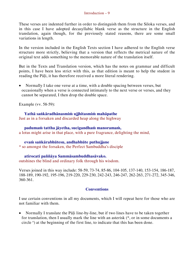These verses are indented further in order to distinguish them from the Siloka verses, and in this case I have adopted decasyllabic blank verse as the structure in the English translation, again though, for the previously stated reasons, there are some small variations in length.

In the version included in the English Texts section I have adhered to the English verse structure more strictly, believing that a version that reflects the metrical nature of the original text adds something to the memorable nature of the translation itself.

But in the Texts and Translation version, which has the notes on grammar and difficult points, I have been less strict with this, as that edition is meant to help the student in reading the Pāḷi, it has therefore received a more literal rendering.

 Normally I take one verse at a time, with a double spacing between verses, but occasionally when a verse is connected intimately to the next verse or verses, and they cannot be separated, I then drop the double space.

Example (vv. 58-59):

**Yathā saṅkāradhānasmiṁ ujjhitasmiṁ mahāpathe** Just as in a forsaken and discarded heap along the highway

**padumaṁ tattha jāyetha, sucigandhaṁ manoramaṁ,**  a lotus might arise in that place, with a pure fragrance, delighting the mind,

**evaṁ saṅkārabhūtesu, andhabhūte puthujjane**

\* so amongst the forsaken, the Perfect Sambuddha's disciple

**atirocati paññāya Sammāsambuddhasāvako.**  outshines the blind and ordinary folk through his wisdom.

Verses joined in this way include: 58-59, 73-74, 85-86, 104-105, 137-140, 153-154, 186-187, 188-189, 190-192, 195-196, 219-220, 229-230, 242-243, 246-247, 262-263, 271-272, 345-346, 360-361.

#### **Conventions**

I use certain conventions in all my documents, which I will repeat here for those who are not familiar with them.

• Normally I translate the Pali line-by-line, but if two lines have to be taken together for translation, then I usually mark the line with an asterisk (\*, or in some documents a circle<sup>o</sup>) at the beginning of the first line, to indicate that this has been done.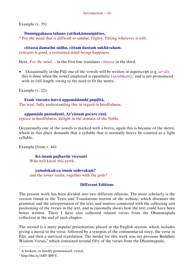Example (v. 35):

**Dunniggahassa lahuno yatthakāmanipātino,**

\* For the mind that is difficult to subdue, flighty, flitting wherever it will,

#### **cittassa damatho sādhu, cittaṁ dantaṁ sukhāvahaṁ.**

restraint is good, a restrained mind brings happiness.

Here, *For the mind*… in the first line translates *cittassa* in the third.

• Occasionally in the Pāḷi one of the vowels will be written in superscript (e.g.  $ar<sup>i</sup>y\bar{a}$ ); this is done when the vowel employed is epenthetic  $(sarabhatti)$ ,<sup>1</sup> and is not pronounced with its full length, owing to the need to fit the metre.

Example (v. 22):

**Etaṁ visesato ñatvā appamādamhi paṇḍitā,**  The wise, fully understanding this in regard to heedfulness,

#### **appamāde pamodanti, Ar<sup>i</sup> yānaṁ gocare ratā.**

rejoice in heedfulness, delight in the domain of the Noble.

Occasionally one of the vowels is marked with a breve, again this is because of the metre, which in this place demands that a syllable that is normally heavy be counted as a light syllable.

Example (from v. 44):

**Kŏ imaṁ paṭhaviṁ vicessati** Who will know this earth

**yamalokañ-ca imaṁ sadevakaṁ?** and the lower realm, together with the gods?

#### **Different Editions**

The present work has been divided into two different editions. The more scholarly is the version found in the Texts and Translations section of the website, which discusses the grammar and the interpretation of the text, and matters connected with the collecting and positioning of the verses in the text, and occasionally shows how the text could have been better written. There I have also collected related verses from the Dhammapada collection at the end of each chapter.

The second is a more popular presentation, placed in the English section, which includes giving a moral to the verse, followed by a synopsis of the commentarial story, the verse in Pāli, and then a metrical translation. The model for this work was my previous Buddhist Wisdom Verses,<sup>2</sup> which contained around fifty of the verses from the Dhammapada.

 $<sup>1</sup>$  A broken, or hardly pronounced, vowel.</sup>

<sup>2</sup> http://bit.ly/ABT-BWV.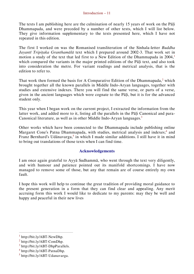#### Introduction – 11

The texts I am publishing here are the culmination of nearly 15 years of work on the Pāḷi Dhammapada, and were preceded by a number of other texts, which I will list below. They give information supplementary to the texts presented here, which I have not repeated in this edition.

The first I worked on was the Romanised transliteration of the Sinhala-letter *Buddha Jayantī Tripiṭaka Granthamālā* text which I prepared around 2002-3. That work set in motion a study of the text that led first to a New Edition of the Dhammapada in  $2004<sup>1</sup>$ which compared the variants in the major printed editions of the Pali text, and also took into consideration the metre. For variant readings and metrical analysis, that is the edition to refer to.

That work then formed the basis for A Comparative Edition of the Dhammapada,<sup>2</sup> which brought together all the known parallels in Middle Indo-Aryan languages, together with studies and extensive indexes. There you will find the same verse, or parts of a verse, given in the ancient languages which were cognate to the Pāḷi, but it is for the advanced student only.

This year when I began work on the current project, I extracted the information from the latter work, and added more to it, listing all the parallels in the Pāḷi Canonical and para-Canonical literature, as well as in other Middle Indo-Aryan languages.<sup>3</sup>

Other works which have been connected to the Dhammapada include publishing online Margaret Cone's Patna Dhammapada, with studies, metrical analysis and indexes;<sup>4</sup> and Franz Bernhard's Udānavarga,<sup>5</sup> in which I made similar additions. I still have it in mind to bring out translations of those texts when I can find time.

#### **Acknowledgements**

I am once again grateful to Ayyā Sudhammā, who went through the text very diligently, and with humour and patience pointed out its manifold shortcomings. I have now managed to remove some of those, but any that remain are of course entirely my own fault.

I hope this work will help to continue the great tradition of providing moral guidance to the present generation in a form that they can find clear and appealing. Any merit accruing form this work I would like to dedicate to my parents: may they be well and happy and peaceful in their new lives

http://bit.ly/ABT-NewDhp.

<sup>2</sup> http://bit.ly/ABT-ComDhp.

<sup>3</sup> http://bit.ly/ABT-DhpParallels.

<sup>4</sup> http://bit.ly/ABT-PatnaDhp.

<sup>5</sup> http://bit.ly/ABT-Udanavarga.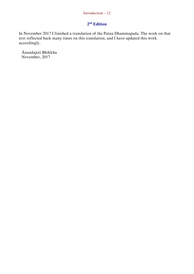#### Introduction – 12

#### **2 nd Edition**

In November 2017 I finished a translation of the Patna Dhammapada. The work on that text reflected back many times on this translation, and I have updated this work accordingly.

Ānandajoti Bhikkhu November, 2017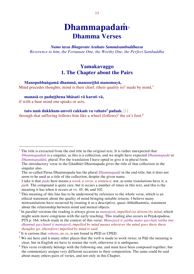## **Dhammapadaṁ<sup>1</sup> Dhamma Verses**

*Namo tassa Bhagavato Arahato Sammāsambuddhassa Reverence to him, the Fortunate One, the Worthy One, the Perfect Sambuddha*

#### <span id="page-13-0"></span>**Yamakavaggo 1. The Chapter about the Pairs**

**Manopubbaṅgamā dhammā, manoseṭṭhā manomayā,** Mind precedes thoughts, mind is their chief, (their quality is)<sup>2</sup> made by mind,<sup>3</sup>

#### **manasā ce paduṭṭhena bhāsati vā karoti vā,**

if with a base mind one speaks or acts,

 $\overline{a}$ 

**tato naṁ dukkham-anveti cakkaṁ va vahato<sup>4</sup> padaṁ.** [1] through that suffering follows him like a wheel (follows)<sup>5</sup> the ox's foot.<sup>6</sup>

<sup>1</sup> The title is extracted from the end title in the original text. It is rather unexpected that *Dhammapadaṁ* is a singular, as this is a collection, and we might have expected *Dhammapadā* or *Dhammapadāni*, plural. For the translation I have opted to give it in plural form. The introductory verse to the Gāndhārī Dharmapada gives the title of that collection in the

singular also.

The so-called Patna Dhammapada has the plural *Dhammapadā* in the end-title, but it does not seem to be used as a title of the collection, despite the given name.

I take it that *pada* here means a *word, a verse, a sentence*; not, as some translations have it, a *path*. The compound is quite rare, but it occurs a number of times in this text, and this is the meaning it has when it occurs at vv. 45, 46, and 102.

 $2$ <sup>2</sup> This meaning of this line has to be understood by reference to the whole verse, which is an ethical statement about the quality of mind bringing suitable returns. I believe many mistranslations have occurred by treating it as a descriptive, quasi-Abhidhammic, statement about the relationship between mind and mental objects.

<sup>3</sup> In parallel versions the reading is always given as *manojavā*, *impelled (or driven) by mind*, which might seem more congruous with the early teaching. This reading also occurs in Peṭakopadesa, PTS p. 164, which reads in the context of this verse: *Manojavā ti yattha mano gacchati tattha ime dhammā gacchantī ti manojavā*; *impelled by mind means wherever the mind goes there these thoughts go, (therefore) impelled by mind is said*.

<sup>4</sup> It is curious that *vahatu*, *an ox*, is not found in PED or CPED.

 $<sup>5</sup>$  We see here and it many other places that the verb is made to work twice; in Pāli the meaning is</sup> clear, but in English we have to restate the verb, otherwise it is ambiguous.

 $6$  This verse evidently belongs with the following one, and must have been composed together, but the commentary assigns very different occasions to their composition. The same could be said about many others pairs of verses, and not only in this Chapter.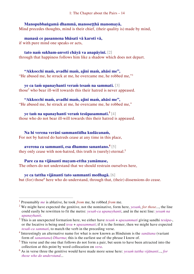#### **Manopubbaṅgamā dhammā, manoseṭṭhā manomayā,**

Mind precedes thoughts, mind is their chief, (their quality is) made by mind,

**manasā ce pasannena bhāsati vā karoti vā,** if with pure mind one speaks or acts,

**tato naṁ sukham-anveti chāyā va anapāyinī.** [2] through that happiness follows him like a shadow which does not depart.

**"Akkocchi maṁ, avadhi maṁ, ajini maṁ, ahāsi me",** "He abused me, he struck at me, he overcame me, he robbed me,"<sup>1</sup>

**ye ca taṁ upanayhanti veraṁ tesaṁ na sammati.** [3] those<sup>2</sup> who bear ill-will towards this their hatred is never appeased.

## **"Akkocchi maṁ, avadhi maṁ, ajini maṁ, ahāsi me",**

"He abused me, he struck at me, he overcame me, he robbed me,"

**ye taṁ na upanayhanti veraṁ tesūpasammati.<sup>3</sup>** [4] those who do not bear ill-will towards this their hatred is appeased.

**Na hi verena verāni sammantīdha kudācanaṁ,** For not by hatred do hatreds cease at any time in this place,

#### **averena ca sammanti, esa dhammo sanantano.<sup>4</sup>** [5]

they only cease with non-hatred, this truth is (surely) eternal.<sup>5</sup>

#### **Pare ca na vijānanti mayam-ettha yamāmase,**

The others do not understand that we should restrain ourselves here,

#### **ye ca tattha vijānanti tato sammanti medhagā.** [6]

but (for) those<sup>6</sup> here who do understand, through that, (their) dissensions do cease.

<sup>1</sup> Presumably *me* is ablative, he took *from* me, he robbed *from* me.

<sup>2</sup> We might have expected the genitive, not the nominative, form here, *yesaṁ*, *for those*..., the line could easily be rewritten to fit the metre: *yesañ-ca upanayhanti*, and in the next line: *yesam na upanayhanti*.

<sup>3</sup> This is an unexpected formation here, we either have *tesaṁ* + *upasammati* giving sandhi *tesūpa*-, or the locative is being used *tesu* + *upasammati*; if it is the former, then we might have expected *tesañ-ca sammati*, to match the verb in the preceding verse.

<sup>4</sup> Interestingly an alternative name for what is now known as Hinduism is the *sanātana* (variant form of *sanantana*) *Dharma*; this is the earliest use of the phrase I know of.

<sup>&</sup>lt;sup>5</sup> This verse and the one that follows do not form a pair, but seem to have been attracted into the collection at this point by word collocation on *vera*.

<sup>6</sup> As in verse three the genitive would have made more sense here: *yesaṁ tattha vijānanti*..., *for those who do understand*...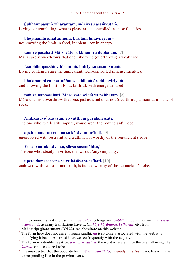#### **Subhānupassiṁ viharantaṁ, indriyesu asaṁvutaṁ,**

Living contemplating<sup>1</sup> what is pleasant, uncontrolled in sense faculties,

**bhojanamhi amattaññuṁ, kusītaṁ hīnavīriyaṁ –** not knowing the limit in food, indolent, low in energy –

#### **taṁ ve pasahati Māro vāto rukkhaṁ va dubbalaṁ.** [7]

Māra surely overthrows that one, like wind (overthrows) a weak tree.

#### **Asubhānupassiṁ vih<sup>a</sup> rantaṁ, indriyesu susaṁvutaṁ,** Living contemplating the unpleasant, well-controlled in sense faculties,

**bhojanamhi ca mattaññuṁ, saddhaṁ āraddhavīriyaṁ –** and knowing the limit in food, faithful, with energy aroused –

#### **taṁ ve nappasahati<sup>2</sup> Māro vāto selaṁ va pabbataṁ.** [8]

Māra does not overthrow that one, just as wind does not (overthrow) a mountain made of rock.

#### **Anikkasāvo<sup>3</sup> kāsāvaṁ yo vatthaṁ paridahessati,** The one who, while still impure, would wear the renunciant's robe,

**apeto damasaccena na so kāsāvam-ar<sup>a</sup>hati.** [9] unendowed with restraint and truth, is not worthy of the renunciant's robe.

#### **Yo ca vantakasāvassa, sīlesu susamāhito,<sup>4</sup>**

 $\overline{a}$ 

The one who, steady in virtue, throws out (any) impurity,

#### **upeto damasaccena sa ve kāsāvam-ar<sup>a</sup>hati.** [10]

endowed with restraint and truth, is indeed worthy of the renunciant's robe.

<sup>1</sup> In the commentary it is clear that *viharantaṁ* belongs with *subhānupassiṁ*, not with *indriyesu asaṁvutaṁ*, as many translations have it. Cf. *kāye kāyānupassī viharati*, etc. from Mahāsatipaṭṭhānasuttaṁ (DN 22), see elsewhere on this website.

<sup>&</sup>lt;sup>2</sup> The form here does not arise through sandhi; *na* is so closely associated with the verb it is modifying it becomes part of it, as we see frequently with the negative.

<sup>&</sup>lt;sup>3</sup> The form is a double negative,  $a + nis + kas\bar{a}va$ ; the word is related is to the one following, the *kāsāva*, or discoloured robe.

<sup>4</sup> It is unexpected that the opposite form, *sīlesu asamāhito*, *unsteady in virtue*, is not found in the corresponding line in the previous verse.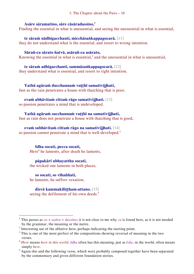#### **Asāre sāramatino, sāre cāsāradassino,<sup>1</sup>**

Finding the essential in what is unessential, and seeing the unessential in what is essential,

**te sāraṁ nādhigacchanti, micchāsaṅkappagocarā.** [11] they do not understand what is the essential, and resort to wrong intention.

#### **Sārañ-ca sārato ñatvā, asārañ-ca asārato,**

Knowing the essential in what is essential,<sup>2</sup> and the unessential in what is unessential,

**te sāraṁ adhigacchanti, sammāsaṅkappagocarā.** [12] they understand what is essential, and resort to right intention.

**Yathā agāraṁ ducchannaṁ vuṭṭhī samativijjhati,** Just as the rain penetrates a house with thatching that is poor,

**evaṁ abhāvitaṁ cittaṁ rāgo samativijjhati.** [13]

so passion penetrates a mind that is undeveloped.

**Yathā agāraṁ succhannaṁ vuṭṭhī na samativijjhati,** Just as rain does not penetrate a house with thatching that is good,

#### **evaṁ subhāvitaṁ cittaṁ rāgo na samativijjhati.** [14]

so passion cannot penetrate a mind that is well-developed.<sup>3</sup>

**Idha socati, pecca socati,**  Here<sup>4</sup> he laments, after death he laments,

**pāpakārī ubhayattha socati,** the wicked one laments in both places,

**so socati, so vihaññati,**  he laments, he suffers vexation,

 $\overline{a}$ 

**disvā kammakiliṭṭham-attano.** [15] seeing the defilement of his own deeds.<sup>5</sup>

<sup>&</sup>lt;sup>1</sup> This parses as  $ca + as\bar{a}ra + dassino$ ; it is not clear to me why *ca* is found here, as it is not needed by the grammar, the meaning or the metre.

 $2$  Interesting use of the ablative here, perhaps indicating the starting point.

<sup>&</sup>lt;sup>3</sup> This is one of the most perfect of the compositions showing reversal of meaning in the two verses.

<sup>4</sup> *Here* means *here in this world*. *Idha* often has this meaning, just as *loke*, in the world, often means simply *here*.

<sup>&</sup>lt;sup>5</sup> Again this and the following verse, which were probably composed together have been separated by the commentary and given different foundation stories.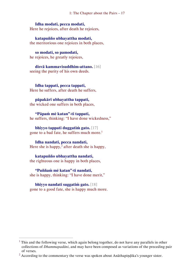#### **Idha modati, pecca modati,**

Here he rejoices, after death he rejoices,

**katapuñño ubhayattha modati,** the meritorious one rejoices in both places,

**so modati, so pamodati,**  he rejoices, he greatly rejoices,

**disvā kammavisuddhim-attano.** [16] seeing the purity of his own deeds.

**Idha tappati, pecca tappati,**  Here he suffers, after death he suffers,

#### **pāpakārī ubhayattha tappati,**

the wicked one suffers in both places,

**"Pāpaṁ mĕ katan"-ti tappati,**  he suffers, thinking: "I have done wickedness,"

**bhiyyo tappati duggatiṁ gato.** [17] gone to a bad fate, he suffers much more.<sup>1</sup>

#### **Idha nandati, pecca nandati,**

Here she is happy,<sup>2</sup> after death she is happy,

#### **katapuñño ubhayattha nandati,**

the righteous one is happy in both places,

**"Puññaṁ mĕ katan"-ti nandati,**  she is happy, thinking: "I have done merit,"

**bhiyyo nandati suggatiṁ gato.** [18] gone to a good fate, she is happy much more.

<sup>&</sup>lt;sup>1</sup> This and the following verse, which again belong together, do not have any parallels in other collections of *Dhammapadāni*, and may have been composed as variations of the preceding pair of verses.

<sup>&</sup>lt;sup>2</sup> According to the commentary the verse was spoken about Anāthapindika's younger sister.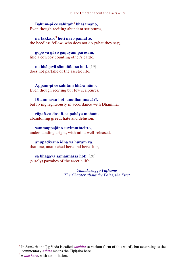#### **Bahum-pi ce sahitaṁ<sup>1</sup> bhāsamāno,**

Even though reciting abundant scriptures,

**na takkaro<sup>2</sup> hoti naro pamatto,** the heedless fellow, who does not do (what they say),

**gopo va gāvo gaṇayaṁ paresaṁ,** like a cowboy counting other's cattle,

**na bhāgavā sāmaññassa hoti.** [19] does not partake of the ascetic life.

**Appam-pi ce sahitaṁ bhāsamāno,** Even though reciting but few scriptures,

#### **Dhammassa hoti anudhammacārī,**

but living righteously in accordance with Dhamma,

**rāgañ-ca dosañ-ca pahāya mohaṁ,** abandoning greed, hate and delusion,

**sammappajāno suvimuttacitto,** understanding aright, with mind well-released,

#### **anupādiyāno idha vā huraṁ vā,**

that one, unattached here and hereafter,

**sa bhāgavā sāmaññassa hoti.** [20] (surely) partakes of the ascetic life.

> *Yamakavaggo Paṭhamo The Chapter about the Pairs, the First*

<sup>&</sup>lt;sup>1</sup> In Sanskrit the Rg Veda is called *samhita* (a variant form of this word), but according to the commentary *sahita* means the Tipitaka here.

 $z^2 = \tan \hat{k}$  *karo*, with assimilation.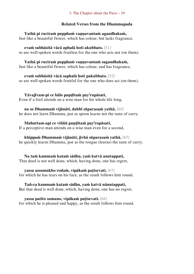#### **Related Verses from the Dhammapada**

**Yathā pi ruciraṁ pupphaṁ vaṇṇavantaṁ agandhakaṁ,**  Just like a beautiful flower, which has colour, but lacks fragrance,

**evaṁ subhāsitā vācā aphalā hoti akubbato.** [51] so are well-spoken words fruitless for the one who acts not (on them).

**Yathā pi ruciraṁ pupphaṁ vaṇṇavantaṁ sagandhakaṁ,**  Just like a beautiful flower, which has colour, and has fragrance,

**evaṁ subhāsitā vācā saphalā hoti pakubbato.** [52] so are well-spoken words fruitful for the one who does act (on them).

**Yāvajīvam-pi ce bālo paṇḍitaṁ pay<sup>i</sup> rupāsati,**  Even if a fool attends on a wise man for his whole life long,

**na so Dhammaṁ vijānāti, dabbī sūparasaṁ yathā.** [64] he does not learn Dhamma, just as spoon learns not the taste of curry.

**Muhuttam-api ce viññū paṇḍitaṁ pay<sup>i</sup> rupāsati,**  If a perceptive man attends on a wise man even for a second,

**khippaṁ Dhammaṁ vijānāti, jivhā sūparasaṁ yathā.** [65] he quickly learns Dhamma, just as the tongue (learns) the taste of curry.

**Na taṁ kammaṁ kataṁ sādhu, yaṁ katvā anutappati,**  That deed is not well done, which, having done, one has regret,

**yassa assumukho rodaṁ, vipākaṁ paṭisevati.** [67] for which he has tears on his face, as the result follows him round.

**Tañ-ca kammaṁ kataṁ sādhu, yaṁ katvā nānutappati,**  But that deed is well done, which, having done, one has no regret,

**yassa patīto sumano, vipākaṁ paṭisevati.** [68] for which he is pleased and happy, as the result follows him round.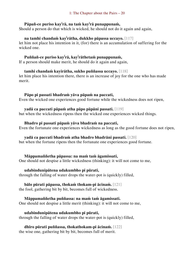#### **Pāpañ-ce puriso kay<sup>i</sup> rā, na taṁ kay<sup>i</sup> rā punappunaṁ,**

Should a person do that which is wicked, he should not do it again and again,

#### **na tamhi chandaṁ kay<sup>i</sup> rātha, dukkho pāpassa uccayo.** [117]

let him not place his intention in it, (for) there is an accumulation of suffering for the wicked one.

#### **Puññañ-ce puriso kay<sup>i</sup> rā, kay<sup>i</sup> rāthetaṁ punappunaṁ,**

If a person should make merit, he should do it again and again,

#### **tamhi chandaṁ kayirātha, sukho puññassa uccayo.** [118]

let him place his intention there, there is an increase of joy for the one who has made merit.

#### **Pāpo pi passati bhadraṁ yāva pāpaṁ na paccati,**

Even the wicked one experiences good fortune while the wickedness does not ripen,

#### **yadā ca paccati pāpaṁ atha pāpo pāpāni passati.** [119]

but when the wickedness ripens then the wicked one experiences wicked things.

#### **Bhadro pi passati pāpaṁ yāva bhadraṁ na paccati,**

Even the fortunate one experiences wickedness as long as the good fortune does not ripen,

#### **yadā ca paccati bhadraṁ atha bhadro bhadrāni passati.** [120]

but when the fortune ripens then the fortunate one experiences good fortune.

#### **Māppamaññetha pāpassa: na maṁ taṁ āgamissati,**

One should not despise a little wickedness (thinking): it will not come to me,

#### **udabindunipātena udakumbho pi pūrati,**

through the falling of water drops the water-pot is (quickly) filled,

#### **bālo pūrati pāpassa, thokaṁ thokam-pi ācinaṁ.** [121]

the fool, gathering bit by bit, becomes full of wickedness.

#### **Māppamaññetha puññassa: na maṁ taṁ āgamissati.**

One should not despise a little merit (thinking): it will not come to me,

#### **udabindunipātena udakumbho pi pūrati,**

through the falling of water drops the water-pot is (quickly) filled,

## **dhīro pūrati puññassa, thokathokam-pi ācinaṁ.** [122]

the wise one, gathering bit by bit, becomes full of merit.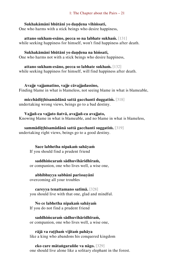#### **Sukhakāmāni bhūtāni yo daṇḍena vihiṁsati,**

One who harms with a stick beings who desire happiness,

**attano sukham-esāno, pecca so na labhate sukhaṁ.** [131] while seeking happiness for himself, won't find happiness after death.

#### **Sukhakāmāni bhūtāni yo daṇḍena na hiṁsati,**

One who harms not with a stick beings who desire happiness,

**attano sukham-esāno, pecca so labhate sukhaṁ.** [132] while seeking happiness for himself, will find happiness after death.

**Avajje vajjamatino, vajje cāvajjadassino,**  Finding blame in what is blameless, not seeing blame in what is blameable,

**micchādiṭṭhisamādānā sattā gacchanti duggatiṁ.** [318]

undertaking wrong views, beings go to a bad destiny.

#### **Vajjañ-ca vajjato ñatvā, avajjañ-ca avajjato,**

Knowing blame in what is blameable, and no blame in what is blameless,

#### **sammādiṭṭhisamādānā sattā gacchanti suggatiṁ.** [319]

undertaking right views, beings go to a good destiny.

#### **Sace labhetha nipakaṁ sahāyaṁ**

If you should find a prudent friend

**saddhiṁcaraṁ sādhuvihāridhīraṁ,**

or companion, one who lives well, a wise one,

#### **abhibhuyya sabbāni parissayāni**

overcoming all your troubles

**careyya tenattamano satīmā.** [328] you should live with that one, glad and mindful.

**No ce labhetha nipakaṁ sahāyaṁ**  If you do not find a prudent friend

**saddhiṁcaraṁ sādhuvihāridhīraṁ,** or companion, one who lives well, a wise one,

**rājā va raṭṭhaṁ vijitaṁ pahāya** like a king who abandons his conquered kingdom

**eko care mātaṅgaraññe va nāgo.** [329] one should live alone like a solitary elephant in the forest.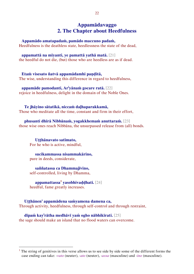#### <span id="page-22-0"></span>**Appamādavaggo 2. The Chapter about Heedfulness**

**Appamādo amatapadaṁ, pamādo maccuno padaṁ,**

Heedfulness is the deathless state, heedlessness the state of the dead,

#### **appamattā na mīyanti, ye pamattā yathā matā.** [21]

the heedful do not die, (but) those who are heedless are as if dead.

**Etaṁ visesato ñatvā appamādamhi paṇḍitā,**  The wise, understanding this difference in regard to heedfulness,

**appamāde pamodanti, Ar<sup>i</sup> yānaṁ gocare ratā.** [22] rejoice in heedfulness, delight in the domain of the Noble Ones.

**Te jhāyino sātatikā, niccaṁ daḷhaparakkamā,** Those who meditate all the time, constant and firm in their effort,

**phusanti dhīrā Nibbānaṁ, yogakkhemaṁ anuttaraṁ.** [23] those wise ones reach Nibbāna, the unsurpassed release from (all) bonds.

**Uṭṭhānavato satīmato,** For he who is active, mindful,

**sucikammassa nisammakārino,** pure in deeds, considerate,

**saññatassa ca Dhammajīvino,**  self-controlled, living by Dhamma,

 $\overline{a}$ 

**appamattassa<sup>1</sup> yasobhivaḍḍhati.** [24] heedful, fame greatly increases.

**Uṭṭhānen' appamādena saṁyamena damena ca,**  Through activity, heedfulness, through self-control and through restraint,

**dīpaṁ kay<sup>i</sup> rātha medhāvī yaṁ ogho nābhikīrati.** [25] the sage should make an island that no flood waters can overcome.

 $<sup>1</sup>$  The string of genitives in this verse allows us to see side by side some of the different forms the</sup> case ending can take: -*vato* (neuter), -*ato* (neuter), -*assa* (masculine) and -*ino* (masculine).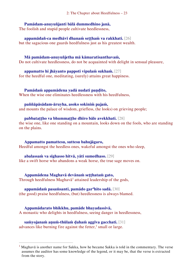#### **Pamādam-anuyuñjanti bālā dummedhino janā,**

The foolish and stupid people cultivate heedlessness,

#### **appamādañ-ca medhāvī dhanaṁ seṭṭhaṁ va rakkhati.** [26]

but the sagacious one guards heedfulness just as his greatest wealth.

#### **Mā pamādam-anuyuñjetha mā kāmaratisanthavaṁ,**

Do not cultivate heedlessness, do not be acquainted with delight in sensual pleasure,

#### **appamatto hi jhāyanto pappoti vipulaṁ sukhaṁ.** [27]

for the heedful one, meditating, (surely) attains great happiness.

#### **Pamādaṁ appamādena yadā nudati paṇḍito,**

When the wise one eliminates heedlessness with his heedfulness,

#### **paññāpāsādam-āruyha, asoko sokiniṁ pajaṁ,**

and mounts the palace of wisdom, griefless, (he looks) on grieving people;

#### **pabbataṭṭho va bhummaṭṭhe dhīro bāle avekkhati.** [28]

the wise one, like one standing on a mountain, looks down on the fools, who are standing on the plains.

#### **Appamatto pamattesu, suttesu bahujāgaro,** Heedful amongst the heedless ones, wakeful amongst the ones who sleep,

**abalassaṁ va sīghasso hitvā, yāti sumedhaso.** [29] like a swift horse who abandons a weak horse, the true sage moves on.

#### **Appamādena Maghavā devānaṁ seṭṭhataṁ gato,** Through heedfulness Maghav $\bar{a}^1$  attained leadership of the gods,

#### **appamādaṁ pasaṁsanti, pamādo gar<sup>a</sup>hito sadā.** [30]

(the good) praise heedfulness, (but) heedlessness is always blamed.

#### **Appamādarato bhikkhu, pamāde bhayadassivā,**

 $\overline{a}$ 

A monastic who delights in heedfulness, seeing danger in heedlessness,

#### **saṁyojanaṁ aṇuṁ-thūlaṁ ḍahaṁ aggīva gacchati.** [31] advances like burning fire against the fetter, $\frac{1}{2}$  small or large.

<sup>&</sup>lt;sup>1</sup> Maghavā is another name for Sakka, how he became Sakka is told in the commentary. The verse assumes the auditor has some knowledge of the legend, or it may be, that the verse is extracted from the story.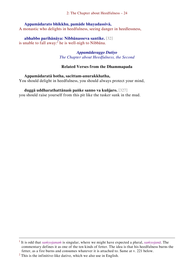2: The Chapter about Heedfulness – 24

#### **Appamādarato bhikkhu, pamāde bhayadassivā,**

A monastic who delights in heedfulness, seeing danger in heedlessness,

#### **abhabbo parihānāya: Nibbānasseva santike.** [32]

is unable to fall away: $^{2}$  he is well-nigh to Nibbana.

#### *Appamādavaggo Dutiyo The Chapter about Heedfulness, the Second*

#### **Related Verses from the Dhammapada**

**Appamādaratā hotha, sacittam-anurakkhatha,**  You should delight in heedfulness, you should always protect your mind,

#### **duggā uddharathattānaṁ paṅke sanno va kuñjaro.** [327]

you should raise yourself from this pit like the tusker sunk in the mud.

<sup>1</sup> It is odd that *saṁyojanaṁ* is singular, where we might have expected a plural, *saṁyojanā*. The commentary defines it as one of the ten kinds of fetter. The idea is that his heedfulness burns the fetter, as a fire burns and consumes whatever it is attached to. Same at v. 221 below.

 $2$  This is the infinitive-like dative, which we also use in English.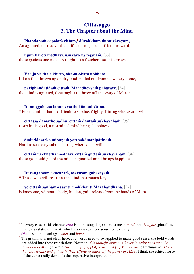#### <span id="page-25-0"></span>**Cittavaggo 3. The Chapter about the Mind**

**Phandanaṁ capalaṁ cittaṁ,<sup>1</sup> dūrakkhaṁ dunnivārayaṁ,** An agitated, unsteady mind, difficult to guard, difficult to ward,

#### **ujuṁ karoti medhāvī, usukāro va tejanaṁ.** [33]

the sagacious one makes straight, as a fletcher does his arrow.

**Vārijo va thale khitto, oka-m-okata ubbhato,** Like a fish thrown up on dry land, pulled out from its watery home,<sup>2</sup>

**pariphandatidaṁ cittaṁ, Māradheyyaṁ pahātave.** [34] the mind is agitated, (one ought) to throw off the sway of Māra.<sup>3</sup>

**Dunniggahassa lahuno yatthakāmanipātino,** \* For the mind that is difficult to subdue, flighty, flitting wherever it will,

**cittassa damatho sādhu, cittaṁ dantaṁ sukhāvahaṁ.** [35] restraint is good, a restrained mind brings happiness.

**Sududdasaṁ sunipuṇaṁ yatthakāmanipātinaṁ,**

Hard to see, very subtle, flitting wherever it will,

**cittaṁ rakkhetha medhāvī, cittaṁ guttaṁ sukhāvahaṁ.** [36] the sage should guard the mind, a guarded mind brings happiness.

**Dūraṅgamaṁ ekacaraṁ, asarīraṁ guhāsayaṁ,** 

\* Those who will restrain the mind that roams far,

**ye cittaṁ saññam-essanti, mokkhanti Mārabandhanā.** [37] is lonesome, without a body, hidden, gain release from the bonds of Māra.

<sup>&</sup>lt;sup>1</sup> In every case in this chapter *citta* is in the singular, and must mean *mind*, not *thoughts* (plural) as many translations have it, which also makes more sense contextually.

<sup>2</sup> *Oka* has both meanings: *water* and *home*.

 $3$  The grammar is not clear here, and words need to be supplied to make good sense, the bold words are added into these translations: Norman: *this thought quivers all over in order to escape the dominion of Māra*; Carter: *This mind flaps; [Fit] to discard [is] Māra's sway*; Burlingame: *These thoughts writhe and quiver in their efforts to shake off the power of Māra*. I think the ethical force of the verse really demands the imperative interpretation.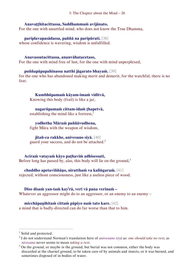3: The Chapter about the Mind – 26

#### **Anavaṭṭhitacittassa, Saddhammaṁ avijānato,**

For the one with unsettled mind, who does not know the True Dhamma,

**pariplavapasādassa, paññā na paripūrati.** [38] whose confidence is wavering, wisdom is unfulfilled.

#### **Anavassutacittassa, ananvāhatacetaso,**

For the one with mind free of lust, for the one with mind unperplexed,

#### **puññapāpapahīnassa natthi jāgarato bhayaṁ.** [39]

for the one who has abandoned making merit and demerit, for the watchful, there is no fear.

**Kumbhūpamaṁ kāyam-imaṁ viditvā,**  Knowing this body (frail) is like a jar,

**nagarūpamaṁ cittam-idaṁ ṭhapetvā,** establishing the mind like a fortress, $<sup>1</sup>$ </sup>

**yodhetha Māraṁ paññāvudhena,** 

fight Māra with the weapon of wisdom,

**jitañ-ca rakkhe, anivesano siyā.** [40] guard your success, and do not be attached.<sup>2</sup>

**Aciraṁ vatayaṁ kāyo paṭhaviṁ adhisessati,**  Before long has passed by, alas, this body will lie on the ground, $3$ 

**chuddho apetaviññāṇo, niratthaṁ va kaliṅgaraṁ.** [41] rejected, without consciousness, just like a useless piece of wood.

**Diso disaṁ yan-taṁ kay<sup>i</sup> rā, verī vā pana verinaṁ –** Whatever an aggressor might do to an aggressor, or an enemy to an enemy  $-$ 

**micchāpaṇihitaṁ cittaṁ pāpiyo naṁ tato kare.** [42] a mind that is badly-directed can do far worse than that to him.

<sup>1</sup> Solid and protected.

<sup>2</sup> I do not understand Norman's translation here of *anivesano siyā* as: *one should take no rest*, as *nivesana* never seems to mean *taking a rest*.

<sup>3</sup> On the ground, or maybe *in* the ground, but burial was not common, either the body was discarded at the charnel ground, to be taken care of by animals and insects, or it was burned, and sometimes disposed of in bodies of water.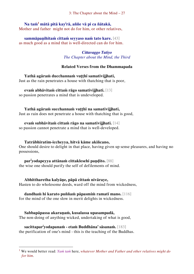3: The Chapter about the Mind – 27

**Na taṁ<sup>1</sup> mātā pitā kay<sup>i</sup> rā, aññe vā pi ca ñātakā,** Mother and father might not do for him, or other relatives,

**sammāpaṇihitaṁ cittaṁ seyyaso naṁ tato kare.** [43] as much good as a mind that is well-directed can do for him.

> *Cittavaggo Tatiyo The Chapter about the Mind, the Third*

#### **Related Verses from the Dhammapada**

**Yathā agāraṁ ducchannaṁ vuṭṭhī samativijjhati,** Just as the rain penetrates a house with thatching that is poor,

**evaṁ abhāvitaṁ cittaṁ rāgo samativijjhati.** [13]

so passion penetrates a mind that is undeveloped.

**Yathā agāraṁ succhannaṁ vuṭṭhī na samativijjhati,** Just as rain does not penetrate a house with thatching that is good,

**evaṁ subhāvitaṁ cittaṁ rāgo na samativijjhati.** [14] so passion cannot penetrate a mind that is well-developed.

#### **Tatrābhiratim-iccheyya, hitvā kāme akiñcano,**

One should desire to delight in that place, having given up sense pleasures, and having no possessions,

**par<sup>i</sup> yodapeyya attānaṁ cittaklesehi paṇḍito.** [88] the wise one should purify the self of defilements of mind.

**Abhittharetha kalyāṇe, pāpā cittaṁ nivāraye,**  Hasten to do wholesome deeds, ward off the mind from wickedness,

#### **dandhaṁ hi karato puññaṁ pāpasmiṁ ramatī mano.** [116] for the mind of the one slow in merit delights in wickedness.

**Sabbapāpassa akaraṇaṁ, kusalassa upasampadā,**  The non-doing of anything wicked, undertaking of what is good,

**sacittapar<sup>i</sup> yodapanaṁ - etaṁ Buddhāna' sāsanaṁ.** [183] the purification of one's mind - this is the teaching of the Buddhas.

<sup>1</sup> We would better read: *Yaṁ taṁ* here, *whatever Mother and Father and other relatives might do for him*.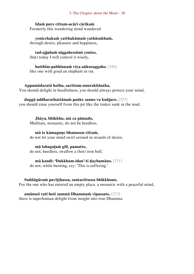#### 3: The Chapter about the Mind – 28

#### **Idaṁ pure cittam-acāri cārikaṁ**

Formerly this wandering mind wandered

**yenicchakaṁ yatthakāmaṁ yathāsukhaṁ,** through desire, pleasure and happiness,

**tad-ajjahaṁ niggahessāmi yoniso,** (but) today I will control it wisely,

**hatthim-pabhinnaṁ viya aṅkusaggaho.** [326] like one with goad an elephant in rut.

#### **Appamādaratā hotha, sacittam-anurakkhatha,**

You should delight in heedfulness, you should always protect your mind,

#### **duggā uddharathattānaṁ paṅke sanno va kuñjaro.** [327]

you should raise yourself from this pit like the tusker sunk in the mud.

#### **Jhāya, bhikkhu, mā ca pāmado,**

Meditate, monastic, do not be heedless,

#### **mā te kāmaguṇe bhamassu cittaṁ,**

do not let your mind swirl around in strands of desire,

#### **mā lohaguḷaṁ gilī, pamatto,**

do not, heedless, swallow a (hot) iron ball,

#### **mā kandi: 'Dukkham-idan'-ti ḍayhamāno.** [371]

do not, while burning, cry: 'This is suffering.'

#### **Suññāgāraṁ paviṭṭhassa, santacittassa bhikkhuno,**

For the one who has entered an empty place, a monastic with a peaceful mind,

#### **amānusī ratī hoti sammā Dhammaṁ vipassato.** [373]

there is superhuman delight from insight into true Dhamma.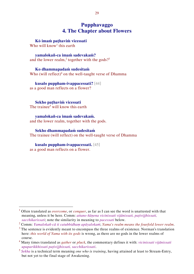#### <span id="page-29-0"></span>**Pupphavaggo 4. The Chapter about Flowers**

**Kŏ imaṁ paṭhaviṁ vicessati** Who will know<sup>1</sup> this earth

**yamalokañ-ca imaṁ sadevakaṁ?** and the lower realm,<sup>2</sup> together with the gods?<sup>3</sup>

**Ko dhammapadaṁ sudesitaṁ** Who (will reflect) <sup>4</sup> on the well-taught verse of Dhamma

**kusalo puppham-ivappacessati?** [44] as a good man reflects on a flower?

**Sekho paṭhaviṁ vicessati**  The trainee<sup>5</sup> will know this earth

**yamalokañ-ca imaṁ sadevakaṁ.** and the lower realm, together with the gods.

**Sekho dhammapadaṁ sudesitaṁ** The trainee (will reflect) on the well-taught verse of Dhamma

**kusalo puppham-ivappacessati.** [45] as a good man reflects on a flower.

<sup>1</sup> Often translated as *overcome*, or *conquer*, as far as I can see the word is unattested with that meaning, unless it be here. Comm: *attano ñāṇena vicinissati vijānissati, paṭivijjhissati, sacchikarissati*; note the similarity in meaning to *pacessati* below.

<sup>2</sup> Comm: *Yamalokañ-cā ti catubbidhaṃ apāyalokaṁ*; *Yama's realm means the fourfold lower realm*.

<sup>&</sup>lt;sup>3</sup> The sentence is evidently meant to encompass the three realms of existence. Norman's translation here: *this world of Yama with its gods* is wrong, as there are no gods in the lower realms of course.

<sup>4</sup> Many times translated as *gather* or *pluck*, the commentary defines it with: *vicinissati vijānissati upaparikkhissati paṭivijjhissati, sacchikarissati*.

<sup>5</sup> *Sekha* is a technical term meaning *one who is training*, having attained at least to Stream-Entry, but not yet to the final stage of Awakening.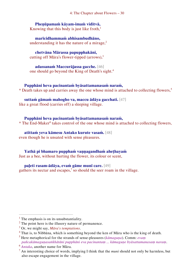4: The Chapter about Flowers – 30

**Pheṇūpamaṁ kāyam-imaṁ viditvā,** Knowing that this body is just like froth, $<sup>1</sup>$ </sup>

**marīcidhammaṁ abhisambudhāno,** understanding it has the nature of a mirage, $2$ 

**chetvāna Mārassa papupphakāni,** cutting off Māra's flower-tipped (arrows),<sup>3</sup>

**adassanaṁ Maccurājassa gacche.** [46] one should go beyond the King of Death's sight.<sup>4</sup>

#### **Pupphāni heva pacinantaṁ byāsattamanasaṁ naraṁ,**

\* Death takes up and carries away the one whose mind is attached to collecting flowers,<sup>5</sup>

**suttaṁ gāmaṁ mahogho va, maccu ādāya gacchati.** [47] like a great flood (carries off) a sleeping village.

#### **Pupphāni heva pacinantaṁ byāsattamanasaṁ naraṁ,**

\* The End-Maker<sup>6</sup> takes control of the one whose mind is attached to collecting flowers,

**atittaṁ yeva kāmesu Antako kurute vasaṁ.** [48] even though he is unsated with sense pleasures.

#### **Yathā pi bhamaro pupphaṁ vaṇṇagandhaṁ aheṭhayaṁ**

Just as a bee, without hurting the flower, its colour or scent,

**paḷeti rasam-ādāya, evaṁ gāme munī care.** [49]

gathers its nectar and escapes,<sup>7</sup> so should the seer roam in the village.

 $<sup>1</sup>$  The emphasis is on its unsubstantiality.</sup>

 $2$  The point here is the illusory nature of permanence.

<sup>3</sup> Or, we might say, *Māra's temptations*.

<sup>4</sup> That is, to Nibbāna, which is something beyond the ken of Māra who is the king of death.

<sup>5</sup> Here metaphorical for the strands of sense-pleasures (*kāmaguṇa*). Comm: *evaṃ pañcakāmaguṇasaṅkhātāni pupphāni eva pacinantaṃ ... kāmaguṇe byāsattamanasaṃ naraṃ*.

<sup>6</sup> *Antaka*, another name for Māra.

<sup>7</sup> An interesting choice of words, implying I think that the *muni* should not only be harmless, but also escape engagement in the village.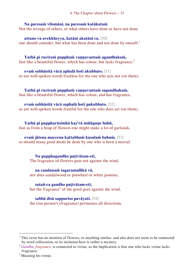4: The Chapter about Flowers – 31

#### **Na paresaṁ vilomāni, na paresaṁ katākataṁ**

Not the wrongs of others, or what others have done or have not done

#### **attano va avekkheyya, katāni akatāni ca.** [50]

one should consider, but what has been done and not done by oneself.<sup>1</sup>

#### Yathā pi ruciram puppham vannavantam agandhakam,

Just like a beautiful flower, which has colour, but lacks fragrance,<sup>2</sup>

#### **evaṁ subhāsitā vācā aphalā hoti akubbato.** [51]

so are well-spoken words fruitless for the one who acts not (on them).

#### **Yathā pi ruciraṁ pupphaṁ vaṇṇavantaṁ sagandhakaṁ,**

Just like a beautiful flower, which has colour, and has fragrance,

#### **evaṁ subhāsitā vācā saphalā hoti pakubbato.** [52]

so are well-spoken words fruitful for the one who does act (on them).

#### **Yathā pi puppharāsimhā kay<sup>i</sup> rā mālāguṇe bahū,**

Just as from a heap of flowers one might make a lot of garlands,

#### **evaṁ jātena maccena kattabbaṁ kusalaṁ bahuṁ.** [53]

so should many good deeds be done by one who is born a mortal.

#### **Na pupphagandho paṭivātam-eti,**

The fragrance of flowers goes not against the wind,

#### **na candanaṁ tagaramallikā vā,**

nor does sandalwood or pinwheel or white jasmine,

#### **satañ-ca gandho paṭivātam-eti,**

but the fragrance<sup>3</sup> of the good goes against the wind,

#### **sabbā disā sappuriso pavāyati.** [54]

the true person's (fragrance) permeates all directions.

<sup>&</sup>lt;sup>1</sup> This verse has no mention of flowers, or anything similar, and also does not seem to be connected by word collocation, so its inclusion here is rather a mystery.

<sup>2</sup> *Gandha*, *fragrance*, is connected to virtue, so the implication is that one who lacks virtue lacks fragrance.

 $3$  Meaning his virtue.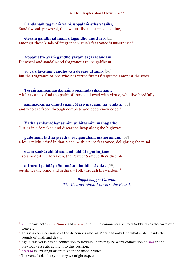#### **Candanaṁ tagaraṁ vā pi, uppalaṁ atha vassikī,**

Sandalwood, pinwheel, then water lily and striped jasmine,

**etesaṁ gandhajātānaṁ sīlagandho anuttaro.** [55] amongst these kinds of fragrance virtue's fragrance is unsurpassed.

**Appamatto ayaṁ gandho yāyaṁ tagaracandanī,**  Pinwheel and sandalwood fragrance are insignificant,

**yo ca sīlavataṁ gandho vāti devesu uttamo.** [56] but the fragrance of one who has virtue flutters<sup>1</sup> supreme amongst the gods.

**Tesaṁ sampannasīlānaṁ, appamādavihārinaṁ,** \* Māra cannot find the path<sup>2</sup> of those endowed with virtue, who live heedfully,

#### **sammad-aññāvimuttānaṁ, Māro maggaṁ na vindati.** [57]

and who are freed through complete and deep knowledge.<sup>3</sup>

**Yathā saṅkāradhānasmiṁ ujjhitasmiṁ mahāpathe** Just as in a forsaken and discarded heap along the highway

#### **padumaṁ tattha jāyetha, sucigandhaṁ manoramaṁ,** [58] a lotus might arise<sup>4</sup> in that place, with a pure fragrance, delighting the mind,

**evaṁ saṅkārabhūtesu, andhabhūte puthujjane** \* so amongst the forsaken, the Perfect Sambuddha's disciple

**atirocati paññāya Sammāsambuddhasāvako.** [59] outshines the blind and ordinary folk through his wisdom.<sup>5</sup>

> *Pupphavaggo Catuttho The Chapter about Flowers, the Fourth*

<sup>1</sup> *Vāti* means both *blow, flutter* and *weave*, and in the commentarial story Sakka takes the form of a weaver.

 $2$  This is a common simile in the discourses also, as Mara can only find what is still inside the rounds of birth and death.

<sup>3</sup> Again this verse has no connection to flowers, there may be word-collocation on *sīla* in the previous verse attracting into this position.

<sup>&</sup>lt;sup>4</sup> Jāyetha is 3rd singular optative in the middle voice.

 $<sup>5</sup>$  The verse lacks the symmetry we might expect.</sup>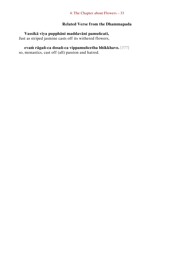#### **Related Verse from the Dhammapada**

#### **Vassikā viya pupphāni maddavāni pamuñcati,**

Just as striped jasmine casts off its withered flowers,

## **evaṁ rāgañ-ca dosañ-ca vippamuñcetha bhikkhavo.** [377]

so, monastics, cast off (all) passion and hatred.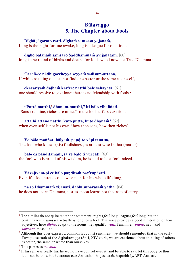#### <span id="page-34-0"></span>**Bālavaggo 5. The Chapter about Fools**

**Dīghā jāgarato ratti, dīghaṁ santassa yojanaṁ,**

Long is the night for one awake, long is a league for one tired,

#### **dīgho bālānaṁ saṁsāro Saddhammaṁ avijānataṁ.** [60]

long is the round of births and deaths for fools who know not True Dhamma.<sup>1</sup>

**Carañ-ce nādhigaccheyya seyyaṁ sadisam-attano,** If while roaming one cannot find one better or the same as oneself,

**ekacar<sup>i</sup> yaṁ daḷhaṁ kay<sup>i</sup> rā: natthi bāle sahāyatā.** [61] one should resolve to go alone: there is no friendship with fools.<sup>2</sup>

#### **"Puttā matthi,<sup>3</sup> dhanam-matthi," iti bālo vihaññati,**

"Sons are mine, riches are mine," so the fool suffers vexation,

**attā hi attano natthi, kuto puttā, kuto dhanaṁ?** [62] when even self is not his own, $4$  how then sons, how then riches?

#### **Yo bālo maññati bālyaṁ, paṇḍito vāpi tena so,**  The fool who knows (his) foolishness, is at least wise in that (matter),

**bālo ca paṇḍitamānī, sa ve bālo ti vuccati.** [63] the fool who is proud of his wisdom, he is said to be a fool indeed.

**Yāvajīvam-pi ce bālo paṇḍitaṁ pay<sup>i</sup> rupāsati,**  Even if a fool attends on a wise man for his whole life long,

**na so Dhammaṁ vijānāti, dabbī sūparasaṁ yathā.** [64]

he does not learn Dhamma, just as spoon learns not the taste of curry.

<sup>1</sup> The similes do not quite match the statement, nights *feel* long, leagues *feel* long, but the continuance in saṁsāra actually *is* long for a fool. The verse provides a good illustration of how adjectives, here *dīgha*, adapt to the nouns they qualify: *ratti*, feminine; *yojana*, neut, and *saṁsāra*, masculine.

 $2$  Although this does express a common Buddhist sentiment, we should remember that in the early Tuvaṭakasuttaṁ of the Aṭṭhakavagga (Sn 4, XIV vs. 4), we are cautioned about thinking of others as better, the same or worse than ourselves.

<sup>3</sup> This parses as *me atthi*.

 $4$  If his self was really his, he would have control over it, and be able to say: let this body be thus, let it not be thus, but he cannot (see Anattalakkhaṇasuttaṁ, http://bit.ly/ABT-Anatta).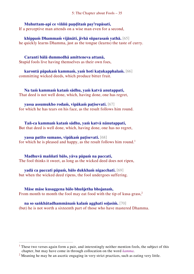#### **Muhuttam-api ce viññū paṇḍitaṁ pay<sup>i</sup> rupāsati,**

If a perceptive man attends on a wise man even for a second,

**khippaṁ Dhammaṁ vijānāti, jivhā sūparasaṁ yathā.** [65] he quickly learns Dhamma, just as the tongue (learns) the taste of curry.

**Caranti bālā dummedhā amitteneva attanā,**  Stupid fools live having themselves as their own foes,

**karontā pāpakaṁ kammaṁ, yaṁ hoti kaṭukapphalaṁ.** [66] committing wicked deeds, which produce bitter fruit.

**Na taṁ kammaṁ kataṁ sādhu, yaṁ katvā anutappati,**  That deed is not well done, which, having done, one has regret,

**yassa assumukho rodaṁ, vipākaṁ paṭisevati.** [67] for which he has tears on his face, as the result follows him round.

**Tañ-ca kammaṁ kataṁ sādhu, yaṁ katvā nānutappati,**  But that deed is well done, which, having done, one has no regret,

**yassa patīto sumano, vipākaṁ paṭisevati.** [68] for which he is pleased and happy, as the result follows him round.<sup>1</sup>

**Madhuvā maññati bālo, yāva pāpaṁ na paccati,** The fool thinks it sweet, as long as the wicked deed does not ripen,

**yadā ca paccati pāpaṁ, bālo dukkhaṁ nigacchati.** [69] but when the wicked deed ripens, the fool undergoes suffering.

 $\overline{a}$ 

**Māse māse kusaggena bālo bhuñjetha bhojanaṁ,**  From month to month the fool may eat food with the tip of kusa-grass,<sup>2</sup>

**na so saṅkhātadhammānaṁ kalaṁ agghati soḷasiṁ.** [70] (but) he is not worth a sixteenth part of those who have mastered Dhamma.

<sup>&</sup>lt;sup>1</sup> These two verses again form a pair, and interestingly neither mention fools, the subject of this chapter, but may have come in through collocation on the word *kamma*.

<sup>&</sup>lt;sup>2</sup> Meaning he may be an ascetic engaging in very strict practices, such as eating very little.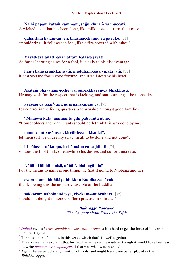# **Na hi pāpaṁ kataṁ kammaṁ, sajju khīraṁ va muccati,**

A wicked deed that has been done, like milk, does not turn all at once,

**ḍahantaṁ bālam-anveti, bhasmacchanno va pāvako.** [71] smouldering,<sup>1</sup> it follows the fool, like a fire covered with ashes.<sup>2</sup>

### **Yāvad-eva anatthāya ñattaṁ bālassa jāyati,**

As far as learning arises for a fool, it is only to his disadvantage,

**hanti bālassa sukkaṁsaṁ, muddham-assa vipātayaṁ.** [72] it destroys the fool's good fortune, and it will destroy his head.<sup>3</sup>

### **Asataṁ bhāvanam-iccheyya, purekkhārañ-ca bhikkhusu,**

He may wish for the respect that is lacking, and status amongst the monastics,

### **āvāsesu ca issar<sup>i</sup> yaṁ, pūjā parakulesu ca:** [73]

for control in the living quarters, and worship amongst good families:

**"Mameva kata' maññantu gihī pabbajitā ubho,**  "Householders and renunciants should both think this was done by me,

**mameva ativasā assu, kiccākiccesu kismici",**

let them (all) be under my sway, in all to be done and not done",

### **iti bālassa saṅkappo, icchā māno ca vaḍḍhati.** [74]

so does the fool think, (meanwhile) his desires and conceit increase.

### **Aññā hi lābhūpanisā, aññā Nibbānagāminī,**

For the means to gains is one thing, the (path) going to Nibbāna another,

### **evam-etaṁ abhiññāya bhikkhu Buddhassa sāvako**

thus knowing this the monastic disciple of the Buddha

# **sakkāraṁ nābhinandeyya, vivekam-anubrūhaye.** [75]

should not delight in honours, (but) practise in solitude.<sup>4</sup>

 $\overline{a}$ 

*Bālavaggo Pañcamo The Chapter about Fools, the Fifth*

<sup>1</sup> *Ḍahati* means *burns*, *smoulders*, *consumes*, *torments*; it is hard to get the force of it over in natural English.

<sup>2</sup> There is a mix of similes in this verse, which don't fit well together.

 $3$  The commentary explains that his head here means his wisdom, though it would have been easy to write *paññam-assa vipātayaṁ* if that was what was intended.

<sup>&</sup>lt;sup>4</sup> Again the verse lacks any mention of fools, and might have been better placed in the *Bhikkhuvagga*.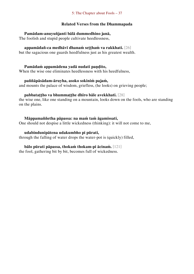### **Related Verses from the Dhammapada**

### **Pamādam-anuyuñjanti bālā dummedhino janā,**

The foolish and stupid people cultivate heedlessness,

### **appamādañ-ca medhāvī dhanaṁ seṭṭhaṁ va rakkhati.** [26]

but the sagacious one guards heedfulness just as his greatest wealth.

### **Pamādaṁ appamādena yadā nudati paṇḍito,**

When the wise one eliminates heedlessness with his heedfulness,

### **paññāpāsādam-āruyha, asoko sokiniṁ pajaṁ,**

and mounts the palace of wisdom, griefless, (he looks) on grieving people;

### **pabbataṭṭho va bhummaṭṭhe dhīro bāle avekkhati.** [28]

the wise one, like one standing on a mountain, looks down on the fools, who are standing on the plains.

### **Māppamaññetha pāpassa: na maṁ taṁ āgamissati,**

One should not despise a little wickedness (thinking): it will not come to me,

### **udabindunipātena udakumbho pi pūrati,**

through the falling of water drops the water-pot is (quickly) filled,

### **bālo pūrati pāpassa, thokaṁ thokam-pi ācinaṁ.** [121]

the fool, gathering bit by bit, becomes full of wickedness.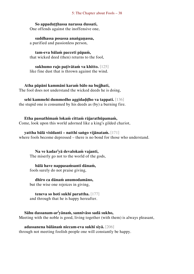**So appaduṭṭhassa narassa dussati,** One offends against the inoffensive one,

**suddhassa posassa anaṅgaṇassa,** a purified and passionless person,

**tam-eva bālaṁ pacceti pāpaṁ,** that wicked deed (then) returns to the fool,

**sukhumo rajo paṭivātaṁ va khitto.** [125] like fine dust that is thrown against the wind.

**Atha pāpāni kammāni karaṁ bālo na bujjhati,**  The fool does not understand the wicked deeds he is doing,

**sehi kammehi dummedho aggidaḍḍho va tappati.** [136] the stupid one is consumed by his deeds as (by) a burning fire.

**Etha passathimaṁ lokaṁ cittaṁ rājarathūpamaṁ,** Come, look upon this world adorned like a king's gilded chariot,

**yattha bālā visīdanti – natthi saṅgo vijānataṁ.** [171] where fools become depressed – there is no bond for those who understand.

**Na ve kadar<sup>i</sup> yā devalokaṁ vajanti,**  The miserly go not to the world of the gods,

**bālā have nappasaṁsanti dānaṁ,** fools surely do not praise giving,

**dhīro ca dānaṁ anumodamāno,** but the wise one rejoices in giving,

**teneva so hoti sukhī parattha.** [177] and through that he is happy hereafter.

**Sāhu dassanam-ar<sup>i</sup> yānaṁ, sannivāso sadā sukho,** Meeting with the noble is good, living together (with them) is always pleasant,

**adassanena bālānaṁ niccam-eva sukhī siyā.** [206] through not meeting foolish people one will constantly be happy.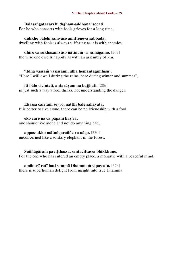### **Bālasaṅgatacārī hi dīgham-addhāna' socati,**

For he who consorts with fools grieves for a long time,

### **dukkho bālehi saṁvāso amitteneva sabbadā,**

dwelling with fools is always suffering as it is with enemies,

### **dhīro ca sukhasaṁvāso ñātīnaṁ va samāgamo.** [207]

the wise one dwells happily as with an assembly of kin.

### **"Idha vassaṁ vasissāmi, idha hemantagimhisu",**

"Here I will dwell during the rains, here during winter and summer",

### **iti bālo vicinteti, antarāyaṁ na bujjhati.** [286] in just such a way a fool thinks, not understanding the danger.

### **Ekassa caritaṁ seyyo, natthi bāle sahāyatā,**

It is better to live alone, there can be no friendship with a fool,

### **eko care na ca pāpāni kay<sup>i</sup> rā,**

one should live alone and not do anything bad,

### **appossukko mātaṅgaraññe va nāgo.** [330]

unconcerned like a solitary elephant in the forest.

### **Suññāgāraṁ paviṭṭhassa, santacittassa bhikkhuno,**

For the one who has entered an empty place, a monastic with a peaceful mind,

### **amānusī ratī hoti sammā Dhammaṁ vipassato.** [373]

there is superhuman delight from insight into true Dhamma.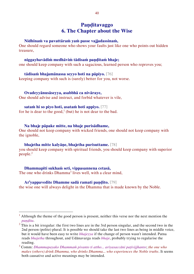### **Paṇḍitavaggo 6. The Chapter about the Wise**

### **Nidhīnaṁ va pavattāraṁ yaṁ passe vajjadassinaṁ,**

One should regard someone who shows your faults just like one who points out hidden treasure,

### **niggayhavādiṁ medhāviṁ tādisaṁ paṇḍitaṁ bhaje;**

one should keep company with such a sagacious, learned person who reproves you;

### **tādisaṁ bhajamānassa seyyo hoti na pāpiyo.** [76]

keeping company with such is (surely) better for you, not worse.

**Ovadeyyānusāseyya, asabbhā ca nivāraye,**  One should advise and instruct, and forbid whatever is vile,

**sataṁ hi so piyo hoti, asataṁ hoti appiyo.** [77] for he is dear to the good,<sup>1</sup> (but) he is not dear to the bad.

#### **Na bhaje pāpake mitte, na bhaje purisādhame,**

One should not keep company with wicked friends, one should not keep company with the ignoble,

#### **bhajetha mitte kalyāṇe, bhajetha purisuttame.** [78]

you should keep company with spiritual friends, you should keep company with superior people.<sup>2</sup>

**Dhammapīti sukhaṁ seti, vippasannena cetasā,**  The one who drinks Dhamma<sup>3</sup> lives well, with a clear mind,

 $\overline{a}$ 

# **Ar<sup>i</sup> yappavedite Dhamme sadā ramati paṇḍito.** [79]

the wise one will always delight in the Dhamma that is made known by the Noble.

 $<sup>1</sup>$  Although the theme of the good person is present, neither this verse nor the next mention the</sup> *paṇḍita*.

<sup>&</sup>lt;sup>2</sup> This is a bit irregular: the first two lines are in the 3rd person singular, and the second two in the 2nd person (polite) plural. It is possible we should take the last two lines as being in middle voice, but it would have been easy to write *bhajeyya* if the change of person wasn't intended. Patna reads *bhajetha* throughout, and Udānavarga reads *bhaje*, probably trying to regularise the reading.

<sup>3</sup> Comm: *Dhammapayako Dhammaṁ pivanto ti attho... ariyasaccāni paṭivijjhanto*; *the one who makes (others) drink Dhamma, who drinks Dhamma... who experiences the Noble truths*. It seems both causative and active meanings may be intended.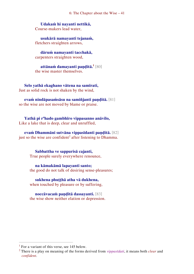6: The Chapter about the Wise – 41

**Udakaṁ hi nayanti nettikā,**  Course-makers lead water,

**usukārā namayanti tejanaṁ,**  fletchers straighten arrows,

**dāruṁ namayanti tacchakā,**  carpenters straighten wood,

**attānaṁ damayanti paṇḍitā.<sup>1</sup>** [80] the wise master themselves.

**Selo yathā ekaghano vātena na samīrati,** Just as solid rock is not shaken by the wind,

**evaṁ nindāpasaṁsāsu na samiñjanti paṇḍitā.** [81] so the wise are not moved by blame or praise.

**Yathā pi r<sup>a</sup>hado gambhīro vippasanno anāvilo,**  Like a lake that is deep, clear and unruffled,

**evaṁ Dhammāni sutvāna vippasīdanti paṇḍitā.** [82] just so the wise are confident<sup>2</sup> after listening to Dhamma.

> **Sabbattha ve sappurisā cajanti,**  True people surely everywhere renounce,

**na kāmakāmā lapayanti santo;**  the good do not talk of desiring sense-pleasures;

**sukhena phuṭṭhā atha vā dukhena,** when touched by pleasure or by suffering,

**noccāvacaṁ paṇḍitā dassayanti.** [83] the wise show neither elation or depression.

 $\overline{a}$ 

 $<sup>1</sup>$  For a variant of this verse, see 145 below.</sup>

<sup>2</sup> There is a play on meaning of the forms derived from *vippasīdati*, it means both *clear* and *confident*.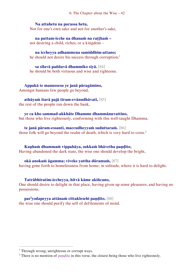6: The Chapter about the Wise – 42

### **Na attahetu na parassa hetu,**

Not for one's own sake and not for another's sake,

**na puttam-icche na dhanaṁ na raṭṭhaṁ –** not desiring a child, riches, or a kingdom –

**na iccheyya adhammena samiddhim-attano;** he should not desire his success through corruption;<sup>1</sup>

**sa sīlavā paññavā dhammiko siyā.** [84] he should be both virtuous and wise and righteous.

**Appakā te manussesu ye janā pāragāmino,**  Amongst humans few people go beyond,

**athāyaṁ itarā pajā tīram-evānudhāvati,** [85] the rest of the people run down the bank,

**ye ca kho sammad-akkhāte Dhamme dhammānuvattino,**  but those who live righteously, conforming with this well-taught Dhamma,

**te janā pāram-essanti, maccudheyyaṁ suduttaraṁ.** [86] those folk will go beyond the realm of death, which is very hard to cross.<sup>2</sup>

**Kaṇhaṁ dhammaṁ vippahāya, sukkaṁ bhāvetha paṇḍito,**  Having abandoned the dark state, the wise one should develop the bright,

**okā anokaṁ āgamma; viveke yattha dūramaṁ,** [87] having gone forth to homelessness from home; in solitude, where it is hard to delight.

**Tatrābhiratim-iccheyya, hitvā kāme akiñcano,** 

One should desire to delight in that place, having given up sense pleasures, and having no possessions,

**par<sup>i</sup> yodapeyya attānaṁ cittaklesehi paṇḍito.** [88] the wise one should purify the self of defilements of mind.

 $\overline{a}$ 

<sup>&</sup>lt;sup>1</sup> Through wrong, unrighteous or corrupt ways.

<sup>&</sup>lt;sup>2</sup> There is no mention of *paṇḍita* in this verse, the closest being those who live righteously.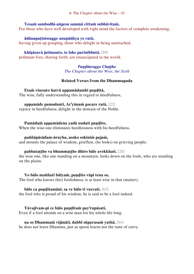### **Yesaṁ sambodhi-aṅgesu sammā cittaṁ subhāvitaṁ,**

For those who have well developed with right mind the factors of complete awakening,

### **ādānapaṭinissagge anupādāya ye ratā,**

having given up grasping, those who delight in being unattached,

### **khīṇāsavā jutimanto, te loke parinibbutā.** [89]

pollutant-free, shining forth, are emancipated in the world.

### *Paṇḍitavaggo Chaṭṭho The Chapter about the Wise, the Sixth*

### **Related Verses from the Dhammapada**

### **Etaṁ visesato ñatvā appamādamhi paṇḍitā,**

The wise, fully understanding this in regard to heedfulness,

### **appamāde pamodanti, Ar<sup>i</sup> yānaṁ gocare ratā.** [22]

rejoice in heedfulness, delight in the domain of the Noble.

### **Pamādaṁ appamādena yadā nudati paṇḍito,**

When the wise one eliminates heedlessness with his heedfulness,

### **paññāpāsādam-āruyha, asoko sokiniṁ pajaṁ,**

and mounts the palace of wisdom, griefless, (he looks) on grieving people;

### **pabbataṭṭho va bhummaṭṭhe dhīro bāle avekkhati.** [28]

the wise one, like one standing on a mountain, looks down on the fools, who are standing on the plains.

### **Yo bālo maññati bālyaṁ, paṇḍito vāpi tena so,**

The fool who knows (his) foolishness, is at least wise in that (matter),

### **bālo ca paṇḍitamānī, sa ve bālo ti vuccati.** [63]

the fool who is proud of his wisdom, he is said to be a fool indeed.

### **Yāvajīvam-pi ce bālo paṇḍitaṁ pay<sup>i</sup> rupāsati,**

Even if a fool attends on a wise man for his whole life long,

### **na so Dhammaṁ vijānāti, dabbī sūparasaṁ yathā.** [64]

he does not learn Dhamma, just as spoon learns not the taste of curry.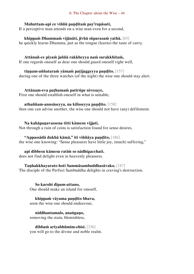### **Muhuttam-api ce viññū paṇḍitaṁ pay<sup>i</sup> rupāsati,**

If a perceptive man attends on a wise man even for a second,

**khippaṁ Dhammaṁ vijānāti, jivhā sūparasaṁ yathā.** [65] he quickly learns Dhamma, just as the tongue (learns) the taste of curry.

### **Attānañ-ce piyaṁ jaññā rakkheyya naṁ surakkhitaṁ,**

If one regards oneself as dear one should guard oneself right well,

### **tiṇṇam-aññataraṁ yāmaṁ paṭijaggeyya paṇḍito.** [157]

during one of the three watches (of the night) the wise one should stay alert.

### **Attānam-eva paṭhamaṁ patirūpe nivesaye,**

First one should establish oneself in what is suitable,

### **athaññam-anusāseyya, na kilisseyya paṇḍito.** [158]

then one can advise another, the wise one should not have (any) defilement.

### **Na kahāpaṇavassena titti kāmesu vijjati,**

Not through a rain of coins is satisfaction found for sense desires,

### **"Appassādā dukhā kāmā," iti viññāya paṇḍito,** [186]

the wise one knowing: "Sense pleasures have little joy, (much) suffering,"

### **api dibbesu kāmesu ratiṁ so nādhigacchati.**

does not find delight even in heavenly pleasures.

### **Taṇhakkhayarato hoti Sammāsambuddhasāvako.** [187]

The disciple of the Perfect Sambuddha delights in craving's destruction.

**So karohi dīpam-attano,**  One should make an island for oneself,

### **khippaṁ vāyama paṇḍito bhava,**

soon the wise one should endeavour,

**niddhantamalo, anaṅgaṇo,**  removing the stain, blemishless,

**dibbaṁ ariyabhūmim-ehisi.** [236] you will go to the divine and noble realm.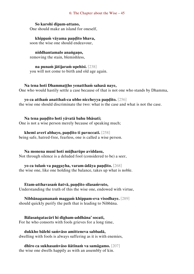### **So karohi dīpam-attano,**

One should make an island for oneself,

**khippaṁ vāyama paṇḍito bhava,**  soon the wise one should endeavour,

**niddhantamalo anaṅgaṇo,** 

removing the stain, blemishless,

**na punaṁ jātijaraṁ upehisi.** [238] you will not come to birth and old age again.

### **Na tena hoti Dhammaṭṭho yenatthaṁ sahasā naye,**

One who would hastily settle a case because of that is not one who stands by Dhamma,

### **yo ca atthaṁ anatthañ-ca ubho niccheyya paṇḍito.** [256]

the wise one should discriminate the two: what is the case and what is not the case.

### **Na tena paṇḍito hoti yāvatā bahu bhāsati;**

One is not a wise person merely because of speaking much;

### **khemī averī abhayo, paṇḍito ti pavuccati.** [258]

being safe, hatred-free, fearless, one is called a wise person.

### **Na monena munī hoti mūḷharūpo aviddasu,**

Not through silence is a deluded fool (considered to be) a seer,

### **yo ca tulaṁ va paggayha, varam-ādāya paṇḍito.** [268]

the wise one, like one holding the balance, takes up what is noble.

### **Etam-atthavasaṁ ñatvā, paṇḍito sīlasaṁvuto,**

Understanding the truth of this the wise one, endowed with virtue,

### **Nibbānagamanaṁ maggaṁ khippam-eva visodhaye.** [289] should quickly purify the path that is leading to Nibbāna.

**Bālasaṅgatacārī hi dīgham-addhāna' socati,**  For he who consorts with fools grieves for a long time,

**dukkho bālehi saṁvāso amitteneva sabbadā,** dwelling with fools is always suffering as it is with enemies,

**dhīro ca sukhasaṁvāso ñātīnaṁ va samāgamo.** [207] the wise one dwells happily as with an assembly of kin.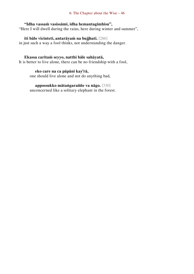### **"Idha vassaṁ vasissāmi, idha hemantagimhisu",**

"Here I will dwell during the rains, here during winter and summer",

### **iti bālo vicinteti, antarāyaṁ na bujjhati.** [286]

in just such a way a fool thinks, not understanding the danger.

### **Ekassa caritaṁ seyyo, natthi bāle sahāyatā,**

It is better to live alone, there can be no friendship with a fool,

### **eko care na ca pāpāni kay<sup>i</sup> rā,**

one should live alone and not do anything bad,

### **appossukko mātaṅgaraññe va nāgo.** [330]

unconcerned like a solitary elephant in the forest.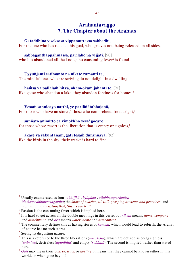## **Arahantavaggo 7. The Chapter about the Arahats**

### **Gataddhino visokassa vippamuttassa sabbadhi,**

For the one who has reached his goal, who grieves not, being released on all sides,

### **sabbaganthappahīnassa, pariḷāho na vijjati.** [90]

who has abandoned all the knots,<sup>1</sup> no consuming fever<sup>2</sup> is found.

### **Uyyuñjanti satīmanto na nikete ramanti te,**

The mindful ones who are striving do not delight in a dwelling,

### **haṁsā va pallalaṁ hitvā, okam-okaṁ jahanti te.** [91]

like geese who abandon a lake, they abandon fondness for homes.<sup>3</sup>

### **Yesaṁ sannicayo natthi, ye pariññātabhojanā,**

For those who have no stores,<sup>4</sup> those who comprehend food aright,<sup>5</sup>

### **suññato animitto ca vimokkho yesa' gocaro,**

for those whose resort is the liberation that is empty or signless.<sup>6</sup>

### **ākāse va sakuntānaṁ, gati tesaṁ durannayā.** [92] like the birds in the sky, their track<sup>7</sup> is hard to find.

 $\overline{a}$ 

<sup>1</sup> Usually enumerated as four: *abhijjhā*-, *byāpāda*-, *sīlabbataparāmāsa*-, *idaṁsaccābhinivesagantha*; the *knots of avarice*, *ill-will*, *grasping at virtue and practices*, and *inclination to (insisting that) 'this is the truth'*.

 $2$  Passion is the consuming fever which is implied here.

<sup>3</sup> It is hard to get across all the double meanings in this verse, but *niketa* means: *home*, *company* and *attachment*; and *oka* means *water*, *home* and *attachment*.

<sup>4</sup> The commentary defines this as having stores of *kamma*, which would lead to rebirth; the Arahat of course has no such stores.

<sup>&</sup>lt;sup>5</sup> Seeing its disgusting nature.

 $6$  This is a reference to the three liberations ( $\textit{vimokkha}$ ), which are defined as being signless (*animitta*), desireless (*apanihita*) and empty (*suññatā*). The second is implied, rather than stated here.

<sup>7</sup> *Gati* may mean their *course*, *track* or *destiny*; it means that they cannot be known either in this world, or when gone beyond.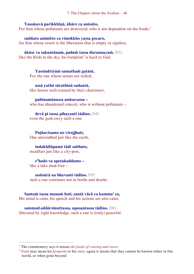7: The Chapter about the Arahats – 48

### **Yassāsavā parikkhīṇā, āhāre ca anissito,**

For him whose pollutants are destroyed, who is not dependent on the foods,<sup>1</sup>

**suññato animitto ca vimokkho yassa gocaro,** for him whose resort is the liberation that is empty or signless,

### **ākāse va sakuntānaṁ, padaṁ tassa durannayaṁ.** [93]

like the birds in the sky, his footprint<sup>2</sup> is hard to find.

**Yassindriyāni samathaṁ gatāni,**  For the one whose senses are stilled,

**assā yathā sārathinā sudantā,** like horses well-trained by their charioteer,

**pahīnamānassa anāsavassa –**

who has abandoned conceit, who is without pollutants –

**devā pi tassa pihayanti tādino.** [94] even the gods envy such a one.

**Paṭhavisamo no virujjhati,**  One untroubled just like the earth,

### **indakhīlūpamŏ tādi subbato,**

steadfast just like a city-post,

### **r <sup>a</sup>hado va apetakaddamo –**

like a lake mud-free –

 $\overline{a}$ 

**saṁsārā na bhavanti tādino.** [95] such a one continues not in births and deaths.

**Santaṁ tassa manaṁ hoti, santā vācā ca kamma' ca,**  His mind is calm, his speech and his actions are also calm,

**sammad-aññāvimuttassa, upasantassa tādino.** [96] liberated by right knowledge, such a one is (truly) peaceful.

<sup>1</sup> The commentary says it means *the foods of craving and views*.

<sup>2</sup> *Pada* may mean his *footprint* or his *state*; again it means that they cannot be known either in this world, or when gone beyond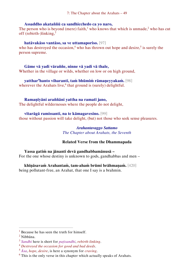### **Assaddho akataññū ca sandhicchedo ca yo naro,**

The person who is beyond (mere) faith,<sup>1</sup> who knows that which is unmade,<sup>2</sup> who has cut off (rebirth-)linking, $3$ 

### **hatāvakāso vantāso, sa ve uttamaporiso.** [97]

who has destroyed the occasion,<sup>4</sup> who has thrown out hope and desire,<sup>5</sup> is surely the person supreme.

### **Gāme vā yadi vāraññe, ninne vā yadi vā thale,**

Whether in the village or wilds, whether on low or on high ground,

### **yatthar<sup>a</sup>hanto viharanti, taṁ bhūmiṁ rāmaṇeyyakaṁ.** [98] wherever the Arahats live,<sup>6</sup> that ground is (surely) delightful.

### **Ramaṇīyāni araññāni yattha na ramatī jano,**

The delightful wildernesses where the people do not delight,

# **vītarāgā ramissanti, na te kāmagavesino.** [99]

those without passion will take delight, (but) not those who seek sense pleasures.

*Arahantavaggo Sattamo The Chapter about Arahats, the Seventh*

### **Related Verse from the Dhammapada**

### **Yassa gatiṁ na jānanti devā gandhabbamānusā –** For the one whose destiny is unknown to gods, gandhabbas and men –

### **khīṇāsavaṁ Arahantaṁ, tam-ahaṁ brūmi brāhmaṇaṁ.** [420] being pollutant-free, an Arahat, that one I say is a brahmin.

 $\overline{a}$ 

 $<sup>1</sup>$  Because he has seen the truth for himself.</sup>

<sup>2</sup> Nibbāna.

<sup>3</sup> *Sandhi* here is short for *paṭisandhi*, *rebirth-linking*.

<sup>4</sup> *Destroyed the occasion for good and bad deeds*.

<sup>5</sup> *Āsa*, *hope*, *desire*, is here a synonym for *craving*.

 $6$  This is the only verse in this chapter which actually speaks of Arahats.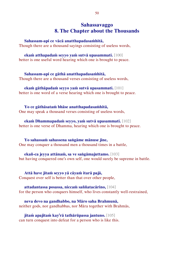### **Sahassavaggo 8. The Chapter about the Thousands**

**Sahassam-api ce vācā anatthapadasaṁhitā,** 

Though there are a thousand sayings consisting of useless words,

**ekaṁ atthapadaṁ seyyo yaṁ sutvā upasammati.** [100] better is one useful word hearing which one is brought to peace.

**Sahassam-api ce gāthā anatthapadasaṁhitā,**  Though there are a thousand verses consisting of useless words,

**ekaṁ gāthāpadaṁ seyyo yaṁ sutvā upasammati.** [101] better is one word of a verse hearing which one is brought to peace.

**Yo ce gāthāsataṁ bhāse anatthapadasaṁhitā,**  One may speak a thousand verses consisting of useless words,

**ekaṁ Dhammapadaṁ seyyo, yaṁ sutvā upasammati.** [102] better is one verse of Dhamma, hearing which one is brought to peace.

**Yo sahassaṁ sahassena saṅgāme mānuse jine,**  One may conquer a thousand men a thousand times in a battle,

**ekañ-ca jeyya attānaṁ, sa ve saṅgāmajuttamo.** [103] but having conquered one's own self, one would surely be supreme in battle.

**Attā have jitaṁ seyyo yā cāyaṁ itarā pajā,** Conquest over self is better than that over other people,

**attadantassa posassa, niccaṁ saññatacārino,** [104] for the person who conquers himself, who lives constantly well-restrained,

**neva devo na gandhabbo, na Māro saha Brahmunā,**  neither gods, nor gandhabbas, nor Māra together with Brahmās,

**jitaṁ apajitaṁ kay<sup>i</sup> rā tathārūpassa jantuno.** [105] can turn conquest into defeat for a person who is like this.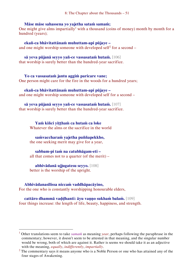### **Māse māse sahassena yo yajetha sataṁ samaṁ;**

One might give alms impartially<sup>1</sup> with a thousand (coins of money) month by month for a hundred (years);

**ekañ-ca bhāvitattānaṁ muhuttam-api pūjaye –** and one might worship someone with developed self<sup>2</sup> for a second  $-$ 

**sā yeva pūjanā seyyo yañ-ce vassasataṁ hutaṁ.** [106]

that worship is surely better than the hundred-year sacrifice.

**Yo ca vassasataṁ jantu aggiṁ paricare vane;**  One person might care for the fire in the woods for a hundred years;

**ekañ-ca bhāvitattānaṁ muhuttam-api pūjaye –** and one might worship someone with developed self for a second –

**sā yeva pūjanā seyyo yañ-ce vassasataṁ hutaṁ.** [107] that worship is surely better than the hundred-year sacrifice.

> **Yaṁ kiñci yiṭṭhaṁ ca hutaṁ ca loke** Whatever the alms or the sacrifice in the world

**saṁvaccharaṁ yajetha puññapekkho,** the one seeking merit may give for a year,

**sabbam-pi taṁ na catubhāgam-eti –** all that comes not to a quarter (of the merit) –

**abhivādanā ujjugatesu seyyo.** [108] better is the worship of the upright.

### **Abhivādanasīlissa niccaṁ vaddhāpacāyino,**

 $\overline{a}$ 

For the one who is constantly worshipping honourable elders,

**cattāro dhammā vaḍḍhanti: āyu vaṇṇo sukhaṁ balaṁ.** [109] four things increase: the length of life, beauty, happiness, and strength.

<sup>1</sup> Other translations seem to take *samaṁ* as meaning *year*, perhaps following the paraphrase in the commentary; however, it doesn't seem to be attested in that meaning, and the singular number would be wrong, both of which are against it. Rather is seems we should take it as an adjective with the meaning, *equally*, *indifferently*, *impartially*.

<sup>&</sup>lt;sup>2</sup> The commentary says it means anyone who is a Noble Person or one who has attained any of the four stages of Awakening.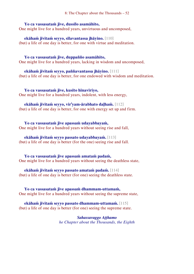8: The Chapter about the Thousands – 52

### **Yo ca vassasataṁ jīve, dussīlo asamāhito,**

One might live for a hundred years, unvirtuous and uncomposed,

**ekāhaṁ jīvitaṁ seyyo, sīlavantassa jhāyino.** [110] (but) a life of one day is better, for one with virtue and meditation.

### **Yo ca vassasataṁ jīve, duppañño asamāhito,**

One might live for a hundred years, lacking in wisdom and uncomposed,

**ekāhaṁ jīvitaṁ seyyo, paññavantassa jhāyino.** [111] (but) a life of one day is better, for one endowed with wisdom and meditation.

**Yo ca vassasataṁ jīve, kusīto hīnavīriyo,**  One might live for a hundred years, indolent, with less energy,

### **ekāhaṁ jīvitaṁ seyyo, vir<sup>i</sup> yam-ārabhato daḷhaṁ.** [112]

(but) a life of one day is better, for one with energy set up and firm.

**Yo ca vassasataṁ jīve apassaṁ udayabbayaṁ,**  One might live for a hundred years without seeing rise and fall,

### **ekāhaṁ jīvitaṁ seyyo passato udayabbayaṁ.** [113]

(but) a life of one day is better (for the one) seeing rise and fall.

**Yo ca vassasataṁ jīve apassaṁ amataṁ padaṁ,**  One might live for a hundred years without seeing the deathless state,

**ekāhaṁ jīvitaṁ seyyo passato amataṁ padaṁ.** [114] (but) a life of one day is better (for one) seeing the deathless state.

### **Yo ca vassasataṁ jīve apassaṁ dhammam-uttamaṁ,**

One might live for a hundred years without seeing the supreme state,

**ekāhaṁ jīvitaṁ seyyo passato dhammam-uttamaṁ.** [115] (but) a life of one day is better (for one) seeing the supreme state.

### *Sahassavaggo Aṭṭhamo he Chapter about the Thousands, the Eighth*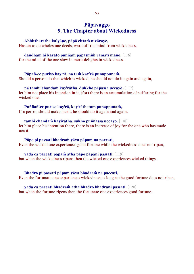### **Pāpavaggo 9. The Chapter about Wickedness**

### **Abhittharetha kalyāṇe, pāpā cittaṁ nivāraye,**

Hasten to do wholesome deeds, ward off the mind from wickedness,

### **dandhaṁ hi karato puññaṁ pāpasmiṁ ramatī mano.** [116]

for the mind of the one slow in merit delights in wickedness.

### **Pāpañ-ce puriso kay<sup>i</sup> rā, na taṁ kay<sup>i</sup> rā punappunaṁ,**

Should a person do that which is wicked, he should not do it again and again,

### **na tamhi chandaṁ kay<sup>i</sup> rātha, dukkho pāpassa uccayo.** [117]

let him not place his intention in it, (for) there is an accumulation of suffering for the wicked one.

### **Puññañ-ce puriso kay<sup>i</sup> rā, kay<sup>i</sup> rāthetaṁ punappunaṁ,**

If a person should make merit, he should do it again and again,

### **tamhi chandaṁ kayirātha, sukho puññassa uccayo.** [118]

let him place his intention there, there is an increase of joy for the one who has made merit.

### **Pāpo pi passati bhadraṁ yāva pāpaṁ na paccati,**

Even the wicked one experiences good fortune while the wickedness does not ripen,

### **yadā ca paccati pāpaṁ atha pāpo pāpāni passati.** [119]

but when the wickedness ripens then the wicked one experiences wicked things.

### **Bhadro pi passati pāpaṁ yāva bhadraṁ na paccati,**

Even the fortunate one experiences wickedness as long as the good fortune does not ripen,

### **yadā ca paccati bhadraṁ atha bhadro bhadrāni passati.** [120]

but when the fortune ripens then the fortunate one experiences good fortune.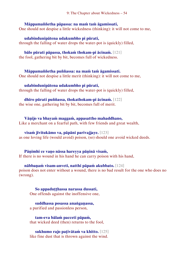### **Māppamaññetha pāpassa: na maṁ taṁ āgamissati,**

One should not despise a little wickedness (thinking): it will not come to me,

**udabindunipātena udakumbho pi pūrati,** through the falling of water drops the water-pot is (quickly) filled,

### **bālo pūrati pāpassa, thokaṁ thokam-pi ācinaṁ.** [121]

the fool, gathering bit by bit, becomes full of wickedness.

**Māppamaññetha puññassa: na maṁ taṁ āgamissati.**  One should not despise a little merit (thinking): it will not come to me,

**udabindunipātena udakumbho pi pūrati,** through the falling of water drops the water-pot is (quickly) filled,

### **dhīro pūrati puññassa, thokathokam-pi ācinaṁ.** [122]

the wise one, gathering bit by bit, becomes full of merit.

**Vāṇijo va bhayaṁ maggaṁ, appasattho mahaddhano,** Like a merchant on a fearful path, with few friends and great wealth,

### **visaṁ jīvitukāmo va, pāpāni parivajjaye.** [123]

as one loving life (would avoid) poison, (so) should one avoid wicked deeds.

### **Pāṇimhi ce vaṇo nāssa hareyya pāṇinā visaṁ,**

If there is no wound in his hand he can carry poison with his hand,

### **nābbaṇaṁ visam-anveti, natthi pāpaṁ akubbato.** [124]

poison does not enter without a wound, there is no bad result for the one who does no (wrong).

**So appaduṭṭhassa narassa dussati,** One offends against the inoffensive one,

**suddhassa posassa anaṅgaṇassa,** a purified and passionless person,

**tam-eva bālaṁ pacceti pāpaṁ,** that wicked deed (then) returns to the fool,

**sukhumo rajo paṭivātaṁ va khitto.** [125] like fine dust that is thrown against the wind.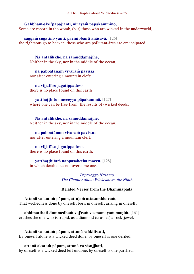### **Gabbham-eke 'papajjanti, nirayaṁ pāpakammino,**

Some are reborn in the womb, (but) those who are wicked in the underworld,

**saggaṁ sugatino yanti, parinibbanti anāsavā.** [126] the righteous go to heaven, those who are pollutant-free are emancipated.

**Na antalikkhe, na samuddamajjhe,** Neither in the sky, nor in the middle of the ocean,

**na pabbatānaṁ vivaraṁ pavissa:** nor after entering a mountain cleft:

**na vijjatī so jagatippadeso** there is no place found on this earth

**yatthaṭṭhito mucceyya pāpakammā.** [127] where one can be free from (the results of) wicked deeds.

**Na antalikkhe, na samuddamajjhe,** Neither in the sky, nor in the middle of the ocean,

**na pabbatānaṁ vivaraṁ pavissa:** nor after entering a mountain cleft:

### **na vijjatī so jagatippadeso,**

there is no place found on this earth,

### **yatthaṭṭhitaṁ nappasahetha maccu.** [128]

in which death does not overcome one.

*Pāpavaggo Navamo The Chapter about Wickedness, the Ninth*

### **Related Verses from the Dhammapada**

**Attanā va kataṁ pāpaṁ, attajaṁ attasambhavaṁ,**  That wickedness done by oneself, born in oneself, arising in oneself,

**abhimatthati dummedhaṁ vaj<sup>i</sup> raṁ vasmamayaṁ maṇiṁ.** [161] crushes the one who is stupid, as a diamond (crushes) a rock-jewel.

**Attanā va kataṁ pāpaṁ, attanā saṅkilissati,**  By oneself alone is a wicked deed done, by oneself is one defiled,

**attanā akataṁ pāpaṁ, attanā va visujjhati,** by oneself is a wicked deed left undone, by oneself is one purified,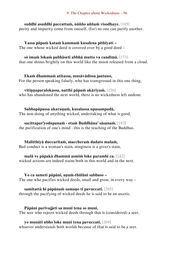### **suddhī asuddhī paccattaṁ, nāñño aññaṁ visodhaye.** [165]

purity and impurity come from oneself, (for) no one can purify another.

**Yassa pāpaṁ kataṁ kammaṁ kusalena pithīyati –** The one whose wicked deed is covered over by a good deed –

### **sŏ imaṁ lokaṁ pabhāseti abbhā mutto va candimā.** [173]

that one shines brightly on this world like the moon released from a cloud.

**Ekaṁ dhammaṁ atītassa, musāvādissa jantuno,** For the person speaking falsely, who has transgressed in this one thing,

**vitiṇṇaparalokassa, natthi pāpaṁ akāriyaṁ.** [176] who has abandoned the next world, there is no wickedness left undone.

**Sabbapāpassa akaraṇaṁ, kusalassa upasampadā,**  The non-doing of anything wicked, undertaking of what is good,

**sacittapar<sup>i</sup> yodapanaṁ - etaṁ Buddhāna' sāsanaṁ.** [183] the purification of one's mind - this is the teaching of the Buddhas.

**Malitthiyā duccaritaṁ, maccheraṁ dadato malaṁ,** Bad conduct is a woman's stain, stinginess is a giver's stain,

**malā ve pāpakā dhammā asmiṁ loke paramhi ca.** [242] wicked actions are indeed stains both in this world and in the next.

**Yo ca sameti pāpāni, aṇuṁ-thūlāni sabbaso –** The one who pacifies wicked deeds, small and great, in every way –

**samitattā hi pāpānaṁ samaṇo ti pavuccati.** [265] through the pacifying of wicked deeds he is said to be an ascetic.

**Pāpāni parivajjeti sa munī tena so muni,**  The seer who rejects wicked deeds through that is (considered) a seer,

**yo munāti ubho loke muni tena pavuccati.** [269]

whoever understands both worlds because of that is said to be a seer.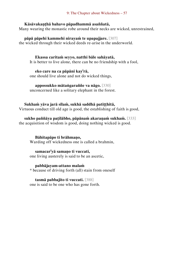### **Kāsāvakaṇṭhā bahavo pāpadhammā asaññatā,**

Many wearing the monastic robe around their necks are wicked, unrestrained,

**pāpā pāpehi kammehi nirayaṁ te upapajjare.** [307] the wicked through their wicked deeds re-arise in the underworld.

### **Ekassa caritaṁ seyyo, natthi bāle sahāyatā,**

It is better to live alone, there can be no friendship with a fool,

### **eko care na ca pāpāni kay<sup>i</sup> rā,**

one should live alone and not do wicked things,

### **appossukko mātaṅgaraññe va nāgo.** [330]

unconcerned like a solitary elephant in the forest.

### **Sukhaṁ yāva jarā sīlaṁ, sukhā saddhā patiṭṭhitā,**

Virtuous conduct till old age is good, the establishing of faith is good,

### **sukho paññāya paṭilābho, pāpānaṁ akaraṇaṁ sukhaṁ.** [333]

the acquisition of wisdom is good, doing nothing wicked is good.

### **Bāhitapāpo ti brāhmaṇo,**

Warding off wickedness one is called a brahmin,

### **samacar<sup>i</sup> yā samaṇo ti vuccati,**

one living austerely is said to be an ascetic,

### **pabbājayam-attano malaṁ**

\* because of driving forth (all) stain from oneself

### **tasmā pabbajito ti vuccati.** [388]

one is said to be one who has gone forth.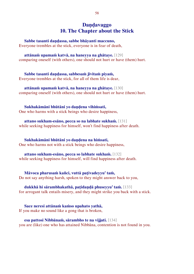### **Daṇḍavaggo 10. The Chapter about the Stick**

**Sabbe tasanti daṇḍassa, sabbe bhāyanti maccuno,**

Everyone trembles at the stick, everyone is in fear of death,

**attānaṁ upamaṁ katvā, na haneyya na ghātaye.** [129] comparing oneself (with others), one should not hurt or have (them) hurt.

**Sabbe tasanti daṇḍassa, sabbesaṁ jīvitaṁ piyaṁ,** Everyone trembles at the stick, for all of them life is dear,

**attānaṁ upamaṁ katvā, na haneyya na ghātaye.** [130] comparing oneself (with others), one should not hurt or have (them) hurt.

**Sukhakāmāni bhūtāni yo daṇḍena vihiṁsati,** One who harms with a stick beings who desire happiness,

**attano sukham-esāno, pecca so na labhate sukhaṁ.** [131] while seeking happiness for himself, won't find happiness after death.

**Sukhakāmāni bhūtāni yo daṇḍena na hiṁsati,**  One who harms not with a stick beings who desire happiness,

**attano sukham-esāno, pecca so labhate sukhaṁ.** [132] while seeking happiness for himself, will find happiness after death.

**Māvoca pharusaṁ kañci, vuttā paṭivadeyyu' taṁ,**  Do not say anything harsh, spoken to they might answer back to you,

**dukkhā hi sārambhakathā, paṭidaṇḍā phuseyyu' taṁ.** [133] for arrogant talk entails misery, and they might strike you back with a stick.

**Sace neresi attānaṁ kaṁso upahato yathā,**  If you make no sound like a gong that is broken,

**esa pattosi Nibbānaṁ, sārambho te na vijjati.** [134] you are (like) one who has attained Nibbāna, contention is not found in you.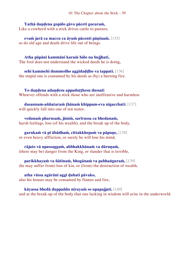**Yathā daṇḍena gopālo gāvo pāceti gocaraṁ,**  Like a cowherd with a stick drives cattle to pasture,

**evaṁ jarā ca maccu ca āyuṁ pācenti pāṇinaṁ.** [135] so do old age and death drive life out of beings.

**Atha pāpāni kammāni karaṁ bālo na bujjhati,**  The fool does not understand the wicked deeds he is doing,

**sehi kammehi dummedho aggidaḍḍho va tappati.** [136] the stupid one is consumed by his deeds as (by) a burning fire.

**Yo daṇḍena adaṇḍesu appaduṭṭhesu dussati** Whoever offends with a stick those who are inoffensive and harmless

**dasannam-aññataraṁ ṭhānaṁ khippam-eva nigacchati:** [137] will quickly fall into one of ten states:

**vedanaṁ pharusaṁ, jāniṁ, sarīrassa ca bhedanaṁ,** harsh feelings, loss (of his wealth), and the break up of the body,

**garukaṁ vā pi ābādhaṁ, cittakkhepaṁ va pāpuṇe,** [138] or even heavy affliction, or surely he will lose his mind,

**rājato vā upassaggaṁ, abbhakkhānaṁ va dāruṇaṁ,** (there may be) danger from the King, or slander that is terrible,

**parikkhayaṁ va ñātīnaṁ, bhogānaṁ va pabhaṅguraṁ,** [139] (he may suffer from) loss of kin, or (from) the destruction of wealth,

**atha vāssa agārāni aggi ḍahati pāvako,** also his houses may be consumed by flames and fire,

**kāyassa bhedā duppañño nirayaṁ so upapajjati.** [140] and at the break-up of the body that one lacking in wisdom will arise in the underworld.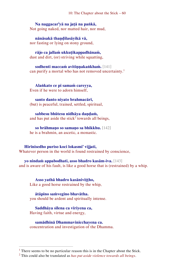10: The Chapter about the Stick – 60

**Na naggacar<sup>i</sup> yā na jaṭā na paṅkā,**  Not going naked, nor matted hair, nor mud,

**nānāsakā thaṇḍilasāyikā vā,** nor fasting or lying on stony ground,

**rājo ca jallaṁ ukkuṭikappadhānaṁ,** dust and dirt, (or) striving while squatting,

**sodhenti maccaṁ avitiṇṇakaṅkhaṁ.** [141] can purify a mortal who has not removed uncertainty.<sup>1</sup>

**Alaṅkato ce pi samaṁ careyya,**  Even if he were to adorn himself,

**santo danto niyato brahmacārī,** (but) is peaceful, trained, settled, spiritual,

**sabbesu bhūtesu nidhāya daṇḍaṁ,** and has put aside the stick<sup>2</sup> towards all beings,

**so brāhmaṇo so samaṇo sa bhikkhu.** [142] he is a brahmin, an ascetic, a monastic.

**Hirīnisedho puriso koci lokasmi' vijjati,**  Whatever person in the world is found restrained by conscience,

**yo nindaṁ appabodhati, asso bhadro kasām-iva.** [143] and is aware of his fault, is like a good horse that is (restrained) by a whip.

**Asso yathā bhadro kasāniviṭṭho,**  Like a good horse restrained by the whip,

**ātāpino saṁvegino bhavātha.** you should be ardent and spiritually intense.

**Saddhāya sīlena ca vīriyena ca,** Having faith, virtue and energy,

 $\overline{a}$ 

**samādhinā Dhammavinicchayena ca.** concentration and investigation of the Dhamma.

<sup>&</sup>lt;sup>1</sup> There seems to be no particular reason this is in the Chapter about the Stick.

<sup>2</sup> This could also be translated as *has put aside violence towards all beings*.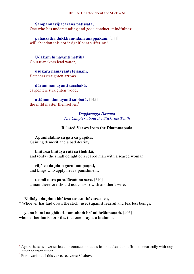10: The Chapter about the Stick – 61

### **Sampannavijjācaraṇā patissatā,**

One who has understanding and good conduct, mindfulness,

**pahassatha dukkham-idaṁ anappakaṁ.** [144] will abandon this not insignificant suffering.<sup>1</sup>

**Udakaṁ hi nayanti nettikā,**  Course-makers lead water,

**usukārā namayanti tejanaṁ,**  fletchers straighten arrows,

**dāruṁ namayanti tacchakā,**  carpenters straighten wood,

**attānaṁ damayanti subbatā.** [145] the mild master themselves.<sup>2</sup>

> *Daṇḍavaggo Dasamo The Chapter about the Stick, the Tenth*

### **Related Verses from the Dhammapada**

### **Apuññalābho ca gatī ca pāpikā,**

Gaining demerit and a bad destiny,

#### **bhītassa bhītāya ratī ca thokikā,**

and (only) the small delight of a scared man with a scared woman,

**rājā ca daṇḍaṁ garukaṁ paṇeti,**

and kings who apply heavy punishment,

**tasmā naro paradāraṁ na seve.** [310]

a man therefore should not consort with another's wife.

### **Nidhāya daṇḍaṁ bhūtesu tasesu thāvaresu ca,**

\* Whoever has laid down the stick (used) against fearful and fearless beings,

### **yo na hanti na ghāteti, tam-ahaṁ brūmi brāhmaṇaṁ.** [405]

who neither hurts nor kills, that one I say is a brahmin.

 $\overline{a}$ 

 $<sup>1</sup>$  Again these two verses have no connection to a stick, but also do not fit in thematically with any</sup> other chapter either.

 $2$  For a variant of this verse, see verse 80 above.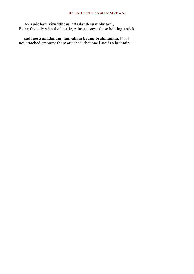### **Aviruddhaṁ viruddhesu, attadaṇḍesu nibbutaṁ,**

Being friendly with the hostile, calm amongst those holding a stick,

**sādānesu anādānaṁ, tam-ahaṁ brūmi brāhmaṇaṁ.** [406] not attached amongst those attached, that one I say is a brahmin.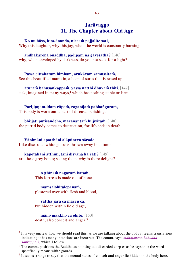### **Jarāvaggo 11. The Chapter about Old Age**

**Ko nu hāso, kim-ānando, niccaṁ pajjalite sati,** 

Why this laughter, why this joy, when the world is constantly burning,

**andhakārena onaddhā, padīpaṁ na gavesatha?** [146] why, when enveloped by darkness, do you not seek for a light?

**Passa cittakataṁ bimbaṁ, arukāyaṁ samussitaṁ,** See this beautified manikin, a heap of sores that is raised up,

**āturaṁ bahusaṅkappaṁ, yassa natthi dhuvaṁ ṭhiti.** [147] sick, imagined in many ways, $<sup>1</sup>$  which has nothing stable or firm.</sup>

**Parijiṇṇam-idaṁ rūpaṁ, roganīḷaṁ pabhaṅguraṁ,**  This body is worn out, a nest of disease, perishing,

**bhijjati pūtisandeho, maraṇantaṁ hi jīvitaṁ.** [148] the putrid body comes to destruction, for life ends in death.

**Yānimāni apatthāni alāpūneva sārade**  Like discarded white gourds<sup>2</sup> thrown away in autumn

**kāpotakāni aṭṭhīni, tāni disvāna kā rati?** [149] are these grey bones; seeing them, why is there delight?

> **Aṭṭhīnaṁ nagaraṁ kataṁ,** This fortress is made out of bones,

**maṁsalohitalepanaṁ,**  plastered over with flesh and blood,

**yattha jarā ca maccu ca,** but hidden within lie old age,

 $\overline{a}$ 

**māno makkho ca ohito.** [150] death, also conceit and anger.<sup>3</sup>

 $<sup>1</sup>$  It is very unclear how we should read this, as we are talking about the body it seems translations</sup> indicating it has many intentions are incorrect. The comm. says: *mahājanena bahudhā saṅkappaṁ*, which I follow.

 $2$  The comm. positions the Buddha as pointing out discarded corpses as he says this; the word specifically means white gourds.

 $3$  It seems strange to say that the mental states of conceit and anger lie hidden in the body here.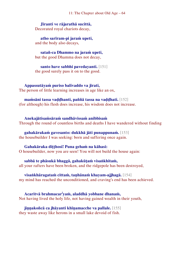11: The Chapter about Old Age – 64

**Jīranti ve rājarathā sucittā,**  Decorated royal chariots decay,

**atho sarīram-pi jaraṁ upeti,**  and the body also decays,

**satañ-ca Dhammo na jaraṁ upeti,** but the good Dhamma does not decay,

**santo have sabbhi pavedayanti.** [151] the good surely pass it on to the good.

**Appassutāyaṁ puriso balivaddo va jīrati,** 

The person of little learning increases in age like an ox,

**maṁsāni tassa vaḍḍhanti, paññā tassa na vaḍḍhati.** [152]

(for although) his flesh does increase, his wisdom does not increase.

**Anekajātisaṁsāraṁ sandhāvissaṁ anibbisaṁ**  Through the round of countless births and deaths I have wandered without finding

**gahakārakaṁ gavesanto: dukkhā jāti punappunaṁ.** [153] the housebuilder I was seeking: born and suffering once again.

### **Gahakāraka diṭṭhosi! Puna gehaṁ na kāhasi:**

O housebuilder, now you are seen! You will not build the house again:

**sabbā te phāsukā bhaggā, gahakūṭaṁ visaṅkhitaṁ,**

all your rafters have been broken, and the ridgepole has been destroyed,

### **visaṅkhāragataṁ cittaṁ, taṇhānaṁ khayam-ajjhagā.** [154]

my mind has reached the unconditioned, and craving's end has been achieved.

**Acaritvā brahmacar<sup>i</sup> yaṁ, aladdhā yobbane dhanaṁ,** Not having lived the holy life, not having gained wealth in their youth,

**jiṇṇakoñcā ca jhāyanti khīṇamacche va pallale.** [155] they waste away like herons in a small lake devoid of fish.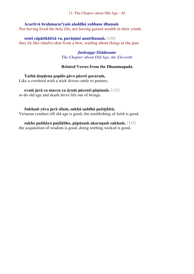11: The Chapter about Old Age – 65

### **Acaritvā brahmacar<sup>i</sup> yaṁ aladdhā yobbane dhanaṁ**  Not having lived the holy life, not having gained wealth in their youth,

**senti cāpātikhittā va, purāṇāni anutthunaṁ.** [156] they lie like (shafts) shot from a bow, wailing about things in the past.

### *Jarāvaggo Ekādasamo The Chapter about Old Age, the Eleventh*

### **Related Verses from the Dhammapada**

**Yathā daṇḍena gopālo gāvo pāceti gocaraṁ,**  Like a cowherd with a stick drives cattle to pasture,

### **evaṁ jarā ca maccu ca āyuṁ pācenti pāṇinaṁ.** [135]

so do old age and death drive life out of beings.

### **Sukhaṁ yāva jarā sīlaṁ, sukhā saddhā patiṭṭhitā,**

Virtuous conduct till old age is good, the establishing of faith is good,

**sukho paññāya paṭilābho, pāpānaṁ akaraṇaṁ sukhaṁ.** [333] the acquisition of wisdom is good, doing nothing wicked is good.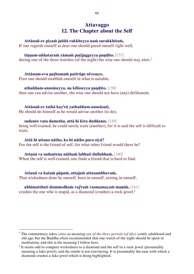## **Attavaggo 12. The Chapter about the Self**

### **Attānañ-ce piyaṁ jaññā rakkheyya naṁ surakkhitaṁ,**

If one regards oneself as dear one should guard oneself right well,

### **tiṇṇam-aññataraṁ yāmaṁ paṭijaggeyya paṇḍito.** [157]

during one of the three watches (of the night) the wise one should stay alert.<sup>1</sup>

### **Attānam-eva paṭhamaṁ patirūpe nivesaye,**

First one should establish oneself in what is suitable,

### **athaññam-anusāseyya, na kilisseyya paṇḍito.** [158]

then one can advise another, the wise one should not have (any) defilement.

### **Attānañ-ce tathā kay<sup>i</sup> rā yathaññam-anusāsati,**

He should do himself as he would advise another (to do),

### **sudanto vata dametha, attā hi kira duddamo.** [159]

being well-trained, he could surely train (another), for it is said the self is difficult to train.

### **Attā hi attano nātho, ko hi nātho paro siyā?**

 $\overline{a}$ 

For the self is the friend of self, for what other friend would there be?

### **Attanā va sudantena nāthaṁ labhati dullabhaṁ.** [160]

When the self is well-trained, one finds a friend that is hard to find.

### **Attanā va kataṁ pāpaṁ, attajaṁ attasambhavaṁ,**

That wickedness done by oneself, born in oneself, arising in oneself,

### **abhimatthati dummedhaṁ vaj<sup>i</sup> raṁ vasmamayaṁ maṇiṁ.** [161] crushes the one who is stupid, as a diamond (crushes) a rock-jewel.<sup>2</sup>

<sup>1</sup> The commentary takes *yāma* as meaning *one of the three periods (of life)*: youth, adulthood and old age; but the Buddha often recommended that one watch of the night should be spent in meditation, and this is the meaning I follow here.

 $2$  It seems odd to compare wickedness to a diamond and the self to a rock-jewel (presumably meaning a fake jewel), and the simile is not convincing. It is presumably the ease with which a diamond crushes a fake jewel which is being highlighted.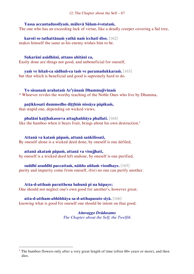### **Yassa accantadussīlyaṁ, māluvā Sālam-ivotataṁ,**

The one who has an exceeding lack of virtue, like a deadly creeper covering a Sal tree,

**karoti so tathattānaṁ yathā naṁ icchatī diso.** [162] makes himself the same as his enemy wishes him to be.

**Sukarāni asādhūni, attano ahitāni ca,** Easily done are things not good, and unbeneficial for oneself,

**yaṁ ve hitañ-ca sādhuñ-ca taṁ ve paramadukkaraṁ.** [163] but that which is beneficial and good is supremely hard to do.

**Yo sāsanaṁ arahataṁ Ar<sup>i</sup> yānaṁ Dhammajīvinaṁ** \* Whoever reviles the worthy teaching of the Noble Ones who live by Dhamma,

### **paṭikkosati dummedho diṭṭhiṁ nissāya pāpikaṁ,**

that stupid one, depending on wicked views,

**phalāni kaṭṭhakasseva attaghaññāya phallati.** [164] like the bamboo when it bears fruit, brings about his own destruction.<sup>1</sup>

**Attanā va kataṁ pāpaṁ, attanā saṅkilissati,** 

By oneself alone is a wicked deed done, by oneself is one defiled,

### **attanā akataṁ pāpaṁ, attanā va visujjhati,**

by oneself is a wicked deed left undone, by oneself is one purified,

### **suddhī asuddhī paccattaṁ, nāñño aññaṁ visodhaye.** [165]

purity and impurity come from oneself, (for) no one can purify another.

### **Atta-d-atthaṁ paratthena bahunā pi na hāpaye;**

 $\overline{a}$ 

One should not neglect one's own good for another's, however great;

### **atta-d-attham-abhiññāya sa-d-atthapasuto siyā.** [166]

knowing what is good for oneself one should be intent on that good.

*Attavaggo Dvādasamo The Chapter about the Self, the Twelfth*

<sup>&</sup>lt;sup>1</sup> The bamboo flowers only after a very great length of time (often  $60+$  years or more), and then dies.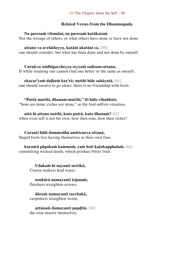#### 12: The Chapter about the Self – 68

### **Related Verses from the Dhammapada**

**Na paresaṁ vilomāni, na paresaṁ katākataṁ** Not the wrongs of others, or what others have done or have not done

**attano va avekkheyya, katāni akatāni ca.** [50] one should consider, but what has been done and not done by oneself.

**Carañ-ce nādhigaccheyya seyyaṁ sadisam-attano,** If while roaming one cannot find one better or the same as oneself,

**ekacar<sup>i</sup> yaṁ daḷhaṁ kay<sup>i</sup> rā: natthi bāle sahāyatā.** [61] one should resolve to go alone: there is no friendship with fools.

**"Puttā matthi, dhanam-matthi," iti bālo vihaññati,**  "Sons are mine, riches are mine," so the fool suffers vexation,

**attā hi attano natthi, kuto puttā, kuto dhanaṁ?** [62] when even self is not his own, how then sons, how then riches?

**Caranti bālā dummedhā amitteneva attanā,** 

Stupid fools live having themselves as their own foes,

**karontā pāpakaṁ kammaṁ, yaṁ hoti kaṭukapphalaṁ.** [66] committing wicked deeds, which produce bitter fruit.

**Udakaṁ hi nayanti nettikā,**  Course-makers lead water,

**usukārā namayanti tejanaṁ,**  fletchers straighten arrows,

**dāruṁ namayanti tacchakā,**  carpenters straighten wood,

**attānaṁ damayanti paṇḍitā.** [80] the wise master themselves.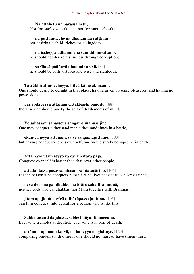#### 12: The Chapter about the Self – 69

### **Na attahetu na parassa hetu,**

Not for one's own sake and not for another's sake,

**na puttam-icche na dhanaṁ na raṭṭhaṁ –** not desiring a child, riches, or a kingdom –

### **na iccheyya adhammena samiddhim-attano;**

he should not desire his success through corruption;

**sa sīlavā paññavā dhammiko siyā.** [84]

he should be both virtuous and wise and righteous.

#### **Tatrābhiratim-iccheyya, hitvā kāme akiñcano,**

One should desire to delight in that place, having given up sense pleasures, and having no possessions,

### **par<sup>i</sup> yodapeyya attānaṁ cittaklesehi paṇḍito.** [88]

the wise one should purify the self of defilements of mind.

**Yo sahassaṁ sahassena saṅgāme mānuse jine,**  One may conquer a thousand men a thousand times in a battle,

#### **ekañ-ca jeyya attānaṁ, sa ve saṅgāmajuttamo.** [103]

but having conquered one's own self, one would surely be supreme in battle.

### **Attā have jitaṁ seyyo yā cāyaṁ itarā pajā,**

Conquest over self is better than that over other people,

**attadantassa posassa, niccaṁ saññatacārino,** [104]

for the person who conquers himself, who lives constantly well-restrained,

### **neva devo na gandhabbo, na Māro saha Brahmunā,**

neither gods, nor gandhabbas, nor Māra together with Brahmās,

**jitaṁ apajitaṁ kay<sup>i</sup> rā tathārūpassa jantuno.** [105] can turn conquest into defeat for a person who is like this.

**Sabbe tasanti daṇḍassa, sabbe bhāyanti maccuno,** Everyone trembles at the stick, everyone is in fear of death,

**attānaṁ upamaṁ katvā, na haneyya na ghātaye.** [129] comparing oneself (with others), one should not hurt or have (them) hurt.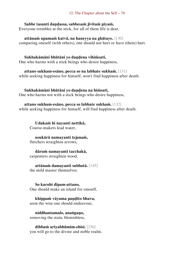### **Sabbe tasanti daṇḍassa, sabbesaṁ jīvitaṁ piyaṁ,**

Everyone trembles at the stick, for all of them life is dear,

**attānaṁ upamaṁ katvā, na haneyya na ghātaye.** [130] comparing oneself (with others), one should not hurt or have (them) hurt.

### **Sukhakāmāni bhūtāni yo daṇḍena vihiṁsati,**

One who harms with a stick beings who desire happiness,

### **attano sukham-esāno, pecca so na labhate sukhaṁ.** [131] while seeking happiness for himself, won't find happiness after death.

### **Sukhakāmāni bhūtāni yo daṇḍena na hiṁsati,**

One who harms not with a stick beings who desire happiness,

### **attano sukham-esāno, pecca so labhate sukhaṁ.** [132]

while seeking happiness for himself, will find happiness after death.

**Udakaṁ hi nayanti nettikā,**  Course-makers lead water,

**usukārā namayanti tejanaṁ,**  fletchers straighten arrows,

**dāruṁ namayanti tacchakā,**  carpenters straighten wood,

#### **attānaṁ damayanti subbatā.** [145] the mild master themselves.

### **So karohi dīpam-attano,**

One should make an island for oneself,

### **khippaṁ vāyama paṇḍito bhava,**  soon the wise one should endeavour,

**niddhantamalo, anaṅgaṇo,**  removing the stain, blemishless,

**dibbaṁ ariyabhūmim-ehisi.** [236] you will go to the divine and noble realm.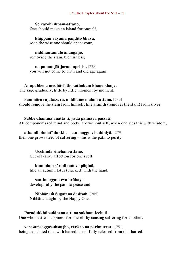### **So karohi dīpam-attano,**

One should make an island for oneself,

**khippaṁ vāyama paṇḍito bhava,**  soon the wise one should endeavour,

**niddhantamalo anaṅgaṇo,**  removing the stain, blemishless,

**na punaṁ jātijaraṁ upehisi.** [238] you will not come to birth and old age again.

**Anupubbena medhāvī, thokathokaṁ khaṇe khaṇe,**  The sage gradually, little by little, moment by moment,

**kammāro rajatasseva, niddhame malam-attano.** [239] should remove the stain from himself, like a smith (removes the stain) from silver.

### **Sabbe dhammā anattā ti, yadā paññāya passati,**  All components (of mind and body) are without self, when one sees this with wisdom,

**atha nibbindatī dukkhe – esa maggo visuddhiyā.** [279] then one grows tired of suffering – this is the path to purity.

> **Ucchinda sineham-attano,**  Cut off (any) affection for one's self,

**kumudaṁ sāradikaṁ va pāṇinā,**  like an autumn lotus (plucked) with the hand,

**santimaggam-eva brūhaya**  develop fully the path to peace and

**Nibbānaṁ Sugatena desitaṁ.** [285] Nibbāna taught by the Happy One.

# **Paradukkhūpadānena attano sukham-icchati,**

One who desires happiness for oneself by causing suffering for another,

**verasaṁsaggasaṁsaṭṭho, verā so na parimuccati.** [291] being associated thus with hatred, is not fully released from that hatred.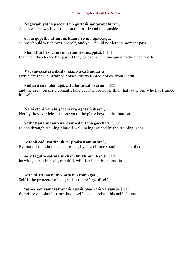#### **Nagaraṁ yathā paccantaṁ guttaṁ santarabāhiraṁ,**

As a border town is guarded on the inside and the outside,

#### **evaṁ gopetha attānaṁ, khaṇo vo mā upaccagā,**

so one should watch over oneself, and you should not let the moment pass,

#### **khaṇātītā hi socanti nirayamhi samappitā.** [315]

for when the chance has passed they grieve when consigned to the underworld.

#### **Varam-assatarā dantā, ājānīyā ca Sindhavā,**

Noble are the well-trained horses, the well-bred horses from Sindh,

#### **kuñjarā ca mahānāgā, attadanto tato varaṁ.** [322]

and the great tusker elephants, (and even) more noble than that is the one who has trained himself.

#### **Na hi etehi yānehi gaccheyya agataṁ disaṁ,**

Not by these vehicles can one go to the place beyond destinations,

#### **yathattanā sudantena, danto dantena gacchati.** [323]

as one through training himself well, being trained by the training, goes.

#### **Attanā codayattānaṁ, paṭimāsettam-attanā,**

By oneself one should censure self, by oneself one should be controlled,

#### **so attagutto satimā sukhaṁ bhikkhu vihāhisi.** [379]

he who guards himself, mindful, will live happily, monastic.

#### **Attā hi attano nātho, attā hi attano gati,**

Self is the protector of self, self is the refuge of self,

#### **tasmā saṁyamayattānaṁ assaṁ bhadraṁ va vāṇijo.** [380]

therefore one should restrain oneself, as a merchant his noble horse.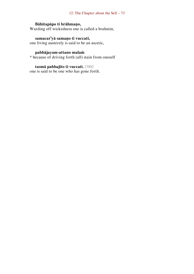#### 12: The Chapter about the Self – 73

# **Bāhitapāpo ti brāhmaṇo,**

Warding off wickedness one is called a brahmin,

#### **samacar<sup>i</sup> yā samaṇo ti vuccati,**

one living austerely is said to be an ascetic,

# **pabbājayam-attano malaṁ**

\* because of driving forth (all) stain from oneself

# **tasmā pabbajito ti vuccati.** [388]

one is said to be one who has gone forth.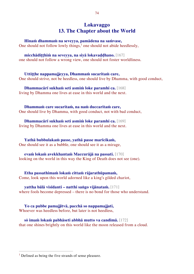# **Lokavaggo 13. The Chapter about the World**

**Hīnaṁ dhammaṁ na seveyya, pamādena na saṁvase,**  One should not follow lowly things, $<sup>1</sup>$  one should not abide heedlessly,</sup>

**micchādiṭṭhiṁ na seveyya, na siyā lokavaḍḍhano.** [167] one should not follow a wrong view, one should not foster worldliness.

**Uttiṭṭhe nappamajjeyya, Dhammaṁ sucaritaṁ care,**  One should strive, not be heedless, one should live by Dhamma, with good conduct,

**Dhammacārī sukhaṁ seti asmiṁ loke paramhi ca.** [168] living by Dhamma one lives at ease in this world and the next.

**Dhammaṁ care sucaritaṁ, na naṁ duccaritaṁ care,**  One should live by Dhamma, with good conduct, not with bad conduct,

**Dhammacārī sukhaṁ seti asmiṁ loke paramhi ca.** [169] living by Dhamma one lives at ease in this world and the next.

**Yathā bubbulakaṁ passe, yathā passe marīcikaṁ,**  One should see it as a bubble, one should see it as a mirage,

**evaṁ lokaṁ avekkhantaṁ Maccurājā na passati.** [170] looking on the world in this way the King of Death does not see (one).

**Etha passathimaṁ lokaṁ cittaṁ rājarathūpamaṁ,** Come, look upon this world adorned like a king's gilded chariot,

**yattha bālā visīdanti – natthi saṅgo vijānataṁ.** [171] where fools become depressed – there is no bond for those who understand.

**Yo ca pubbe pamajjitvā, pacchā so nappamajjati,**  Whoever was heedless before, but later is not heedless,

**sŏ imaṁ lokaṁ pabhāseti abbhā mutto va candimā.** [172] that one shines brightly on this world like the moon released from a cloud.

 $<sup>1</sup>$  Defined as being the five strands of sense pleasure.</sup>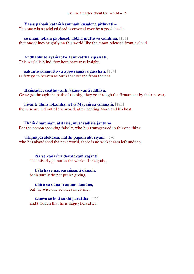**Yassa pāpaṁ kataṁ kammaṁ kusalena pithīyati –** The one whose wicked deed is covered over by a good deed –

**sŏ imaṁ lokaṁ pabhāseti abbhā mutto va candimā.** [173] that one shines brightly on this world like the moon released from a cloud.

**Andhabhūto ayaṁ loko, tanukettha vipassati,**  This world is blind, few here have true insight,

**sakunto jālamutto va appo saggāya gacchati.** [174] as few go to heaven as birds that escape from the net.

**Haṁsādiccapathe yanti, ākāse yanti iddhiyā,**  Geese go through the path of the sky, they go through the firmament by their power,

**nīyanti dhīrā lokamhā, jetvā Māraṁ savāhanaṁ.** [175] the wise are led out of the world, after beating Māra and his host.

**Ekaṁ dhammaṁ atītassa, musāvādissa jantuno,** For the person speaking falsely, who has transgressed in this one thing,

**vitiṇṇaparalokassa, natthi pāpaṁ akāriyaṁ.** [176] who has abandoned the next world, there is no wickedness left undone.

**Na ve kadar<sup>i</sup> yā devalokaṁ vajanti,**  The miserly go not to the world of the gods,

**bālā have nappasaṁsanti dānaṁ,** fools surely do not praise giving,

**dhīro ca dānaṁ anumodamāno,** but the wise one rejoices in giving,

**teneva so hoti sukhī parattha.** [177] and through that he is happy hereafter.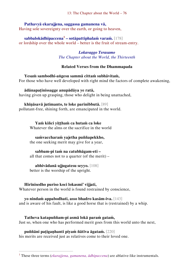13: The Chapter about the World – 76

#### **Pathavyā ekarajjena, saggassa gamanena vā,**  Having sole sovereignty over the earth, or going to heaven,

**sabbalokādhipaccena<sup>1</sup> – sotāpattiphalaṁ varaṁ.** [178] or lordship over the whole world – better is the fruit of stream-entry.

> *Lokavaggo Terasamo The Chapter about the World, the Thirteenth*

# **Related Verses from the Dhammapada**

**Yesaṁ sambodhi-aṅgesu sammā cittaṁ subhāvitaṁ,**  For those who have well developed with right mind the factors of complete awakening,

**ādānapaṭinissagge anupādāya ye ratā,** having given up grasping, those who delight in being unattached,

# **khīṇāsavā jutimanto, te loke parinibbutā.** [89]

pollutant-free, shining forth, are emancipated in the world.

**Yaṁ kiñci yiṭṭhaṁ ca hutaṁ ca loke** Whatever the alms or the sacrifice in the world

### **saṁvaccharaṁ yajetha puññapekkho,**

the one seeking merit may give for a year,

#### **sabbam-pi taṁ na catubhāgam-eti –**

all that comes not to a quarter (of the merit) –

**abhivādanā ujjugatesu seyyo.** [108] better is the worship of the upright.

# **Hirīnisedho puriso koci lokasmi' vijjati,**

 $\overline{a}$ 

Whatever person in the world is found restrained by conscience,

**yo nindaṁ appabodhati, asso bhadro kasām-iva.** [143] and is aware of his fault, is like a good horse that is (restrained) by a whip.

**Tatheva katapuññam-pi asmā lokā paraṁ gataṁ,**  Just so, when one who has performed merit goes from this world unto the next,

**puññāni paṭigaṇhanti piyaṁ ñātīva āgataṁ.** [220]

his merits are received just as relatives come to their loved one.

<sup>1</sup> These three terms (*ekarajjena, gamanena, ādhipaccena*) are ablative-like instrumentals.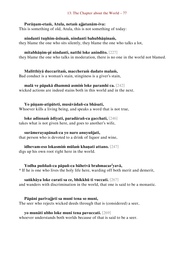#### 13: The Chapter about the World – 77

#### **Porāṇam-etaṁ, Atula, netaṁ ajjatanām-iva:**

This is something of old, Atula, this is not something of today:

#### **nindanti tuṇhim-āsīnaṁ, nindanti bahubhāṇinaṁ,**

they blame the one who sits silently, they blame the one who talks a lot,

#### **mitabhāṇim-pi nindanti, natthi loke anindito.** [227]

they blame the one who talks in moderation, there is no one in the world not blamed.

# **Malitthiyā duccaritaṁ, maccheraṁ dadato malaṁ,**

Bad conduct is a woman's stain, stinginess is a giver's stain,

**malā ve pāpakā dhammā asmiṁ loke paramhi ca.** [242] wicked actions are indeed stains both in this world and in the next.

#### **Yo pāṇam-atipāteti, musāvādañ-ca bhāsati,**

Whoever kills a living being, and speaks a word that is not true,

**loke adinnaṁ ādiyati, paradārañ-ca gacchati,** [246]

takes what is not given here, and goes to another's wife,

### **surāmerayapānañ-ca yo naro anuyuñjati,**

that person who is devoted to a drink of liquor and wine,

# **idhevam-eso lokasmiṁ mūlaṁ khaṇati attano.** [247]

digs up his own root right here in the world.

# **Yodha puññañ-ca pāpañ-ca bāhetvā brahmacar<sup>i</sup> yavā,**

\* If he is one who lives the holy life here, warding off both merit and demerit,

#### **saṅkhāya loke carati sa ce, bhikkhū ti vuccati.** [267]

and wanders with discrimination in the world, that one is said to be a monastic.

#### **Pāpāni parivajjeti sa munī tena so muni,**

The seer who rejects wicked deeds through that is (considered) a seer,

#### **yo munāti ubho loke muni tena pavuccati.** [269]

whoever understands both worlds because of that is said to be a seer.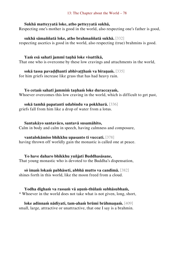#### **Sukhā matteyyatā loke, atho petteyyatā sukhā,**

Respecting one's mother is good in the world, also respecting one's father is good,

#### **sukhā sāmaññatā loke, atho brahmaññatā sukhā.** [332]

respecting ascetics is good in the world, also respecting (true) brahmins is good.

#### **Yaṁ esā sahatī jammī taṇhā loke visattikā,**

That one who is overcome by these low cravings and attachments in the world,

#### **sokā tassa pavaḍḍhanti abhivaṭṭhaṁ va bīraṇaṁ.** [335]

for him griefs increase like grass that has had heavy rain.

### **Yo cetaṁ sahatī jammiṁ taṇhaṁ loke duraccayaṁ,**

Whoever overcomes this low craving in the world, which is difficult to get past,

#### **sokā tamhā papatanti udabindu va pokkharā.** [336]

griefs fall from him like a drop of water from a lotus.

#### **Santakāyo santavāco, santavā susamāhito,**

Calm in body and calm in speech, having calmness and composure,

#### **vantalokāmiso bhikkhu upasanto ti vuccati.** [378]

having thrown off worldly gain the monastic is called one at peace.

# **Yo have daharo bhikkhu yuñjati Buddhasāsane,**

That young monastic who is devoted to the Buddha's dispensation,

#### **sŏ imaṁ lokaṁ pabhāseti, abbhā mutto va candimā.** [382]

shines forth in this world, like the moon freed from a cloud.

#### **Yodha dīghaṁ va rassaṁ vā aṇuṁ-thūlaṁ subhāsubhaṁ,**

\* Whoever in the world does not take what is not given, long, short,

**loke adinnaṁ nādiyati, tam-ahaṁ brūmi brāhmaṇaṁ.** [409] small, large, attractive or unattractive, that one I say is a brahmin.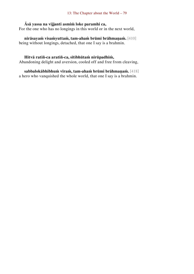# **Āsā yassa na vijjanti asmiṁ loke paramhi ca,**

For the one who has no longings in this world or in the next world,

**nirāsayaṁ visaṁyuttaṁ, tam-ahaṁ brūmi brāhmaṇaṁ.** [410] being without longings, detached, that one I say is a brahmin.

#### **Hitvā ratiñ-ca aratiñ-ca, sītibhūtaṁ nirūpadhiṁ,**

Abandoning delight and aversion, cooled off and free from cleaving,

**sabbalokābhibhuṁ vīraṁ, tam-ahaṁ brūmi brāhmaṇaṁ.** [418] a hero who vanquished the whole world, that one I say is a brahmin.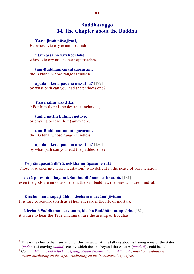# **Buddhavaggo 14. The Chapter about the Buddha**

#### **Yassa jitaṁ nāvajīyati,**

He whose victory cannot be undone,

#### **jitaṁ assa no yāti koci loke,**

whose victory no one here approaches,

#### **tam-Buddham-anantagocaraṁ,** the Buddha, whose range is endless,

**apadaṁ kena padena nessatha?** [179] by what path can you lead the pathless one?

#### **Yassa jālinī visattikā,**

 $\overline{a}$ 

\* For him there is no desire, attachment,

**taṇhā natthi kuhiñci netave,**  or craving to lead (him) anywhere, $<sup>1</sup>$ </sup>

**tam-Buddham-anantagocaraṁ,** the Buddha, whose range is endless,

**apadaṁ kena padena nessatha?** [180] by what path can you lead the pathless one?

**Ye jhānapasutā dhīrā, nekkhammūpasame ratā,**  Those wise ones intent on meditation,<sup>2</sup> who delight in the peace of renunciation,

**devā pi tesaṁ pihayanti, Sambuddhānaṁ satīmataṁ.** [181] even the gods are envious of them, the Sambuddhas, the ones who are mindful.

**Kiccho manussapaṭilābho, kicchaṁ maccāna' jīvitaṁ,** It is rare to acquire (birth as a) human, rare is the life of mortals,

**kicchaṁ Saddhammasavanaṁ, kiccho Buddhānam-uppādo.** [182] it is rare to hear the True Dhamma, rare the arising of Buddhas.

<sup>1</sup> This is the clue to the translation of this verse; what it is talking about is having none of the states (*padāni*) of craving (*taṇhā*), etc. by which the one beyond those states (*apadaṁ*) could be led.

<sup>2</sup> Comm: *jhānapasutā ti lakkhaṇūpanijjhānaṃ ārammaṇūpanijjhānan-ti*; *intent on meditation means meditating on the signs, meditating on the (concentration) object*.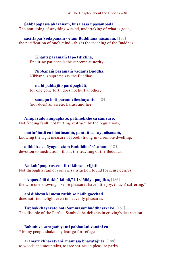**Sabbapāpassa akaraṇaṁ, kusalassa upasampadā,**  The non-doing of anything wicked, undertaking of what is good,

**sacittapar<sup>i</sup> yodapanaṁ - etaṁ Buddhāna' sāsanaṁ.** [183] the purification of one's mind - this is the teaching of the Buddhas.

**Khantī paramaṁ tapo titikkhā,**  Enduring patience is the supreme austerity,

**Nibbānaṁ paramaṁ vadanti Buddhā,** Nibbāna is supreme say the Buddhas,

**na hi pabbajito parūpaghātī,** for one gone forth does not hurt another,

**samaṇo hoti paraṁ viheṭhayanto.** [184] (nor does) an ascetic harass another.

**Anupavādo anupaghāto, pātimokkhe ca saṁvaro,**  Not finding fault, not hurting, restraint by the regulations,

**mattaññutā ca bhattasmiṁ, pantañ-ca sayanāsanaṁ,** knowing the right measure of food, (living in) a remote dwelling,

**adhicitte ca āyogo - etaṁ Buddhāna' sāsanaṁ.** [185] devotion to meditation - this is the teaching of the Buddhas.

**Na kahāpaṇavassena titti kāmesu vijjati,**  Not through a rain of coins is satisfaction found for sense desires,

**"Appassādā dukhā kāmā," iti viññāya paṇḍito,** [186] the wise one knowing: "Sense pleasures have little joy, (much) suffering,"

**api dibbesu kāmesu ratiṁ so nādhigacchati.**  does not find delight even in heavenly pleasures.

**Taṇhakkhayarato hoti Sammāsambuddhasāvako.** [187] The disciple of the Perfect Sambuddha delights in craving's destruction.

**Bahuṁ ve saraṇaṁ yanti pabbatāni vanāni ca**  \* Many people shaken by fear go for refuge

**ārāmarukkhacetyāni, manussā bhayatajjitā.** [188] to woods and mountains, to tree shrines in pleasure parks.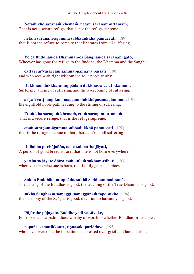**Netaṁ kho saraṇaṁ khemaṁ, netaṁ saraṇam-uttamaṁ,** That is not a secure refuge, that is not the refuge supreme,

**netaṁ saraṇam-āgamma sabbadukkhā pamuccati.** [189] that is not the refuge to come to that liberates from all suffering.

**Yo ca Buddhañ-ca Dhammañ-ca Saṅghañ-ca saraṇaṁ gato,**  Whoever has gone for refuge to the Buddha, the Dhamma and the Saṅgha,

**cattāri ar<sup>i</sup> yasaccāni sammappaññāya passati:** [190] and who sees with right wisdom the four noble truths:

**Dukkhaṁ dukkhasamuppādaṁ dukkhassa ca atikkamaṁ,**  Suffering, arising of suffering, and the overcoming of suffering,

**ar<sup>i</sup> yañ-caṭṭhaṅgikaṁ maggaṁ dukkhūpasamagāminaṁ.** [191] the eightfold noble path leading to the stilling of suffering.

**Etaṁ kho saraṇaṁ khemaṁ, etaṁ saraṇam-uttamaṁ,**  That is a secure refuge, that is the refuge supreme,

**etaṁ saraṇam-āgamma sabbadukkhā pamuccati.** [192] that is the refuge to come to that liberates from all suffering.

**Dullabho purisājañño, na so sabbattha jāyati,** A person of good breed is rare, that one is not born everywhere,

**yattha so jāyate dhīro, taṁ kulaṁ sukham-edhati.** [193] wherever that wise one is born, that family gains happiness.

**Sukho Buddhānam-uppādo, sukhā Saddhammadesanā,** The arising of the Buddhas is good, the teaching of the True Dhamma is good,

**sukhā Saṅghassa sāmaggī, samaggānaṁ tapo sukho.** [194] the harmony of the Saṅgha is good, devotion to harmony is good.

**Pūjārahe pūjayato, Buddhe yadi va sāvake,**  For those who worship those worthy of worship, whether Buddhas or disciples,

**papañcasamatikkante, tiṇṇasokapariddave;** [195] who have overcome the impediments, crossed over grief and lamentation;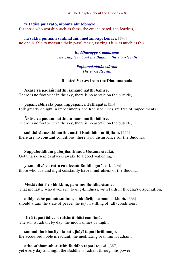14: The Chapter about the Buddha – 83

### **te tādise pūjayato, nibbute akutobhaye,**

for those who worship such as these, the emancipated, the fearless,

**na sakkā puññaṁ saṅkhātuṁ, imettam-api kenaci.** [196] no one is able to measure their (vast) merit, (saying:) it is as much as this.

> *Buddhavaggo Cuddasamo The Chapter about the Buddha, the Fourteenth*

### *Paṭhamakabhāṇavāraṁ The First Recital*

# **Related Verses from the Dhammapada**

**Ākāse va padaṁ natthi, samaṇo natthi bāhire,**  There is no footprint in the sky, there is no ascetic on the outside,

# **papañcābhiratā pajā, nippapañcā Tathāgatā.** [254]

folk greatly delight in impediments, the Realised Ones are free of impediments.

#### **Ākāse va padaṁ natthi, samaṇo natthi bāhire,**  There is no footprint in the sky, there is no ascetic on the outside,

# **saṅkhārā sassatā natthi, natthi Buddhānam-iñjitaṁ.** [255]

there are no constant conditions, there is no disturbance for the Buddhas.

# **Suppabuddhaṁ pabujjhanti sadā Gotamasāvakā,**

Gotama's disciples always awake to a good wakening,

# **yesaṁ divā ca ratto ca niccaṁ Buddhagatā sati.** [296]

those who day and night constantly have mindfulness of the Buddha.

# **Mettāvihārī yo bhikkhu, pasanno Buddhasāsane,**

That monastic who dwells in loving-kindness, with faith in Buddha's dispensation,

#### **adhigacche padaṁ santaṁ, saṅkhārūpasamaṁ sukhaṁ.** [368] should attain the state of peace, the joy in stilling of (all) conditions.

# **Divā tapati ādicco, rattiṁ ābhāti candimā,**

The sun is radiant by day, the moon shines by night,

# **sannaddho khattiyo tapati, jhāyī tapati brāhmaṇo,**

the accoutred noble is radiant, the meditating brahmin is radiant,

# **atha sabbam-ahorattiṁ Buddho tapati tejasā.** [387]

yet every day and night the Buddha is radiant through his power.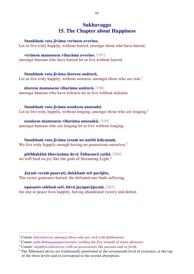# **Sukhavaggo 15. The Chapter about Happiness**

#### **Susukhaṁ vata jīvāma verinesu averino,**

Let us live truly happily, without hatred, amongst those who have hatred,

#### **verinesu manussesu viharāma averino.** [197]

amongst humans who have hatred let us live without hatred.

#### **Susukhaṁ vata jīvāma āturesu anāturā,**

Let us live truly happily, without sickness, amongst those who are sick, $<sup>1</sup>$ </sup>

**āturesu manussesu viharāma anāturā.** [198]

amongst humans who have sickness let us live without sickness.

#### **Susukhaṁ vata jīvāma ussukesu anussukā**

Let us live truly happily, without longing, amongst those who are longing,<sup>2</sup>

**ussukesu manussesu viharāma anussukā.** [199]

amongst humans who are longing let us live without longing.

# **Susukhaṁ vata jīvāma yesaṁ no natthi kiñcanaṁ,**

We live truly happily enough having no possessions ourselves, $3$ 

### **pītibhakkhā bhavissāma devā Ābhassarā yathā.** [200] we will feed on joy like the gods of Streaming Light.<sup>4</sup>

**Jayaṁ veraṁ pasavati, dukkhaṁ seti parājito,** The victor generates hatred, the defeated one finds suffering,

**upasanto sukhaṁ seti, hitvā jayaparājayaṁ.** [201] the one at peace lives happily, having abandoned victory and defeat.

<sup>1</sup> Comm: *kilesāturesu*; *amongst those who are sick with defilements*.

<sup>2</sup> Comm: *pañcakāmaguṇapariyesane*; *seeking the five strands of sense pleasure*.

<sup>3</sup> Comm: *rāgādīsu kiñcanesu*; *with no possessions like passion and so forth*.

<sup>&</sup>lt;sup>4</sup> The  $\bar{A}$ bhassara devas are traditionally positioned at the seventeenth level of existence, at the top of the three levels said to correspond to the second absorption.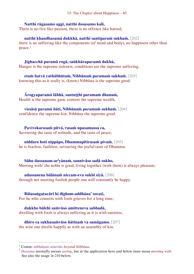### **Natthi rāgasamo aggi, natthi dosasamo kali,**

There is no fire like passion, there is no offence like hatred,

**natthi khandhasamā dukkhā, natthi santiparaṁ sukhaṁ.** [202] there is no suffering like the components (of mind and body), no happiness other than peace.<sup>1</sup>

**Jighacchā paramā rogā, saṅkhāraparamā dukhā,** Hunger is the supreme sickness, conditions are the supreme suffering,

**etaṁ ñatvā yathābhūtaṁ, Nibbānaṁ paramaṁ sukhaṁ.** [203] knowing this as it really is, (know) Nibbāna is the supreme good.

**Ārogyaparamā lābhā, santuṭṭhi paramaṁ dhanaṁ,** Health is the supreme gain, content the supreme wealth,

**vissāsā paramā ñāti, Nibbānaṁ paramaṁ sukhaṁ.** [204] confidence the supreme kin, Nibbāna the supreme good.

**Pavivekarasaṁ pitvā, rasaṁ upasamassa ca,**  Savouring the taste of solitude, and the taste of peace,

**niddaro hoti nippāpo, Dhammapītirasaṁ pivaṁ.** [205] he is fearless, faultless, savouring the joyful taste of Dhamma.

**Sāhu dassanam-ar<sup>i</sup> yānaṁ, sannivāso sadā sukho,** Meeting with<sup>2</sup> the noble is good, living together (with them) is always pleasant,

**adassanena bālānaṁ niccam-eva sukhī siyā.** [206] through not meeting foolish people one will constantly be happy.

**Bālasaṅgatacārī hi dīgham-addhāna' socati,**  For he who consorts with fools grieves for a long time,

**dukkho bālehi saṁvāso amitteneva sabbadā,** dwelling with fools is always suffering as it is with enemies,

**dhīro ca sukhasaṁvāso ñātīnaṁ va samāgamo.** [207] the wise one dwells happily as with an assembly of kin.

<sup>1</sup> Comm: *nibbānato uttariṁ*; *beyond Nibbāna*.

<sup>2</sup> *Dassana* normally means *seeing*, but in the application here and below must mean *meeting with*. See also the usage in 210 below.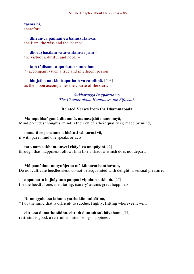#### 15: The Chapter about Happiness – 86

#### **tasmā hi,**

therefore,

**dhīrañ-ca paññañ-ca bahussutañ-ca,**  the firm, the wise and the learned,

**dhorayhasīlaṁ vatavantam-ar<sup>i</sup> yaṁ –**

the virtuous, dutiful and noble –

#### **taṁ tādisaṁ sappurisaṁ sumedhaṁ**

\* (accompany) such a true and intelligent person

#### **bhajetha nakkhattapathaṁ va candimā.** [208]

as the moon accompanies the course of the stars.

#### *Sukhavaggo Paṇṇarasamo The Chapter about Happiness, the Fifteenth*

### **Related Verses from the Dhammapada**

#### **Manopubbaṅgamā dhammā, manoseṭṭhā manomayā,**

Mind precedes thoughts, mind is their chief, (their quality is) made by mind,

# **manasā ce pasannena bhāsati vā karoti vā,**

if with pure mind one speaks or acts,

#### **tato naṁ sukham-anveti chāyā va anapāyinī.** [2]

through that, happiness follows him like a shadow which does not depart.

#### **Mā pamādam-anuyuñjetha mā kāmaratisanthavaṁ,**

Do not cultivate heedlessness, do not be acquainted with delight in sensual pleasure,

#### **appamatto hi jhāyanto pappoti vipulaṁ sukhaṁ.** [27]

for the heedful one, meditating, (surely) attains great happiness.

#### **Dunniggahassa lahuno yatthakāmanipātino,**

\* For the mind that is difficult to subdue, flighty, flitting wherever it will,

# **cittassa damatho sādhu, cittaṁ dantaṁ sukhāvahaṁ.** [35]

restraint is good, a restrained mind brings happiness.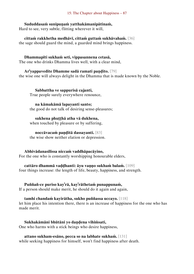#### 15: The Chapter about Happiness – 87

#### **Sududdasaṁ sunipuṇaṁ yatthakāmanipātinaṁ,**

Hard to see, very subtle, flitting wherever it will,

**cittaṁ rakkhetha medhāvī, cittaṁ guttaṁ sukhāvahaṁ.** [36] the sage should guard the mind, a guarded mind brings happiness.

#### **Dhammapīti sukhaṁ seti, vippasannena cetasā,**

The one who drinks Dhamma lives well, with a clear mind,

### **Ar<sup>i</sup> yappavedite Dhamme sadā ramati paṇḍito.** [79]

the wise one will always delight in the Dhamma that is made known by the Noble.

**Sabbattha ve sappurisā cajanti,**  True people surely everywhere renounce,

#### **na kāmakāmā lapayanti santo;**

the good do not talk of desiring sense-pleasures;

#### **sukhena phuṭṭhā atha vā dukhena,**

when touched by pleasure or by suffering,

#### **noccāvacaṁ paṇḍitā dassayanti.** [83]

the wise show neither elation or depression.

#### **Abhivādanasīlissa niccaṁ vaddhāpacāyino,**

For the one who is constantly worshipping honourable elders,

#### **cattāro dhammā vaḍḍhanti: āyu vaṇṇo sukhaṁ balaṁ.** [109]

four things increase: the length of life, beauty, happiness, and strength.

# **Puññañ-ce puriso kay<sup>i</sup> rā, kay<sup>i</sup> rāthetaṁ punappunaṁ,**

If a person should make merit, he should do it again and again,

#### **tamhi chandaṁ kayirātha, sukho puññassa uccayo.** [118]

let him place his intention there, there is an increase of happiness for the one who has made merit.

**Sukhakāmāni bhūtāni yo daṇḍena vihiṁsati,** One who harms with a stick beings who desire happiness,

#### **attano sukham-esāno, pecca so na labhate sukhaṁ.** [131]

while seeking happiness for himself, won't find happiness after death.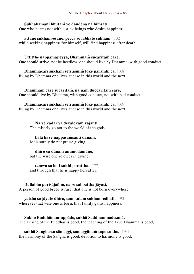#### 15: The Chapter about Happiness – 88

#### **Sukhakāmāni bhūtāni yo daṇḍena na hiṁsati,**

One who harms not with a stick beings who desire happiness,

**attano sukham-esāno, pecca so labhate sukhaṁ.** [132] while seeking happiness for himself, will find happiness after death.

Uttitthe nappamajievya, Dhammam sucaritam care, One should strive, not be heedless, one should live by Dhamma, with good conduct,

**Dhammacārī sukhaṁ seti asmiṁ loke paramhi ca.** [168] living by Dhamma one lives at ease in this world and the next.

**Dhammaṁ care sucaritaṁ, na naṁ duccaritaṁ care,**  One should live by Dhamma, with good conduct, not with bad conduct,

**Dhammacārī sukhaṁ seti asmiṁ loke paramhi ca.** [169] living by Dhamma one lives at ease in this world and the next.

**Na ve kadar<sup>i</sup> yā devalokaṁ vajanti,**  The miserly go not to the world of the gods,

**bālā have nappasaṁsanti dānaṁ,** fools surely do not praise giving,

**dhīro ca dānaṁ anumodamāno,** but the wise one rejoices in giving,

**teneva so hoti sukhī parattha.** [177] and through that he is happy hereafter.

#### **Dullabho purisājañño, na so sabbattha jāyati,**

A person of good breed is rare, that one is not born everywhere,

**yattha so jāyate dhīro, taṁ kulaṁ sukham-edhati.** [193] wherever that wise one is born, that family gains happiness.

**Sukho Buddhānam-uppādo, sukhā Saddhammadesanā,** The arising of the Buddhas is good, the teaching of the True Dhamma is good,

**sukhā Saṅghassa sāmaggī, samaggānaṁ tapo sukho.** [194] the harmony of the Saṅgha is good, devotion to harmony is good.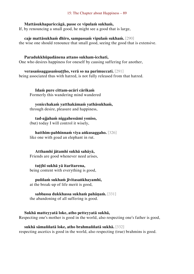#### **Mattāsukhapariccāgā, passe ce vipulaṁ sukhaṁ,**

If, by renouncing a small good, he might see a good that is large,

**caje mattāsukhaṁ dhīro, sampassaṁ vipulaṁ sukhaṁ.** [290] the wise one should renounce that small good, seeing the good that is extensive.

#### **Paradukkhūpadānena attano sukham-icchati,**

One who desires happiness for oneself by causing suffering for another,

#### **verasaṁsaggasaṁsaṭṭho, verā so na parimuccati.** [291]

being associated thus with hatred, is not fully released from that hatred.

**Idaṁ pure cittam-acāri cārikaṁ**  Formerly this wandering mind wandered

**yenicchakaṁ yatthakāmaṁ yathāsukhaṁ,**

through desire, pleasure and happiness,

### **tad-ajjahaṁ niggahessāmi yoniso,**

(but) today I will control it wisely,

### **hatthim-pabhinnaṁ viya aṅkusaggaho.** [326]

like one with goad an elephant in rut.

# **Atthamhi jātamhi sukhā sahāyā,**

Friends are good whenever need arises,

# **tuṭṭhī sukhā yā itarītarena,**

being content with everything is good,

# **puññaṁ sukhaṁ jīvitasaṅkhayamhi,**

at the break-up of life merit is good,

# **sabbassa dukkhassa sukhaṁ pahāṇaṁ.** [331]

the abandoning of all suffering is good.

# **Sukhā matteyyatā loke, atho petteyyatā sukhā,**

Respecting one's mother is good in the world, also respecting one's father is good,

#### **sukhā sāmaññatā loke, atho brahmaññatā sukhā.** [332] respecting ascetics is good in the world, also respecting (true) brahmins is good.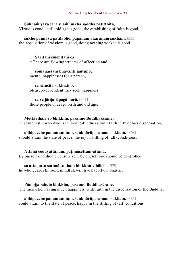### **Sukhaṁ yāva jarā sīlaṁ, sukhā saddhā patiṭṭhitā,**

Virtuous conduct till old age is good, the establishing of faith is good,

**sukho paññāya paṭilābho, pāpānaṁ akaraṇaṁ sukhaṁ.** [333] the acquisition of wisdom is good, doing nothing wicked is good.

**Saritāni sinehitāni ca**  \* There are flowing streams of affection and

**sŏmanassāni bhavanti jantuno,**  mental happinesses for a person,

**te sātasitā sukhesino,**  pleasure-dependent they seek happiness,

**te ve jātijarūpagā narā.** [341] those people undergo birth and old age.

### **Mettāvihārī yo bhikkhu, pasanno Buddhasāsane,**

That monastic who dwells in loving-kindness, with faith in Buddha's dispensation,

**adhigacche padaṁ santaṁ, saṅkhārūpasamaṁ sukhaṁ.** [368] should attain the state of peace, the joy in stilling of (all) conditions.

#### **Attanā codayattānaṁ, paṭimāsettam-attanā,**

By oneself one should censure self, by oneself one should be controlled,

#### **so attagutto satimā sukhaṁ bhikkhu vihāhisi.** [379]

he who guards himself, mindful, will live happily, monastic.

#### **Pāmojjabahulo bhikkhu, pasanno Buddhasāsane,**

The monastic, having much happiness, with faith in the dispensation of the Buddha,

**adhigacche padaṁ santaṁ, saṅkhārūpasamaṁ sukhaṁ.** [381] could attain to the state of peace, happy in the stilling of (all) conditions.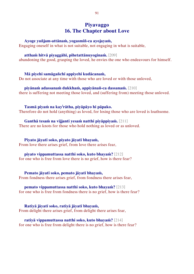# **Piyavaggo 16. The Chapter about Love**

#### **Ayoge yuñjam-attānaṁ, yogasmiñ-ca ayojayaṁ,**

Engaging oneself in what is not suitable, not engaging in what is suitable,

#### **atthaṁ hitvā piyaggāhī, pihetattānuyoginaṁ.** [209]

abandoning the good, grasping the loved, he envies the one who endeavours for himself.

#### **Mā piyehi samāgañchī appiyehi kudācanaṁ,**

Do not associate at any time with those who are loved or with those unloved,

#### **piyānaṁ adassanaṁ dukkhaṁ, appiyānañ-ca dassanaṁ.** [210]

there is suffering not meeting those loved, and (suffering from) meeting those unloved.

#### **Tasmā piyaṁ na kay<sup>i</sup> rātha, piyāpāyo hi pāpako.**

Therefore do not hold (anything) as loved, for losing those who are loved is loathsome.

#### **Ganthā tesaṁ na vijjanti yesaṁ natthi piyāppiyaṁ.** [211]

There are no knots for those who hold nothing as loved or as unloved.

#### **Piyato jāyatī soko, piyato jāyatī bhayaṁ,**

From love there arises grief, from love there arises fear,

#### **piyato vippamuttassa natthi soko, kuto bhayaṁ?** [212]

for one who is free from love there is no grief, how is there fear?

#### **Pemato jāyatī soko, pemato jāyatī bhayaṁ,**

From fondness there arises grief, from fondness there arises fear,

#### **pemato vippamuttassa natthi soko, kuto bhayaṁ?** [213]

for one who is free from fondness there is no grief, how is there fear?

# **Ratiyā jāyatī soko, ratiyā jāyatī bhayaṁ,**

From delight there arises grief, from delight there arises fear,

#### **ratiyā vippamuttassa natthi soko, kuto bhayaṁ?** [214] for one who is free from delight there is no grief, how is there fear?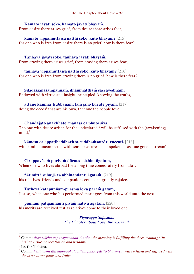### **Kāmato jāyatī soko, kāmato jāyatī bhayaṁ,**

From desire there arises grief, from desire there arises fear,

**kāmato vippamuttassa natthi soko, kuto bhayaṁ?** [215] for one who is free from desire there is no grief, how is there fear?

#### **Taṇhāya jāyatī soko, taṇhāya jāyatī bhayaṁ,**

From craving there arises grief, from craving there arises fear,

**taṇhāya vippamuttassa natthi soko, kuto bhayaṁ?** [216] for one who is free from craving there is no grief, how is there fear?

**Sīladassanasampannaṁ, dhammaṭṭhaṁ saccavedinaṁ,** Endowed with virtue and insight, principled, knowing the truths,

# **attano kamma' kubbānaṁ, taṁ jano kurute piyaṁ.** [217]

doing the deeds<sup>1</sup> that are his own, that one the people love.

### **Chandajāto anakkhāte, manasā ca phuṭo siyā,**

The one with desire arisen for the undeclared,<sup>2</sup> will be suffused with the (awakening)  $mind<sup>3</sup>$ 

#### **kāmesu ca appaṭibaddhacitto, 'uddhaṁsoto' ti vuccati.** [218]

with a mind unconnected with sense pleasures, he is spoken of as 'one gone upstream'.

# **Cirappavāsiṁ purisaṁ dūrato sotthim-āgataṁ,**

When one who lives abroad for a long time comes safely from afar,

# **ñātimittā suhajjā ca abhinandanti āgataṁ.** [219]

his relatives, friends and companions come and greatly rejoice.

# **Tatheva katapuññam-pi asmā lokā paraṁ gataṁ,**

Just so, when one who has performed merit goes from this world unto the next,

# **puññāni paṭigaṇhanti piyaṁ ñātīva āgataṁ.** [220]

his merits are received just as relatives come to their loved one.

# *Piyavaggo Soḷasamo*

*The Chapter about Love, the Sixteenth*

<sup>1</sup> Comm: *tisso sikkhā tā pūrayamānan-ti attho*; *the meaning is fulfilling the three trainings (in higher virtue, concentration and wisdom)*.

<sup>&</sup>lt;sup>2</sup> I.e. for Nibbāna.

<sup>3</sup> Comm: *heṭṭhimehi tīhi maggaphalacittehi phuṭo pūrito bhaveyya*; *will be filled and suffused with the three lower paths and fruits*.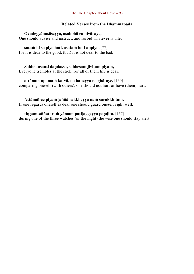#### 16: The Chapter about Love – 93

#### **Related Verses from the Dhammapada**

#### **Ovadeyyānusāseyya, asabbhā ca nivāraye,**

One should advise and instruct, and forbid whatever is vile,

# **sataṁ hi so piyo hoti, asataṁ hoti appiyo.** [77]

for it is dear to the good, (but) it is not dear to the bad.

# **Sabbe tasanti daṇḍassa, sabbesaṁ jīvitaṁ piyaṁ,**

Everyone trembles at the stick, for all of them life is dear,

# **attānaṁ upamaṁ katvā, na haneyya na ghātaye.** [130]

comparing oneself (with others), one should not hurt or have (them) hurt.

### **Attānañ-ce piyaṁ jaññā rakkheyya naṁ surakkhitaṁ,**

If one regards oneself as dear one should guard oneself right well,

# **tiṇṇam-aññataraṁ yāmaṁ paṭijaggeyya paṇḍito.** [157]

during one of the three watches (of the night) the wise one should stay alert.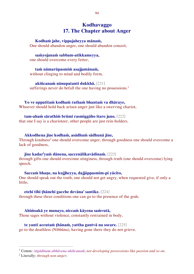# **Kodhavaggo 17. The Chapter about Anger**

#### **Kodhaṁ jahe, vippajaheyya mānaṁ,**

One should abandon anger, one should abandon conceit,

#### **saṁyojanaṁ sabbam-atikkameyya,**

one should overcome every fetter,

**taṁ nāmarūpasmiṁ asajjamānaṁ,** without clinging to mind and bodily form,

**akiñcanaṁ nānupatanti dukkhā.** [221] sufferings never do befall the one having no possessions.<sup>1</sup>

**Yo ve uppatitaṁ kodhaṁ rathaṁ bhantaṁ va dhāraye,** Whoever should hold back arisen anger just like a swerving chariot,

#### **tam-ahaṁ sārathiṁ brūmi rasmiggāho itaro jano.** [222]

that one I say is a charioteer, other people are just rein-holders.

**Akkodhena jine kodhaṁ, asādhuṁ sādhunā jine,**

Through kindness<sup>2</sup> one should overcome anger, through goodness one should overcome a lack of goodness,

### **jine kadar<sup>i</sup> yaṁ dānena, saccenālikavādinaṁ.** [223]

through gifts one should overcome stinginess, through truth (one should overcome) lying speech.

#### **Saccaṁ bhaṇe, na kujjheyya, dajjāppasmim-pi yācito,**

One should speak out the truth, one should not get angry, when requested give, if only a little,

#### **etehi tīhi ṭhānehi gacche devāna' santike.** [224]

through these three conditions one can go to the presence of the gods.

**Ahiṁsakā ye munayo, niccaṁ kāyena saṁvutā,**  Those sages without violence, constantly restrained in body,

# **te yanti accutaṁ ṭhānaṁ, yattha gantvā na socare.** [225]

go to the deathless (Nibbāna), having gone there they do not grieve.

<sup>1</sup> Comm: *rāgādīnaṃ abhāvena akiñcanaṁ*; *not developing possessions like passion and so on*.

<sup>2</sup> Literally: *through non-anger*.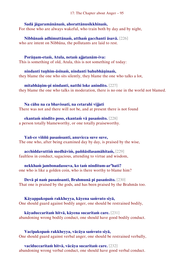#### **Sadā jāgaramānānaṁ, ahorattānusikkhinaṁ,**

For those who are always wakeful, who train both by day and by night,

**Nibbānaṁ adhimuttānaṁ, atthaṁ gacchanti āsavā.** [226] who are intent on Nibbāna, the pollutants are laid to rest.

#### **Porāṇam-etaṁ, Atula, netaṁ ajjatanām-iva:**

This is something of old, Atula, this is not something of today:

**nindanti tuṇhim-āsīnaṁ, nindanti bahubhāṇinaṁ,** they blame the one who sits silently, they blame the one who talks a lot,

**mitabhāṇim-pi nindanti, natthi loke anindito.** [227] they blame the one who talks in moderation, there is no one in the world not blamed.

**Na cāhu na ca bhavissati, na cetarahi vijjati** There was not and there will not be, and at present there is not found

**ekantaṁ nindito poso, ekantaṁ vā pasaṁsito.** [228] a person totally blameworthy, or one totally praiseworthy.

#### **Yañ-ce viññū pasaṁsanti, anuvicca suve suve,**

The one who, after being examined day by day, is praised by the wise,

**acchiddavuttiṁ medhāviṁ, paññāsīlasamāhitaṁ,** [229] faultless in conduct, sagacious, attending to virtue and wisdom,

#### **nekkhaṁ jambonadasseva, ko taṁ ninditum-ar<sup>a</sup>hati?**

one who is like a golden coin, who is there worthy to blame him?

### **Devā pi naṁ pasaṁsanti, Brahmunā pi pasaṁsito.** [230]

That one is praised by the gods, and has been praised by the Brahmās too.

**Kāyappakopaṁ rakkheyya, kāyena saṁvuto siyā,** 

One should guard against bodily anger, one should be restrained bodily,

**kāyaduccaritaṁ hitvā, kāyena sucaritaṁ care.** [231] abandoning wrong bodily conduct, one should have good bodily conduct.

**Vacīpakopaṁ rakkheyya, vācāya saṁvuto siyā,**  One should guard against verbal anger, one should be restrained verbally,

**vacīduccaritaṁ hitvā, vācāya sucaritaṁ care.** [232] abandoning wrong verbal conduct, one should have good verbal conduct.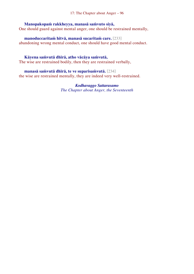# **Manopakopaṁ rakkheyya, manasā saṁvuto siyā,**

One should guard against mental anger, one should be restrained mentally,

# **manoduccaritaṁ hitvā, manasā sucaritaṁ care.** [233]

abandoning wrong mental conduct, one should have good mental conduct.

# **Kāyena saṁvutā dhīrā, atho vācāya saṁvutā,**

The wise are restrained bodily, then they are restrained verbally,

**manasā saṁvutā dhīrā, te ve suparisaṁvutā.** [234] the wise are restrained mentally, they are indeed very well-restrained.

> *Kodhavaggo Sattarasamo The Chapter about Anger, the Seventeenth*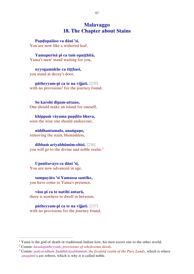# **Malavaggo 18. The Chapter about Stains**

**Paṇḍupalāso va dāni 'si,**  You are now like a withered leaf,

**Yamapurisā pi ca taṁ upaṭṭhitā,**  Yama's men<sup>1</sup> stand waiting for you,

**uyyogamukhe ca tiṭṭhasi,**  you stand at decay's door,

**pātheyyam-pi ca te na vijjati.** [235] with no provisions<sup>2</sup> for the journey found.

**So karohi dīpam-attano,**  One should make an island for oneself,

**khippaṁ vāyama paṇḍito bhava,**  soon the wise one should endeavour,

**niddhantamalo, anaṅgaṇo,**  removing the stain, blemishless,

**dibbaṁ ariyabhūmim-ehisi.** [236] you will go to the divine and noble realm.<sup>3</sup>

**Upanītavayo ca dāni 'si,**  You are now advanced in age,

**sampayāto 'si Yamassa santike,**  you have come to Yama's presence,

**vāso pi ca te natthi antarā,**  there is nowhere to dwell in between,

**pātheyyam-pi ca te na vijjati.** [237] with no provisions for the journey found.

<sup>&</sup>lt;sup>1</sup> Yama is the god of death in traditional Indian lore, his men escort one to the other world.

<sup>2</sup> Comm: *kusalapātheyyaṁ*; *provisions of wholesome deeds*.

<sup>3</sup> Comm: *pañcavidhaṁ Suddhāvāsabhūmiṁ*; *the fivefold realm of the Pure Lands*, which is where *anagāmī*-s are reborn, which is why it is called noble.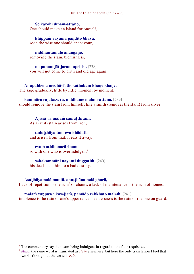# **So karohi dīpam-attano,**

One should make an island for oneself,

**khippaṁ vāyama paṇḍito bhava,**  soon the wise one should endeavour,

**niddhantamalo anaṅgaṇo,**  removing the stain, blemishless,

**na punaṁ jātijaraṁ upehisi.** [238] you will not come to birth and old age again.

**Anupubbena medhāvī, thokathokaṁ khaṇe khaṇe,**  The sage gradually, little by little, moment by moment,

**kammāro rajatasseva, niddhame malam-attano.** [239] should remove the stain from himself, like a smith (removes the stain) from silver.

**Ayasā va malaṁ samuṭṭhitaṁ,**  As a (rust) stain arises from iron,

**taduṭṭhāya tam-eva khādati,**  and arisen from that, it eats it away,

**evaṁ atidhonacārinaṁ –** so with one who is overindulgent<sup>1</sup> –

**sakakammāni nayanti duggatiṁ.** [240] his deeds lead him to a bad destiny.

# **Asajjhāyamalā mantā, anuṭṭhānamalā gharā,**

 $\overline{a}$ 

Lack of repetition is the ruin<sup>2</sup> of chants, a lack of maintenance is the ruin of homes,

**malaṁ vaṇṇassa kosajjaṁ, pamādo rakkhato malaṁ.** [241]

indolence is the ruin of one's appearance, heedlessness is the ruin of the one on guard.

<sup>&</sup>lt;sup>1</sup> The commentary says it means being indulgent in regard to the four requisites.

<sup>2</sup> *Mala*, the same word is translated as *stain* elsewhere, but here the only translation I feel that works throughout the verse is *ruin*.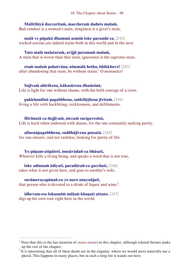**Malitthiyā duccaritaṁ, maccheraṁ dadato malaṁ,** Bad conduct is a woman's stain, stinginess is a giver's stain,

**malā ve pāpakā dhammā asmiṁ loke paramhi ca.** [242] wicked actions are indeed stains both in this world and in the next.

**Tato malā malataraṁ, avijjā paramaṁ malaṁ,**  A stain that is worse than that stain, ignorance is the supreme stain,

**etaṁ malaṁ pahatvāna, nimmalā hotha, bhikkhavo!** [243] after abandoning that stain, be without stains, $1$  O monastics!

**Sujīvaṁ ahirikena, kākasūrena dhaṁsinā,**  Life is light for one without shame, with the bold courage of a crow,

**pakkhandinā pagabbhena, saṅkiliṭṭhena jīvitaṁ.** [244] living a life with backbiting, recklessness, and defilements.

**Hirīmatā ca dujjīvaṁ, niccaṁ sucigavesinā,**  Life is hard when endowed with shame, for the one constantly seeking purity,

**alīnenāpagabbhena, suddhājīvena passatā.** [245] for one sincere, and not reckless, looking for purity of life.

**Yo pāṇam-atipāteti, musāvādañ-ca bhāsati,** Whoever kills a living being, and speaks a word that is not true,

**loke adinnaṁ ādiyati, paradārañ-ca gacchati,** [246] takes what is not given here, and goes to another's wife,

**surāmerayapānañ-ca yo naro anuyuñjati,** that person who is devoted to a drink of liquor and wine, $2$ 

**idhevam-eso lokasmiṁ mūlaṁ khaṇati attano.** [247] digs up his own root right here in the world.

<sup>1</sup> Note that this is the last mention of *stains* (*mala*) in this chapter, although related themes make up the rest of the chapter.

 $2$  It is interesting that all of these deeds are in the singular, where we would more naturally use a plural. This happens in many places, but in such a long list it stands out here.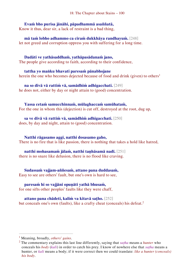# **Evaṁ bho purisa jānāhi, pāpadhammā asaññatā,**

Know it thus, dear sir, a lack of restraint is a bad thing,

**mā taṁ lobho adhammo ca ciraṁ dukkhāya randhayuṁ.** [248] let not greed and corruption oppress you with suffering for a long time.

**Dadāti ve yathāsaddhaṁ, yathāpasādanaṁ jano,**  The people give according to faith, according to their confidence,

**tattha yo maṅku bhavati paresaṁ pānabhojane** herein the one who becomes dejected because of food and drink (given) to others<sup>1</sup>

**na so divā vā rattiṁ vā, samādhiṁ adhigacchati.** [249] he does not, either by day or night attain to (good) concentration.

**Yassa cetaṁ samucchinnaṁ, mūlaghaccaṁ samūhataṁ,**  For the one in whom this (dejection) is cut off, destroyed at the root, dug up,

**sa ve divā vā rattiṁ vā, samādhiṁ adhigacchati.** [250] does, by day and night, attain to (good) concentration.

**Natthi rāgasamo aggi, natthi dosasamo gaho,** There is no fire that is like passion, there is nothing that takes a hold like hatred,

**natthi mohasamaṁ jālaṁ, natthi taṇhāsamā nadī.** [251] there is no snare like delusion, there is no flood like craving.

**Sudassaṁ vajjam-aññesaṁ, attano pana duddasaṁ,** Easy to see are others' fault, but one's own is hard to see,

**paresaṁ hi so vajjāni opuṇāti yathā bhusaṁ,** for one sifts other peoples' faults like they were chaff,

**attano pana chādeti, kaliṁ va kitavā saṭho.** [252] but conceals one's own (faults), like a crafty cheat (conceals) his defeat.<sup>2</sup>

<sup>1</sup> Meaning, broadly, *others' gains*.

<sup>2</sup> The commentary explains this last line differently, saying that *saṭha* means a *hunter* who conceals his *body* (*kali*) in order to catch his prey. I know of nowhere else that *saṭha* means a hunter, or *kali* means a body; if it were correct then we could translate: *like a hunter (conceals) his body*.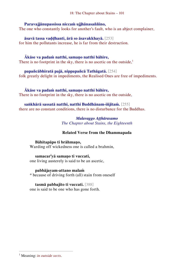### **Paravajjānupassissa niccaṁ ujjhānasaññino,**

The one who constantly looks for another's fault, who is an abject complainer,

**āsavā tassa vaḍḍhanti, ārā so āsavakkhayā.** [253] for him the pollutants increase, he is far from their destruction.

# **Ākāse va padaṁ natthi, samaṇo natthi bāhire,**

There is no footprint in the sky, there is no ascetic on the outside, $<sup>1</sup>$ </sup>

#### **papañcābhiratā pajā, nippapañcā Tathāgatā.** [254]

folk greatly delight in impediments, the Realised Ones are free of impediments.

### **Ākāse va padaṁ natthi, samaṇo natthi bāhire,**

There is no footprint in the sky, there is no ascetic on the outside,

# **saṅkhārā sassatā natthi, natthi Buddhānam-iñjitaṁ.** [255]

there are no constant conditions, there is no disturbance for the Buddhas.

#### *Malavaggo Aṭṭhārasamo The Chapter about Stains, the Eighteenth*

# **Related Verse from the Dhammapada**

# **Bāhitapāpo ti brāhmaṇo,**

Warding off wickedness one is called a brahmin,

# **samacar<sup>i</sup> yā samaṇo ti vuccati,**

one living austerely is said to be an ascetic,

#### **pabbājayam-attano malaṁ**

\* because of driving forth (all) stain from oneself

# **tasmā pabbajito ti vuccati.** [388]

one is said to be one who has gone forth.

<sup>1</sup> Meaning: *in outside sects*.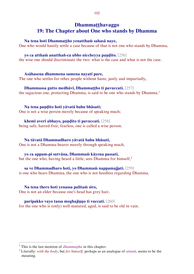# **Dhammaṭṭhavaggo 19: The Chapter about One who stands by Dhamma**

#### **Na tena hoti Dhammaṭṭho yenatthaṁ sahasā naye,**

One who would hastily settle a case because of that is not one who stands by Dhamma,

#### **yo ca atthaṁ anatthañ-ca ubho niccheyya paṇḍito.** [256]

the wise one should discriminate the two: what is the case and what is not the case.

#### **Asāhasena dhammena samena nayatī pare,**

The one who settles for other people without haste, justly and impartially,

#### **Dhammassa gutto medhāvī, Dhammaṭṭho ti pavuccati.** [257]

the sagacious one, protecting Dhamma, is said to be one who stands by Dhamma.<sup>1</sup>

#### **Na tena paṇḍito hoti yāvatā bahu bhāsati;**

One is not a wise person merely because of speaking much;

#### **khemī averī abhayo, paṇḍito ti pavuccati.** [258]

being safe, hatred-free, fearless, one is called a wise person.

#### **Na tāvatā Dhammadharo yāvatā bahu bhāsati,**

One is not a Dhamma-bearer merely through speaking much,

# **yo ca appam-pi sutvāna, Dhammaṁ kāyena passati,**

but the one who, having heard a little, sees Dhamma for himself,<sup>2</sup>

# **sa ve Dhammadharo hoti, yo Dhammaṁ nappamajjati.** [259]

is one who bears Dhamma, the one who is not heedless regarding Dhamma.

# **Na tena thero hoti yenassa palitaṁ siro,**

One is not an elder because one's head has grey hair,

#### **paripakko vayo tassa moghajiṇṇo ti vuccati.** [260]

for the one who is (only) well-matured, aged, is said to be old in vain.

<sup>&</sup>lt;sup>1</sup> This is the last mention of *dhammattha* in this chapter.

<sup>2</sup> Literally: *with the body*, but *for himself*, perhaps as an analogue of *attanā*, seems to be the meaning.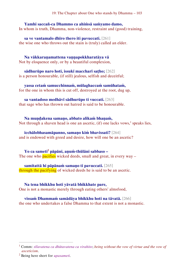# **Yamhi saccañ-ca Dhammo ca ahiṁsā saṁyamo damo,**  In whom is truth, Dhamma, non-violence, restraint and (good) training,

**sa ve vantamalo dhīro thero iti pavuccati.** [261] the wise one who throws out the stain is (truly) called an elder.

**Na vākkaraṇamattena vaṇṇapokkharatāya vā**  Not by eloquence only, or by a beautiful complexion,

**sādhurūpo naro hoti, issukī maccharī saṭho;** [262] is a person honourable, (if still) jealous, selfish and deceitful;

**yassa cetaṁ samucchinnaṁ, mūlaghaccaṁ samūhataṁ,**  for the one in whom this is cut off, destroyed at the root, dug up,

**sa vantadoso medhāvī sādhurūpo ti vuccati.** [263] that sage who has thrown out hatred is said to be honourable.

**Na muṇḍakena samaṇo, abbato alikaṁ bhaṇaṁ,**  Not through a shaven head is one an ascetic,  $(if)$  one lacks vows,<sup>1</sup> speaks lies,

**icchālobhasamāpanno, samaṇo kiṁ bhavissati?** [264] and is endowed with greed and desire, how will one be an ascetic?

**Yo ca sameti<sup>2</sup> pāpāni, aṇuṁ-thūlāni sabbaso –** The one who **pacifies** wicked deeds, small and great, in every way  $-$ 

**samitattā hi pāpānaṁ samaṇo ti pavuccati.** [265] through the pacifying of wicked deeds he is said to be an ascetic.

**Na tena bhikkhu hoti yāvatā bhikkhate pare,**  One is not a monastic merely through eating others' almsfood,

**vissaṁ Dhammaṁ samādāya bhikkhu hoti na tāvatā.** [266] the one who undertakes a false Dhamma to that extent is not a monastic.

<sup>1</sup> Comm: *sīlavatena ca dhūtavatena ca virahito*; *being without the vow of virtue and the vow of asceticism*.

<sup>2</sup> Being here short for *upasameti*.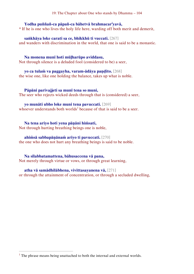19: The Chapter about One who stands by Dhamma – 104

#### **Yodha puññañ-ca pāpañ-ca bāhetvā brahmacar<sup>i</sup> yavā,**

\* If he is one who lives the holy life here, warding off both merit and demerit,

#### **saṅkhāya loke carati sa ce, bhikkhū ti vuccati.** [267]

and wanders with discrimination in the world, that one is said to be a monastic.

#### **Na monena munī hoti mūḷharūpo aviddasu,**

Not through silence is a deluded fool (considered to be) a seer,

# **yo ca tulaṁ va paggayha, varam-ādāya paṇḍito.** [268]

the wise one, like one holding the balance, takes up what is noble.

#### **Pāpāni parivajjeti sa munī tena so muni,**

The seer who rejects wicked deeds through that is (considered) a seer,

#### **yo munāti ubho loke muni tena pavuccati.** [269]

whoever understands both worlds<sup>1</sup> because of that is said to be a seer.

#### **Na tena ariyo hoti yena pāṇāni hiṁsati,**

Not through hurting breathing beings one is noble,

#### **ahiṁsā sabbapāṇānaṁ ariyo ti pavuccati.** [270]

the one who does not hurt any breathing beings is said to be noble.

#### **Na sīlabbatamattena, bāhusaccena vā pana,**

Not merely through virtue or vows, or through great learning,

#### **atha vā samādhilābhena, vivittasayanena vā,** [271]

or through the attainment of concentration, or through a secluded dwelling,

 $<sup>1</sup>$  The phrase means being unattached to both the internal and external worlds.</sup>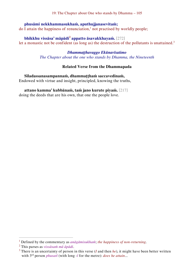19: The Chapter about One who stands by Dhamma – 105

#### **phusāmi nekkhammasukhaṁ, aputhujjanasevitaṁ;**

 $\alpha$  I attain the happiness of renunciation,<sup>1</sup> not practised by worldly people;

# **bhikkhu vissāsa' māpādi<sup>2</sup> appatto āsavakkhayaṁ.** [272]

let a monastic not be confident (as long as) the destruction of the pollutants is unattained.<sup>3</sup>

# *Dhammaṭṭhavaggo Ekūnavīsatimo*

*The Chapter about the one who stands by Dhamma, the Nineteenth*

### **Related Verse from the Dhammapada**

**Sīladassanasampannaṁ, dhammaṭṭhaṁ saccavedinaṁ,** Endowed with virtue and insight, principled, knowing the truths,

# **attano kamma' kubbānaṁ, taṁ jano kurute piyaṁ.** [217]

doing the deeds that are his own, that one the people love.

<sup>1</sup> Defined by the commentary as *anāgāmisukhaṁ*; *the happiness of non-returning*.

<sup>2</sup> This parses as *vissāsaṁ mā āpādi*.

<sup>3</sup> There is an uncertainty of person in this verse (*I* and then *he*), it might have been better written with 3rd person *phusatī* (with long -*ī* for the metre): *does he attain*...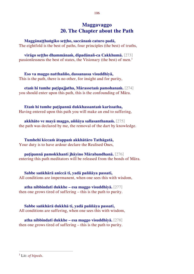# **Maggavaggo 20. The Chapter about the Path**

**Maggānaṭṭhaṅgiko seṭṭho, saccānaṁ caturo padā,** 

The eightfold is the best of paths, four principles (the best) of truths,

**virāgo seṭṭho dhammānaṁ, dipadānañ-ca Cakkhumā.** [273] passionlessness the best of states, the Visionary (the best) of men.<sup>1</sup>

**Eso va maggo natthañño, dassanassa visuddhiyā,**  This is the path, there is no other, for insight and for purity,

**etaṁ hi tumhe paṭipajjatha, Mārassetaṁ pamohanaṁ.** [274] you should enter upon this path, this is the confounding of Māra.

**Etaṁ hi tumhe paṭipannā dukkhassantaṁ karissatha,**  Having entered upon this path you will make an end to suffering,

**akkhāto ve mayā maggo, aññāya sallasanthanaṁ.** [275] the path was declared by me, the removal of the dart by knowledge.

**Tumhehi kiccaṁ ātappaṁ akkhātāro Tathāgatā,**  Your duty is to have ardour declare the Realised Ones,

**paṭipannā pamokkhanti jhāyino Mārabandhanā.** [276] entering this path meditators will be released from the bonds of Māra.

**Sabbe saṅkhārā aniccā ti, yadā paññāya passati,**  All conditions are impermanent, when one sees this with wisdom,

**atha nibbindatī dukkhe – esa maggo visuddhiyā.** [277] then one grows tired of suffering – this is the path to purity.

**Sabbe saṅkhārā dukkhā ti, yadā paññāya passati,**  All conditions are suffering, when one sees this with wisdom,

**atha nibbindatī dukkhe – esa maggo visuddhiyā.** [278] then one grows tired of suffering – this is the path to purity.

<sup>1</sup> Lit: *of bipeds*.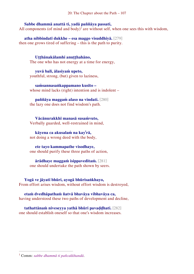#### **Sabbe dhammā anattā ti, yadā paññāya passati,**

All components (of mind and body)<sup>1</sup> are without self, when one sees this with wisdom,

**atha nibbindatī dukkhe – esa maggo visuddhiyā.** [279] then one grows tired of suffering – this is the path to purity.

**Uṭṭhānakālamhi anuṭṭhahāno,**  The one who has not energy at a time for energy,

**yuvā balī, ālasiyaṁ upeto,** youthful, strong, (but) given to laziness,

**saṁsannasaṅkappamano kusīto –** whose mind lacks (right) intention and is indolent –

**paññāya maggaṁ alaso na vindati.** [280] the lazy one does not find wisdom's path.

**Vācānurakkhī manasā susaṁvuto,**  Verbally guarded, well-restrained in mind,

**kāyena ca akusalaṁ na kay<sup>i</sup> rā,** not doing a wrong deed with the body,

**ete tayo kammapathe visodhaye,** one should purify these three paths of action,

**ārādhaye maggaṁ isippaveditaṁ.** [281] one should undertake the path shown by seers.

**Yogā ve jāyatī bhūri, ayogā bhūrisaṅkhayo,**  From effort arises wisdom, without effort wisdom is destroyed,

**etaṁ dvedhāpathaṁ ñatvā bhavāya vibhavāya ca,**  having understood these two paths of development and decline,

**tathattānaṁ niveseyya yathā bhūri pavaḍḍhati.** [282] one should establish oneself so that one's wisdom increases.

<sup>1</sup> Comm: *sabbe dhammā ti pañcakkhandā*.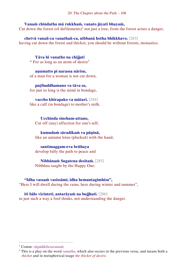## **Vanaṁ chindatha mā rukkhaṁ, vanato jāyatī bhayaṁ,**

Cut down the forest (of defilements)<sup>1</sup> not just a tree, from the forest arises a danger,

**chetvā vanañ-ca vanathañ-ca, nibbanā hotha bhikkhavo.** [283] having cut down the forest and thicket, you should be without forests, monastics.

**Yāva hi vanatho na chijjati**   $*$  For as long as an atom of desire<sup>2</sup>

**aṇumatto pi narassa nārisu,** of a man for a woman is not cut down,

**paṭibaddhamano va tāva so,**  for just so long is the mind in bondage,

**vaccho khīrapako va mātari.** [284] like a calf (in bondage) to mother's milk.

**Ucchinda sineham-attano,**  Cut off (any) affection for one's self,

**kumudaṁ sāradikaṁ va pāṇinā,**  like an autumn lotus (plucked) with the hand,

#### **santimaggam-eva brūhaya**

develop fully the path to peace and

**Nibbānaṁ Sugatena desitaṁ.** [285] Nibbāna taught by the Happy One.

**"Idha vassaṁ vasissāmi, idha hemantagimhisu",**  "Here I will dwell during the rains, here during winter and summer",

**iti bālo vicinteti, antarāyaṁ na bujjhati.** [286] in just such a way a fool thinks, not understanding the danger.

<sup>1</sup> Comm: *rāgādikilesavanaṁ*.

<sup>2</sup> This is a play on the word *vanatha*, which also occurs in the previous verse, and means both a *thicket* and in metaphorical usage *the thicket of desire*.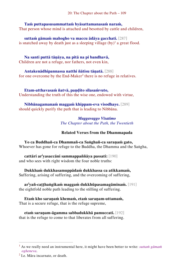## **Taṁ puttapasusammattaṁ byāsattamanasaṁ naraṁ,**

That person whose mind is attached and besotted by cattle and children,

**suttaṁ gāmaṁ mahogho va maccu ādāya gacchati.** [287] is snatched away by death just as a sleeping village  $(by)^{1}$  a great flood.

**Na santi puttā tāṇāya, na pitā na pi bandhavā,**  Children are not a refuge, nor fathers, not even kin,

**Antakenādhipannassa natthi ñātisu tāṇatā.** [288]

for one overcome by the End-Maker<sup>2</sup> there is no refuge in relatives.

**Etam-atthavasaṁ ñatvā, paṇḍito sīlasaṁvuto,**  Understanding the truth of this the wise one, endowed with virtue,

**Nibbānagamanaṁ maggaṁ khippam-eva visodhaye.** [289] should quickly purify the path that is leading to Nibbāna.

> *Maggavaggo Vīsatimo The Chapter about the Path, the Twentieth*

## **Related Verses from the Dhammapada**

**Yo ca Buddhañ-ca Dhammañ-ca Saṅghañ-ca saraṇaṁ gato,**  Whoever has gone for refuge to the Buddha, the Dhamma and the Saṅgha,

**cattāri ar<sup>i</sup> yasaccāni sammappaññāya passati:** [190] and who sees with right wisdom the four noble truths:

**Dukkhaṁ dukkhasamuppādaṁ dukkhassa ca atikkamaṁ,**  Suffering, arising of suffering, and the overcoming of suffering,

**ar<sup>i</sup> yañ-caṭṭhaṅgikaṁ maggaṁ dukkhūpasamagāminaṁ.** [191] the eightfold noble path leading to the stilling of suffering.

**Etaṁ kho saraṇaṁ khemaṁ, etaṁ saraṇam-uttamaṁ,**  That is a secure refuge, that is the refuge supreme,

**etaṁ saraṇam-āgamma sabbadukkhā pamuccati.** [192] that is the refuge to come to that liberates from all suffering.

<sup>1</sup> As we really need an instrumental here, it might have been better to write: *suttaṁ gāmaṁ ogheneva*.

 $2$  I.e. Māra incarnate, or death.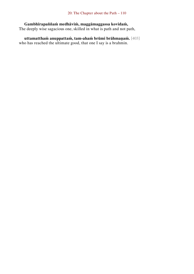**Gambhīrapaññaṁ medhāviṁ, maggāmaggassa kovidaṁ,**  The deeply wise sagacious one, skilled in what is path and not path,

**uttamatthaṁ anuppattaṁ, tam-ahaṁ brūmi brāhmaṇaṁ.** [403] who has reached the ultimate good, that one I say is a brahmin.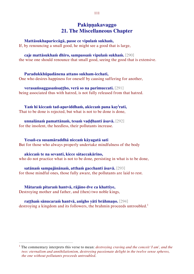# **Pakiṇṇakavaggo 21. The Miscellaneous Chapter**

#### **Mattāsukhapariccāgā, passe ce vipulaṁ sukhaṁ,**

If, by renouncing a small good, he might see a good that is large,

#### **caje mattāsukhaṁ dhīro, sampassaṁ vipulaṁ sukhaṁ.** [290]

the wise one should renounce that small good, seeing the good that is extensive.

#### **Paradukkhūpadānena attano sukham-icchati,**

One who desires happiness for oneself by causing suffering for another,

## **verasaṁsaggasaṁsaṭṭho, verā so na parimuccati.** [291]

being associated thus with hatred, is not fully released from that hatred.

## **Yaṁ hi kiccaṁ tad-apaviddhaṁ, akiccaṁ pana kay<sup>i</sup> rati,**

That to be done is rejected, but what is not to be done is done,

# **unnalānaṁ pamattānaṁ, tesaṁ vaḍḍhanti āsavā.** [292]

for the insolent, the heedless, their pollutants increase.

#### **Yesañ-ca susamāraddhā niccaṁ kāyagatā sati**

But for those who always properly undertake mindfulness of the body

## **akiccaṁ te na sevanti, kicce sātaccakārino,**

who do not practice what is not to be done, persisting in what is to be done,

## **satānaṁ sampajānānaṁ, atthaṁ gacchanti āsavā.** [293]

for those mindful ones, those fully aware, the pollutants are laid to rest.

#### **Mātaraṁ pitaraṁ hantvā, rājāno dve ca khattiye,**

Destroying mother and father, and (then) two noble kings,

 $\overline{a}$ 

### **raṭṭhaṁ sānucaraṁ hantvā, anīgho yāti brāhmaṇo.** [294]

destroying a kingdom and its followers, the brahmin proceeds untroubled.<sup>1</sup>

<sup>1</sup> The commentary interprets this verse to mean: *destroying craving and the conceit 'I am', and the two: eternalism and annihilationism, destroying passionate delight in the twelve sense spheres, the one without pollutants proceeds untroubled*.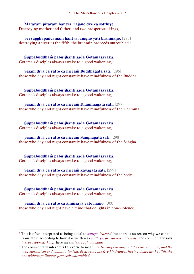**Mātaraṁ pitaraṁ hantvā, rājāno dve ca sotthiye,**  Destroying mother and father, and two prosperous<sup>1</sup> kings,

**veyyagghapañcamaṁ hantvā, anīgho yāti brāhmaṇo.** [295] destroying a tiger as the fifth, the brahmin proceeds untroubled.<sup>2</sup>

**Suppabuddhaṁ pabujjhanti sadā Gotamasāvakā,**  Gotama's disciples always awake to a good wakening,

**yesaṁ divā ca ratto ca niccaṁ Buddhagatā sati.** [296] those who day and night constantly have mindfulness of the Buddha.

**Suppabuddhaṁ pabujjhanti sadā Gotamasāvakā,**  Gotama's disciples always awake to a good wakening,

**yesaṁ divā ca ratto ca niccaṁ Dhammagatā sati.** [297] those who day and night constantly have mindfulness of the Dhamma.

**Suppabuddhaṁ pabujjhanti sadā Gotamasāvakā,**  Gotama's disciples always awake to a good wakening,

**yesaṁ divā ca ratto ca niccaṁ Saṅghagatā sati.** [298] those who day and night constantly have mindfulness of the Saṅgha.

**Suppabuddhaṁ pabujjhanti sadā Gotamasāvakā,**  Gotama's disciples always awake to a good wakening,

**yesaṁ divā ca ratto ca niccaṁ kāyagatā sati.** [299] those who day and night constantly have mindfulness of the body.

**Suppabuddhaṁ pabujjhanti sadā Gotamasāvakā,**  Gotama's disciples always awake to a good wakening,

 $\overline{a}$ 

**yesaṁ divā ca ratto ca ahiṁsāya rato mano.** [300] those who day and night have a mind that delights in non-violence.

<sup>1</sup> This is often interpreted as being equal to *sottiye*, *learned*; but there is no reason why we can't translate it according to how it is written as *sotthiye*, *prosperous, blessed*. The commentary says *two prosperous kings* here means *two brahmin kings*.

<sup>2</sup> The commentary interprets this verse to mean: *destroying craving and the conceit 'I am', and the two: eternalism and annihilationism, destroying the five hindrances having doubt as the fifth, the one without pollutants proceeds untroubled*.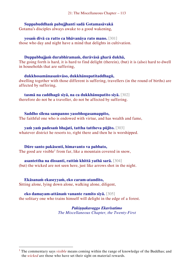## **Suppabuddhaṁ pabujjhanti sadā Gotamasāvakā**

Gotama's disciples always awake to a good wakening,

**yesaṁ divā ca ratto ca bhāvanāya rato mano.** [301] those who day and night have a mind that delights in cultivation.

### **Duppabbajjaṁ durabhiramaṁ, durāvāsā gharā dukhā,**

The going forth is hard, it is hard to find delight (therein), (but) it is (also) hard to dwell in households that are suffering,

**dukkhosamānasaṁvāso, dukkhānupatitaddhagū,** dwelling together with those different is suffering, travellers (in the round of births) are affected by suffering,

## **tasmā na caddhagū siyā, na ca dukkhānupatito siyā.** [302]

therefore do not be a traveller, do not be affected by suffering.

**Saddho sīlena sampanno yasobhogasamappito,** 

The faithful one who is endowed with virtue, and has wealth and fame,

## **yaṁ yaṁ padesaṁ bhajati, tattha tattheva pūjito.** [303]

whatever district he resorts to, right there and then he is worshipped.

#### **Dūre santo pakāsenti, himavanto va pabbato,**

The good are visible<sup>1</sup> from far, like a mountain covered in snow,

## **asantettha na dissanti, rattiṁ khittā yathā sarā.** [304]

(but) the wicked are not seen here, just like arrows shot in the night.

#### **Ekāsanaṁ ekaseyyaṁ, eko caram-atandito,**

 $\overline{a}$ 

Sitting alone, lying down alone, walking alone, diligent,

## **eko damayam-attānaṁ vanante ramito siyā.** [305]

the solitary one who trains himself will delight in the edge of a forest.

*Pakiṇṇakavaggo Ekavīsatimo The Miscellaneous Chapter, the Twenty-First*

<sup>1</sup> The commentary says *visible* means coming within the range of knowledge of the Buddhas; and the *wicked* are those who have set their sight on material rewards.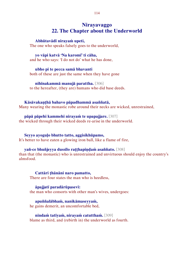# **Nirayavaggo 22. The Chapter about the Underworld**

#### **Abhūtavādī nirayaṁ upeti,**

The one who speaks falsely goes to the underworld,

#### **yo vāpi katvā 'Na karomī' ti cāha,**

and he who says: 'I do not do' what he has done,

#### **ubho pi te pecca samā bhavanti**

both of these are just the same when they have gone

#### **nihīnakammā manujā parattha.** [306]

to the hereafter, (they are) humans who did base deeds.

#### **Kāsāvakaṇṭhā bahavo pāpadhammā asaññatā,**

Many wearing the monastic robe around their necks are wicked, unrestrained,

#### **pāpā pāpehi kammehi nirayaṁ te upapajjare.** [307]

the wicked through their wicked deeds re-arise in the underworld.

#### **Seyyo ayoguḷo bhutto tatto, aggisikhūpamo,**

It's better to have eaten a glowing iron ball, like a flame of fire,

#### **yañ-ce bhuñjeyya dussīlo raṭṭhapiṇḍaṁ asaññato.** [308]

than that (the monastic) who is unrestrained and unvirtuous should enjoy the country's almsfood.

# **Cattāri ṭhānāni naro pamatto,**

There are four states the man who is heedless,

#### **āpajjatī paradārūpasevī:**

the man who consorts with other man's wives, undergoes:

# **apuññalābhaṁ, nanikāmaseyyaṁ,**

he gains demerit, an uncomfortable bed,

## **nindaṁ tatīyaṁ, nirayaṁ catutthaṁ.** [309]

blame as third, and (rebirth in) the underworld as fourth.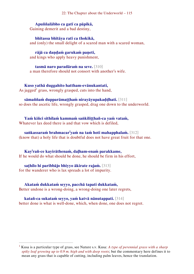22: The Chapter about the Underworld – 115

**Apuññalābho ca gatī ca pāpikā,**  Gaining demerit and a bad destiny,

**bhītassa bhītāya ratī ca thokikā,** and (only) the small delight of a scared man with a scared woman,

**rājā ca daṇḍaṁ garukaṁ paṇeti,** and kings who apply heavy punishment,

**tasmā naro paradāraṁ na seve.** [310] a man therefore should not consort with another's wife.

**Kuso yathā duggahito hattham-evānukantati,**  As jagged<sup>1</sup> grass, wrongly grasped, cuts into the hand,

**sāmaññaṁ dupparāmaṭṭhaṁ nirayāyupakaḍḍhati.** [311] so does the ascetic life, wrongly grasped, drag one down to the underworld.

**Yaṁ kiñci sithilaṁ kammaṁ saṅkiliṭṭhañ-ca yaṁ vataṁ,**  Whatever lax deed there is and that vow which is defiled,

**saṅkassaraṁ brahmacar<sup>i</sup> yaṁ na taṁ hoti mahapphalaṁ.** [312] (know that) a holy life that is doubtful does not have great fruit for that one.

**Kay<sup>i</sup> rañ-ce kayirāthenaṁ, daḷham-enaṁ parakkame,**  If he would do what should be done, he should be firm in his effort,

**saṭhilo hi paribbājo bhiyyo ākirate rajaṁ.** [313] for the wanderer who is lax spreads a lot of impurity.

 $\overline{a}$ 

**Akataṁ dukkataṁ seyyo, pacchā tapati dukkataṁ,** 

Better undone is a wrong-doing, a wrong-doing one later regrets,

**katañ-ca sukataṁ seyyo, yaṁ katvā nānutappati.** [314] better done is what is well-done, which, when done, one does not regret.

<sup>1</sup> Kusa is a particular type of grass, see Nature s.v. Kusa: *A type of perennial grass with a sharp spiky leaf growing up to 0.9 m. high and with deep roots*; but the commentary here defines it to mean any grass that is capable of cutting, including palm leaves, hence the translation.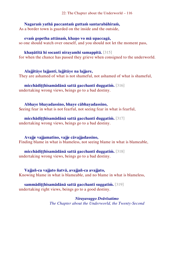**Nagaraṁ yathā paccantaṁ guttaṁ santarabāhiraṁ,** 

As a border town is guarded on the inside and the outside,

**evaṁ gopetha attānaṁ, khaṇo vo mā upaccagā,**

so one should watch over oneself, and you should not let the moment pass,

## **khaṇātītā hi socanti nirayamhi samappitā.** [315]

for when the chance has passed they grieve when consigned to the underworld.

## **Alajjitāye lajjanti, lajjitāye na lajjare,**

They are ashamed of what is not shameful, not ashamed of what is shameful,

**micchādiṭṭhisamādānā sattā gacchanti duggatiṁ.** [316] undertaking wrong views, beings go to a bad destiny.

## **Abhaye bhayadassino, bhaye cābhayadassino,**

Seeing fear in what is not fearful, not seeing fear in what is fearful,

# **micchādiṭṭhisamādānā sattā gacchanti duggatiṁ.** [317]

undertaking wrong views, beings go to a bad destiny.

## **Avajje vajjamatino, vajje cāvajjadassino,**

Finding blame in what is blameless, not seeing blame in what is blameable,

## **micchādiṭṭhisamādānā sattā gacchanti duggatiṁ.** [318]

undertaking wrong views, beings go to a bad destiny.

# **Vajjañ-ca vajjato ñatvā, avajjañ-ca avajjato,**

Knowing blame in what is blameable, and no blame in what is blameless,

# **sammādiṭṭhisamādānā sattā gacchanti suggatiṁ.** [319]

undertaking right views, beings go to a good destiny.

#### *Nirayavaggo Dvāvīsatimo The Chapter about the Underworld, the Twenty-Second*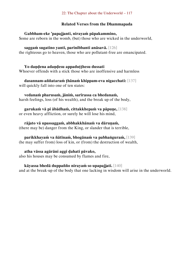#### 22: The Chapter about the Underworld – 117

### **Related Verses from the Dhammapada**

### **Gabbham-eke 'papajjanti, nirayaṁ pāpakammino,**

Some are reborn in the womb, (but) those who are wicked in the underworld,

## **saggaṁ sugatino yanti, parinibbanti anāsavā.** [126]

the righteous go to heaven, those who are pollutant-free are emancipated.

## **Yo daṇḍena adaṇḍesu appaduṭṭhesu dussati**

Whoever offends with a stick those who are inoffensive and harmless

### **dasannam-aññataraṁ ṭhānaṁ khippam-eva nigacchati:** [137] will quickly fall into one of ten states:

#### **vedanaṁ pharusaṁ, jāniṁ, sarīrassa ca bhedanaṁ,** harsh feelings, loss (of his wealth), and the break up of the body,

#### **garukaṁ vā pi ābādhaṁ, cittakkhepaṁ va pāpuṇe,** [138] or even heavy affliction, or surely he will lose his mind,

# **rājato vā upassaggaṁ, abbhakkhānaṁ va dāruṇaṁ,**

(there may be) danger from the King, or slander that is terrible,

## **parikkhayaṁ va ñātīnaṁ, bhogānaṁ va pabhaṅguraṁ,** [139]

(he may suffer from) loss of kin, or (from) the destruction of wealth,

## **atha vāssa agārāni aggi ḍahati pāvako,**

also his houses may be consumed by flames and fire,

## **kāyassa bhedā duppañño nirayaṁ so upapajjati.** [140]

and at the break-up of the body that one lacking in wisdom will arise in the underworld.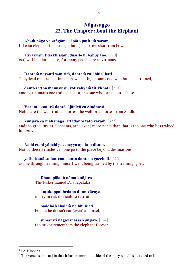# **Nāgavaggo 23. The Chapter about the Elephant**

#### **Ahaṁ nāgo va saṅgāme cāpāto patitaṁ saraṁ**

Like an elephant in battle (endures) an arrow shot from bow

#### **ativākyaṁ titikkhissaṁ, dussīlo hi bahujjano.** [320]

(so) will I endure abuse, for many people are unvirtuous.

#### **Dantaṁ nayanti samitiṁ, dantaṁ rājābhirūhati,**

They lead one trained into a crowd, a king mounts one who has been trained,

#### **danto seṭṭho manussesu, yotivākyaṁ titikkhati.** [321]

amongst humans one trained is best, the one who can endure abuse.

#### **Varam-assatarā dantā, ājānīyā ca Sindhavā,**

Noble are the well-trained horses, the well-bred horses from Sindh,

#### **kuñjarā ca mahānāgā, attadanto tato varaṁ.** [322]

and the great tusker elephants, (and even) more noble than that is the one who has trained himself.

## **Na hi etehi yānehi gaccheyya agataṁ disaṁ,**  Not by these vehicles can one go to the place beyond destinations, $<sup>1</sup>$ </sup>

**yathattanā sudantena, danto dantena gacchati.** [323] as one through training himself well, being trained by the training, goes.

> **Dhanapālakŏ nāma kuñjaro**  The tusker named Dhanapālaka

**kaṭukappabhedano dunnivārayo,**  musty in rut, difficult to restrain,

### **baddho kabalaṁ na bhuñjati,**  bound, he doesn't eat (even) a morsel,

**sumarati nāgavanassa kuñjaro.** [324] the tusker remembers the elephant forest.<sup>2</sup>

<sup>&</sup>lt;sup>1</sup> I.e. Nibbāna.

 $2$  The verse is unusual in that it has no moral outside of the story which is attached to it.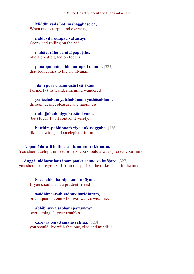23: The Chapter about the Elephant – 119

**Middhī yadā hoti mahagghaso ca,**  When one is torpid and overeats,

**niddāyitā samparivattasāyī,**  sleepy and rolling on the bed,

**mahāvarāho va nivāpapuṭṭho,**  like a great pig fed on fodder,

**punappunaṁ gabbham-upeti mando.** [325] that fool comes to the womb again.

**Idaṁ pure cittam-acāri cārikaṁ**  Formerly this wandering mind wandered

**yenicchakaṁ yatthakāmaṁ yathāsukhaṁ,** through desire, pleasure and happiness,

**tad-ajjahaṁ niggahessāmi yoniso,** (but) today I will control it wisely,

**hatthim-pabhinnaṁ viya aṅkusaggaho.** [326] like one with goad an elephant in rut.

**Appamādaratā hotha, sacittam-anurakkhatha,**  You should delight in heedfulness, you should always protect your mind,

**duggā uddharathattānaṁ paṅke sanno va kuñjaro.** [327] you should raise yourself from this pit like the tusker sunk in the mud.

**Sace labhetha nipakaṁ sahāyaṁ**  If you should find a prudent friend

**saddhiṁcaraṁ sādhuvihāridhīraṁ,** or companion, one who lives well, a wise one,

**abhibhuyya sabbāni parissayāni** overcoming all your troubles

**careyya tenattamano satīmā.** [328] you should live with that one, glad and mindful.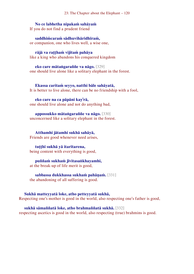23: The Chapter about the Elephant – 120

**No ce labhetha nipakaṁ sahāyaṁ** 

If you do not find a prudent friend

**saddhiṁcaraṁ sādhuvihāridhīraṁ,** or companion, one who lives well, a wise one,

**rājā va raṭṭhaṁ vijitaṁ pahāya** like a king who abandons his conquered kingdom

**eko care mātaṅgaraññe va nāgo.** [329] one should live alone like a solitary elephant in the forest.

**Ekassa caritaṁ seyyo, natthi bāle sahāyatā,** It is better to live alone, there can be no friendship with a fool,

**eko care na ca pāpāni kay<sup>i</sup> rā,** one should live alone and not do anything bad,

**appossukko mātaṅgaraññe va nāgo.** [330] unconcerned like a solitary elephant in the forest.

**Atthamhi jātamhi sukhā sahāyā,** Friends are good whenever need arises,

#### **tuṭṭhī sukhā yā itarītarena,**

being content with everything is good,

#### **puññaṁ sukhaṁ jīvitasaṅkhayamhi,**

at the break-up of life merit is good,

#### **sabbassa dukkhassa sukhaṁ pahāṇaṁ.** [331]

the abandoning of all suffering is good.

#### **Sukhā matteyyatā loke, atho petteyyatā sukhā,**

Respecting one's mother is good in the world, also respecting one's father is good,

**sukhā sāmaññatā loke, atho brahmaññatā sukhā.** [332] respecting ascetics is good in the world, also respecting (true) brahmins is good.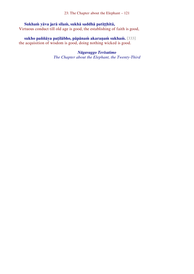23: The Chapter about the Elephant – 121

## **Sukhaṁ yāva jarā sīlaṁ, sukhā saddhā patiṭṭhitā,**

Virtuous conduct till old age is good, the establishing of faith is good,

# **sukho paññāya paṭilābho, pāpānaṁ akaraṇaṁ sukhaṁ.** [333]

the acquisition of wisdom is good, doing nothing wicked is good.

# *Nāgavaggo Tevīsatimo*

*The Chapter about the Elephant, the Twenty-Third*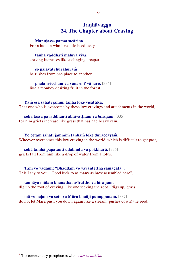# **Taṇhāvaggo 24. The Chapter about Craving**

#### **Manujassa pamattacārino**

For a human who lives life heedlessly

#### **taṇhā vaḍḍhati māluvā viya,**

craving increases like a clinging creeper,

#### **so palavatī hurāhuraṁ**  he rushes from one place to another

**phalam-icchaṁ va vanasmi' vānaro.** [334] like a monkey desiring fruit in the forest.

#### **Yaṁ esā sahatī jammī taṇhā loke visattikā,**

That one who is overcome by these low cravings and attachments in the world,

#### **sokā tassa pavaḍḍhanti abhivaṭṭhaṁ va bīraṇaṁ.** [335] for him griefs increase like grass that has had heavy rain.

**Yo cetaṁ sahatī jammiṁ taṇhaṁ loke duraccayaṁ,** Whoever overcomes this low craving in the world, which is difficult to get past,

#### **sokā tamhā papatanti udabindu va pokkharā.** [336] griefs fall from him like a drop of water from a lotus.

**Taṁ vo vadāmi: "Bhaddaṁ vo yāvantettha samāgatā",**  This I say to you: "Good luck to as many as have assembled here",

#### **taṇhāya mūlaṁ khaṇatha, usīrattho va bīraṇaṁ,**

dig up the root of craving, like one seeking the root<sup>1</sup> (digs up) grass,

### **mā vo naḷaṁ va soto va Māro bhañji punappunaṁ.** [337]

do not let Māra push you down again like a stream (pushes down) the reed.

<sup>1</sup> The commentary paraphrases with: *usīrena atthiko*.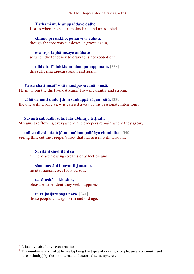**Yathā pi mūle anupaddave daḷhe<sup>1</sup>** Just as when the root remains firm and untroubled

**chinno pi rukkho, punar-eva rūhati,** though the tree was cut down, it grows again,

# **evam-pi taṇhānusaye anūhate**

so when the tendency to craving is not rooted out

**nibbattatī dukkham-idaṁ punappunaṁ.** [338] this suffering appears again and again.

## **Yassa chattiṁsatī sotā manāpassavanā bhusā,**

He in whom the thirty-six streams<sup>2</sup> flow pleasantly and strong,

## **vāhā vahanti duddiṭṭhiṁ saṅkappā rāganissitā.** [339]

the one with wrong view is carried away by his passionate intentions.

## **Savanti sabbadhī sotā, latā ubbhijja tiṭṭhati,**

Streams are flowing everywhere, the creepers remain where they grow,

## **tañ-ca disvā lataṁ jātaṁ mūlaṁ paññāya chindatha.** [340] seeing this, cut the creeper's root that has arisen with wisdom.

## **Saritāni sinehitāni ca**

\* There are flowing streams of affection and

**sŏmanassāni bhavanti jantuno,**  mental happinesses for a person,

**te sātasitā sukhesino,**  pleasure-dependent they seek happiness,

**te ve jātijarūpagā narā.** [341] those people undergo birth and old age.

 $<sup>1</sup>$  A locative absolutive construction.</sup>

<sup>&</sup>lt;sup>2</sup> The number is arrived at by multiplying the types of craving (for pleasure, continuity and discontinuity) by the six internal and external sense spheres.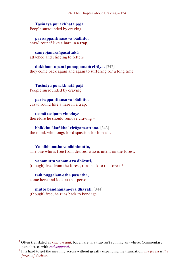**Tasiṇāya purakkhatā pajā**  People surrounded by craving

**parisappanti saso va bādhito,**  crawl round<sup>1</sup> like a hare in a trap,

**saṁyojanasaṅgasattakā**  attached and clinging to fetters

**dukkham-upenti punappunaṁ cirāya.** [342] they come back again and again to suffering for a long time.

**Tasiṇāya purakkhatā pajā**  People surrounded by craving

**parisappanti saso va bādhito,**  crawl round like a hare in a trap,

**tasmā tasiṇaṁ vinodaye –** therefore he should remove craving –

**bhikkhu ākaṅkha' virāgam-attano.** [343] the monk who longs for dispassion for himself.

**Yo nibbanatho vanādhimutto,**  The one who is free from desires, who is intent on the forest,

**vanamutto vanam-eva dhāvati,**  (though) free from the forest, runs back to the forest,<sup>2</sup>

**taṁ puggalam-etha passatha,**  come here and look at that person,

 $\overline{a}$ 

**mutto bandhanam-eva dhāvati.** [344] (though) free, he runs back to bondage.

<sup>&</sup>lt;sup>1</sup> Often translated as *runs around*, but a hare in a trap isn't running anywhere. Commentary paraphrases with *saṁsappanti*.

<sup>2</sup> It is hard to get the meaning across without greatly expanding the translation, *the forest* is *the forest of desires*.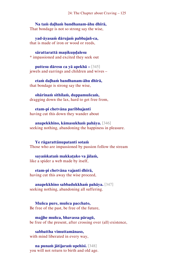**Na taṁ daḷhaṁ bandhanam-āhu dhīrā,**  That bondage is not so strong say the wise,

**yad-āyasaṁ dārujaṁ pabbajañ-ca,** that is made of iron or wood or reeds,

**sārattarattā maṇikuṇḍalesu** \* impassioned and excited they seek out

**puttesu dāresu ca yā apekhā –** [345] jewels and earrings and children and wives –

**etaṁ daḷhaṁ bandhanam-āhu dhīrā,**  that bondage is strong say the wise,

**ohārinaṁ sithilaṁ, duppamuñcaṁ,** dragging down the lax, hard to get free from,

**etam-pi chetvāna paribbajanti** having cut this down they wander about

**anapekkhino, kāmasukhaṁ pahāya.** [346] seeking nothing, abandoning the happiness in pleasure.

**Ye rāgarattānupatanti sotaṁ** Those who are impassioned by passion follow the stream

**sayaṁkataṁ makkaṭako va jālaṁ,** like a spider a web made by itself,

**etam-pi chetvāna vajanti dhīrā,** having cut this away the wise proceed,

**anapekkhino sabbadukkhaṁ pahāya.** [347] seeking nothing, abandoning all suffering.

**Muñca pure, muñca pacchato,**  Be free of the past, be free of the future,

**majjhe muñca, bhavassa pāragū,**  be free of the present, after crossing over (all) existence,

**sabbattha vimuttamānaso,**  with mind liberated in every way,

**na punaṁ jātijaraṁ upehisi.** [348] you will not return to birth and old age.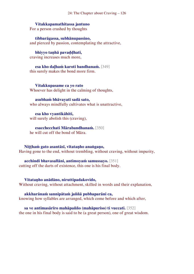## **Vitakkapamathitassa jantuno**

For a person crushed by thoughts

**tibbarāgassa, subhānupassino,**  and pierced by passion, contemplating the attractive,

**bhiyyo taṇhā pavaḍḍhati,**  craving increases much more,

**esa kho daḷhaṁ karoti bandhanaṁ.** [349] this surely makes the bond more firm.

**Vitakkupasame ca yo rato**  Whoever has delight in the calming of thoughts,

#### **asubhaṁ bhāvayatī sadā sato,**

who always mindfully cultivates what is unattractive,

**esa kho vyantikāhiti,**  will surely abolish this (craving),

# **esacchecchati Mārabandhanaṁ.** [350]

he will cut off the bond of Māra.

**Niṭṭhaṁ gato asantāsī, vītataṇho anaṅgaṇo,**  Having gone to the end, without trembling, without craving, without impurity,

#### **acchindi bhavasallāni, antimoyaṁ samussayo.** [351] cutting off the darts of existence, this one is his final body.

#### **Vītataṇho anādāno, niruttipadakovido,**

Without craving, without attachment, skilled in words and their explanation,

#### **akkharānaṁ sannipātaṁ jaññā pubbaparāni ca,**

knowing how syllables are arranged, which come before and which after,

#### **sa ve antimasārīro mahāpañño (mahāpuriso) ti vuccati.** [352] the one in his final body is said to be (a great person), one of great wisdom.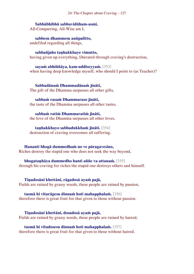24: The Chapter about Craving – 127

**Sabbābhibhū sabbavidūham-asmi,**  All-Conquering, All-Wise am I,

**sabbesu dhammesu anūpalitto,** undefiled regarding all things,

**sabbañjaho taṇhakkhaye vimutto,** having given up everything, liberated through craving's destruction,

**sayaṁ abhiññāya, kam-uddiseyyaṁ.** [353] when having deep knowledge myself, who should I point to (as Teacher)?

**Sabbadānaṁ Dhammadānaṁ jināti,** The gift of the Dhamma surpasses all other gifts,

**sabbaṁ rasaṁ Dhammaraso jināti,** the taste of the Dhamma surpasses all other tastes,

**sabbaṁ ratiṁ Dhammaratiṁ jināti,** the love of the Dhamma surpasses all other loves,

**taṇhakkhayo sabbadukkhaṁ jināti.** [354] destruction of craving overcomes all suffering.

**Hananti bhogā dummedhaṁ no ve pāragavesino,**  Riches destroy the stupid one who does not seek the way beyond,

**bhogataṇhāya dummedho hanti aññe va attanaṁ.** [355] through his craving for riches the stupid one destroys others and himself.

**Tiṇadosāni khettāni, rāgadosā ayaṁ pajā,**  Fields are ruined by grassy weeds, these people are ruined by passion,

**tasmā hi vītarāgesu dinnaṁ hoti mahapphalaṁ.** [356] therefore there is great fruit for that given to those without passion.

**Tiṇadosāni khettāni, dosadosā ayaṁ pajā,**  Fields are ruined by grassy weeds, these people are ruined by hatred,

**tasmā hi vītadosesu dinnaṁ hoti mahapphalaṁ.** [357] therefore there is great fruit for that given to those without hatred.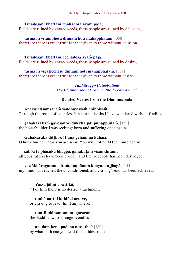## **Tiṇadosāni khettāni, mohadosā ayaṁ pajā,**

Fields are ruined by grassy weeds, these people are ruined by delusion,

**tasmā hi vītamohesu dinnaṁ hoti mahapphalaṁ.** [358] therefore there is great fruit for that given to those without delusion.

## **Tiṇadosāni khettāni, icchādosā ayaṁ pajā,**

Fields are ruined by grassy weeds, these people are ruined by desire,

**tasmā hi vigaticchesu dinnaṁ hoti mahapphalaṁ.** [359] therefore there is great fruit for that given to those without desire.

## *Taṇhāvaggo Catuvīsatimo The Chapter about Craving, the Twenty-Fourth*

## **Related Verses from the Dhammapada**

**Anekajātisaṁsāraṁ sandhāvissaṁ anibbisaṁ**  Through the round of countless births and deaths I have wandered without finding

**gahakārakaṁ gavesanto: dukkhā jāti punappunaṁ.** [153] the housebuilder I was seeking: born and suffering once again.

## **Gahakāraka diṭṭhosi! Puna gehaṁ na kāhasi:**

O housebuilder, now you are seen! You will not build the house again:

## **sabbā te phāsukā bhaggā, gahakūṭaṁ visaṅkhitaṁ,**

all your rafters have been broken, and the ridgepole has been destroyed,

## **visaṅkhāragataṁ cittaṁ, taṇhānaṁ khayam-ajjhagā.** [154]

my mind has reached the unconditioned, and craving's end has been achieved.

## **Yassa jālinī visattikā,**

\* For him there is no desire, attachment,

#### **taṇhā natthi kuhiñci netave,**

or craving to lead (him) anywhere,

## **tam-Buddham-anantagocaraṁ,**

the Buddha, whose range is endless,

## **apadaṁ kena padena nessatha?** [180]

by what path can you lead the pathless one?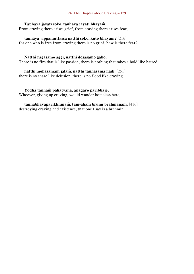#### **Taṇhāya jāyatī soko, taṇhāya jāyatī bhayaṁ,**

From craving there arises grief, from craving there arises fear,

**taṇhāya vippamuttassa natthi soko, kuto bhayaṁ?** [216] for one who is free from craving there is no grief, how is there fear?

#### **Natthi rāgasamo aggi, natthi dosasamo gaho,**

There is no fire that is like passion, there is nothing that takes a hold like hatred,

**natthi mohasamaṁ jālaṁ, natthi taṇhāsamā nadī.** [251] there is no snare like delusion, there is no flood like craving.

#### **Yodha taṇhaṁ pahatvāna, anāgāro paribbaje,**

Whoever, giving up craving, would wander homeless here,

# **taṇhābhavaparikkhīṇaṁ, tam-ahaṁ brūmi brāhmaṇaṁ.** [416]

destroying craving and existence, that one I say is a brahmin.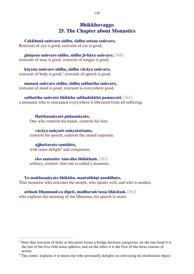# **Bhikkhuvaggo 25. The Chapter about Monastics**

**Cakkhunā saṁvaro sādhu, sādhu sotena saṁvaro,**  Restraint of eye is good, restraint of ear is good,

**ghāṇena saṁvaro sādhu, sādhu jivhāya saṁvaro,** [360] restraint of nose is good, restraint of tongue is good,

**kāyena saṁvaro sādhu, sādhu vācāya saṁvaro,**  restraint of body is good,<sup>1</sup> restraint of speech is good,

**manasā saṁvaro sādhu, sādhu sabbattha saṁvaro,** restraint of mind is good, restraint is everywhere good,

**sabbattha saṁvuto bhikkhu sabbadukkhā pamuccati.** [361] a monastic who is restrained everywhere is liberated from all suffering.

**Hatthasaṁyatŏ pādasaṁyato,**  One who controls his hands, controls his feet,

**vācāya saṁyatŏ saṁyatuttamo,** controls his speech, controls the (mind) supreme,

**ajjhattarato samāhito,** with inner delight<sup>2</sup> and composure,

 $\overline{a}$ 

**eko santusito: tam-āhu bhikkhuṁ.** [362] solitary, content: that one is called a monastic.

**Yo mukhasaṁyato bhikkhu, mantabhāṇī anuddhato,**  That monastic who restrains the mouth, who speaks well, and who is modest,

**atthaṁ Dhammañ-ca dīpeti, madhuraṁ tassa bhāsitaṁ.** [363] who explains the meaning of the Dhamma, his speech is sweet.

<sup>&</sup>lt;sup>1</sup> Note that restraint of body at this point forms a bridge between categories, on the one hand it is the last of the five-fold sense-spheres; and on the other it is the first of the three courses of action.

 $2$  The comm. explains it to mean one who personally delights in cultivating his meditation object.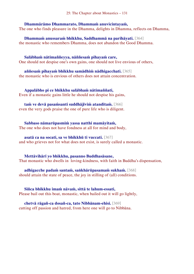#### **Dhammārāmo Dhammarato, Dhammaṁ anuvicintayaṁ,**

The one who finds pleasure in the Dhamma, delights in Dhamma, reflects on Dhamma,

**Dhammaṁ anussaraṁ bhikkhu, Saddhammā na parihāyati.** [364] the monastic who remembers Dhamma, does not abandon the Good Dhamma.

**Salābhaṁ nātimaññeyya, nāññesaṁ pihayaṁ care,**  One should not despise one's own gains, one should not live envious of others,

**aññesaṁ pihayaṁ bhikkhu samādhiṁ nādhigacchati.** [365] the monastic who is envious of others does not attain concentration.

**Appalābho pi ce bhikkhu salābhaṁ nātimaññati,** Even if a monastic gains little he should not despise his gains,

**taṁ ve devā pasaṁsanti suddhājīviṁ atanditaṁ.** [366] even the very gods praise the one of pure life who is diligent.

**Sabbaso nāmarūpasmiṁ yassa natthi mamāyitaṁ,**  The one who does not have fondness at all for mind and body,

**asatā ca na socati, sa ve bhikkhū ti vuccati.** [367] and who grieves not for what does not exist, is surely called a monastic.

**Mettāvihārī yo bhikkhu, pasanno Buddhasāsane,**  That monastic who dwells in loving-kindness, with faith in Buddha's dispensation,

**adhigacche padaṁ santaṁ, saṅkhārūpasamaṁ sukhaṁ.** [368] should attain the state of peace, the joy in stilling of (all) conditions.

**Siñca bhikkhu imaṁ nāvaṁ, sittā te lahum-essati,**  Please bail out this boat, monastic, when bailed out it will go lightly,

**chetvā rāgañ-ca dosañ-ca, tato Nibbānam-ehisi.** [369] cutting off passion and hatred, from here one will go to Nibbāna.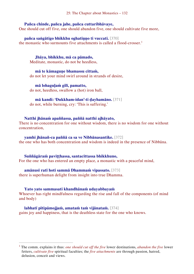#### **Pañca chinde, pañca jahe, pañca cuttaribhāvaye,**

One should cut off five, one should abandon five, one should cultivate five more,

**pañca saṅgātigo bhikkhu oghatiṇṇo ti vuccati.** [370]

the monastic who surmounts five attachments is called a flood-crosser.<sup>1</sup>

**Jhāya, bhikkhu, mā ca pāmado,**  Meditate, monastic, do not be heedless,

**mā te kāmaguṇe bhamassu cittaṁ,** do not let your mind swirl around in strands of desire,

**mā lohaguḷaṁ gilī, pamatto,** do not, heedless, swallow a (hot) iron ball,

#### **mā kandi: 'Dukkham-idan'-ti ḍayhamāno.** [371]

do not, while burning, cry: 'This is suffering.'

#### **Natthi jhānaṁ apaññassa, paññā natthi ajhāyato,**

There is no concentration for one without wisdom, there is no wisdom for one without concentration,

#### **yamhi jhānañ-ca paññā ca sa ve Nibbānasantike.** [372]

the one who has both concentration and wisdom is indeed in the presence of Nibbāna.

**Suññāgāraṁ paviṭṭhassa, santacittassa bhikkhuno,** 

For the one who has entered an empty place, a monastic with a peaceful mind,

#### **amānusī ratī hoti sammā Dhammaṁ vipassato.** [373]

there is superhuman delight from insight into true Dhamma.

#### **Yato yato sammasati khandhānaṁ udayabbayaṁ**

 $\overline{a}$ 

Whoever has right mindfulness regarding the rise and fall of the components (of mind and body)

**labhatī pītipāmojjaṁ, amataṁ taṁ vijānataṁ.** [374] gains joy and happiness, that is the deathless state for the one who knows.

<sup>1</sup> The comm. explains it thus: *one should cut off the five* lower destinations, *abandon the five* lower fetters, *cultivate five* spiritual faculties; the *five attachments* are through passion, hatred, delusion, conceit and views.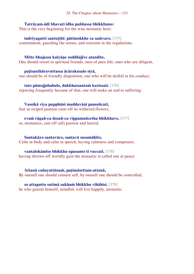## **Tatrāyam-ādi bhavati idha paññassa bhikkhuno:**

This is the very beginning for the wise monastic here:

**indriyagutti santuṭṭhī: pātimokkhe ca saṁvaro.** [375] contentment, guarding the senses, and restraint in the regulations.

#### **Mitte bhajassu kalyāṇe suddhājīve atandite,**

One should resort to spiritual friends, ones of pure life, ones who are diligent,

**paṭisanthāravuttassa ācārakusalo siyā,**

one should be of friendly disposition, one who will be skilful in his conduct,

**tato pāmojjabahulo, dukkhassantaṁ karissati.** [376] rejoicing frequently because of that, one will make an end to suffering.

## **Vassikā viya pupphāni maddavāni pamuñcati,**

Just as striped jasmine casts off its withered flowers,

**evaṁ rāgañ-ca dosañ-ca vippamuñcetha bhikkhavo.** [377]

so, monastics, cast off (all) passion and hatred.

### **Santakāyo santavāco, santavā susamāhito,**

Calm in body and calm in speech, having calmness and composure,

#### **vantalokāmiso bhikkhu upasanto ti vuccati.** [378]

having thrown off worldly gain the monastic is called one at peace.

**Attanā codayattānaṁ, paṭimāsettam-attanā,**  By oneself one should censure self, by oneself one should be controlled,

## **so attagutto satimā sukhaṁ bhikkhu vihāhisi.** [379] he who guards himself, mindful, will live happily, monastic.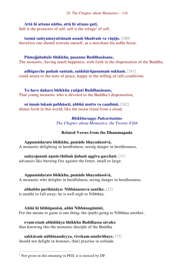## **Attā hi attano nātho, attā hi attano gati,**

Self is the protector of self, self is the refuge<sup>1</sup> of self,

**tasmā saṁyamayattānaṁ assaṁ bhadraṁ va vāṇijo.** [380] therefore one should restrain oneself, as a merchant his noble horse.

## **Pāmojjabahulo bhikkhu, pasanno Buddhasāsane,**

The monastic, having much happiness, with faith in the dispensation of the Buddha,

**adhigacche padaṁ santaṁ, saṅkhārūpasamaṁ sukhaṁ.** [381] could attain to the state of peace, happy in the stilling of (all) conditions.

**Yo have daharo bhikkhu yuñjati Buddhasāsane,**  That young monastic who is devoted to the Buddha's dispensation,

**sŏ imaṁ lokaṁ pabhāseti, abbhā mutto va candimā.** [382] shines forth in this world, like the moon freed from a cloud.

> *Bhikkhuvaggo Pañcavīsatimo The Chapter about Monastics, the Twenty-Fifth*

## **Related Verses from the Dhammapada**

**Appamādarato bhikkhu, pamāde bhayadassivā,** A monastic delighting in heedfulness, seeing danger in heedlessness,

# **saṁyojanaṁ aṇuṁ-thūlaṁ ḍahaṁ aggīva gacchati.** [31]

advances like burning fire against the fetter, small or large.

**Appamādarato bhikkhu, pamāde bhayadassivā,** A monastic who delights in heedfulness, seeing danger in heedlessness,

## **abhabbo parihānāya: Nibbānasseva santike.** [32]

is unable to fall away: he is well-nigh to Nibbāna.

**Aññā hi lābhūpanisā, aññā Nibbānagāminī,**  For the means to gains is one thing, the (path) going to Nibbāna another,

# **evam-etaṁ abhiññāya bhikkhu Buddhassa sāvako**

thus knowing this the monastic disciple of the Buddha

**sakkāraṁ nābhinandeyya, vivekam-anubrūhaye.** [75] should not delight in honours, (but) practise in solitude.

 $<sup>1</sup>$  Not given in this meaning in PED, it is noticed by DP.</sup>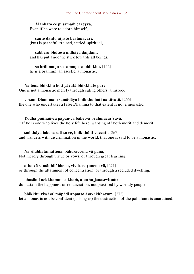#### 25: The Chapter about Monastics – 135

#### **Alaṅkato ce pi samaṁ careyya,**  Even if he were to adorn himself,

**santo danto niyato brahmacārī,** (but) is peaceful, trained, settled, spiritual,

# **sabbesu bhūtesu nidhāya daṇḍaṁ,**

and has put aside the stick towards all beings,

**so brāhmaṇo so samaṇo sa bhikkhu.** [142] he is a brahmin, an ascetic, a monastic.

#### **Na tena bhikkhu hoti yāvatā bhikkhate pare,**

One is not a monastic merely through eating others' almsfood,

#### **vissaṁ Dhammaṁ samādāya bhikkhu hoti na tāvatā.** [266]

the one who undertakes a false Dhamma to that extent is not a monastic.

### **Yodha puññañ-ca pāpañ-ca bāhetvā brahmacar<sup>i</sup> yavā,**

\* If he is one who lives the holy life here, warding off both merit and demerit,

#### **saṅkhāya loke carati sa ce, bhikkhū ti vuccati.** [267]

and wanders with discrimination in the world, that one is said to be a monastic.

#### **Na sīlabbatamattena, bāhusaccena vā pana,**

Not merely through virtue or vows, or through great learning,

#### **atha vā samādhilābhena, vivittasayanena vā,** [271]

or through the attainment of concentration, or through a secluded dwelling,

## **phusāmi nekkhammasukhaṁ, aputhujjanasevitaṁ;**

do I attain the happiness of renunciation, not practised by worldly people;

#### **bhikkhu vissāsa' māpādi appatto āsavakkhayaṁ.** [272]

let a monastic not be confident (as long as) the destruction of the pollutants is unattained.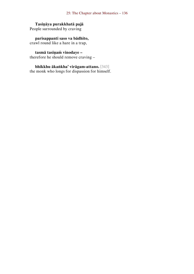## **Tasiṇāya purakkhatā pajā**

People surrounded by craving

**parisappanti saso va bādhito,**  crawl round like a hare in a trap,

**tasmā tasiṇaṁ vinodaye –**

therefore he should remove craving –

**bhikkhu ākaṅkha' virāgam-attano.** [343] the monk who longs for dispassion for himself.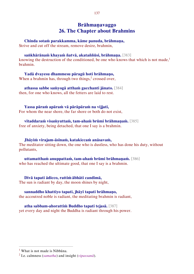# **Brāhmaṇavaggo 26. The Chapter about Brahmins**

**Chinda sotaṁ parakkamma, kāme panuda, brāhmaṇa,** 

Strive and cut off the stream, remove desire, brahmin,

**saṅkhārānaṁ khayaṁ ñatvā, akataññūsi, brāhmaṇa.** [383]

knowing the destruction of the conditioned, be one who knows that which is not made, $<sup>1</sup>$ </sup> brahmin.

**Yadā dvayesu dhammesu pāragū hoti brāhmaṇo,**  When a brahmin has, through two things, $2$  crossed over,

**athassa sabbe saṁyogā atthaṁ gacchanti jānato.** [384] then, for one who knows, all the fetters are laid to rest.

**Yassa pāraṁ apāraṁ vā pārāpāraṁ na vijjati,**  For whom the near shore, the far shore or both do not exist,

**vītaddaraṁ visaṁyuttaṁ, tam-ahaṁ brūmi brāhmaṇaṁ.** [385] free of anxiety, being detached, that one I say is a brahmin.

**Jhāyiṁ virajam-āsīnaṁ, katakiccaṁ anāsavaṁ,**  The meditator sitting down, the one who is dustless, who has done his duty, without pollutants,

**uttamatthaṁ anuppattaṁ, tam-ahaṁ brūmi brāhmaṇaṁ.** [386] who has reached the ultimate good, that one I say is a brahmin.

**Divā tapati ādicco, rattiṁ ābhāti candimā,**  The sun is radiant by day, the moon shines by night,

**sannaddho khattiyo tapati, jhāyī tapati brāhmaṇo,** the accoutred noble is radiant, the meditating brahmin is radiant,

**atha sabbam-ahorattiṁ Buddho tapati tejasā.** [387] yet every day and night the Buddha is radiant through his power.

 $<sup>1</sup>$  What is not made is Nibbana.</sup>

<sup>2</sup> I.e. calmness (*samatha*) and insight (*vipassanā*).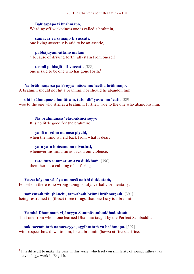26: The Chapter about Brahmins – 138

### **Bāhitapāpo ti brāhmaṇo,**

Warding off wickedness one is called a brahmin,

**samacar<sup>i</sup> yā samaṇo ti vuccati,**  one living austerely is said to be an ascetic,

#### **pabbājayam-attano malaṁ**

\* because of driving forth (all) stain from oneself

**tasmā pabbajito ti vuccati.** [388] one is said to be one who has gone forth.<sup>1</sup>

**Na brāhmaṇassa pah<sup>a</sup> reyya, nāssa muñcetha brāhmaṇo,**  A brahmin should not hit a brahmin, nor should he abandon him,

#### **dhī brāhmaṇassa hantāraṁ, tato: dhī yassa muñcati.** [389]

woe to the one who strikes a brahmin, further: woe to the one who abandons him.

**Na brāhmaṇass' etad-akiñci seyyo:** It is no little good for the brahmin:

**yadā nisedho manaso piyehi,** when the mind is held back from what is dear,

**yato yato hiṁsamano nivattati,** whenever his mind turns back from violence,

**tato tato sammati-m-eva dukkhaṁ.** [390] then there is a calming of suffering.

#### **Yassa kāyena vācāya manasā natthi dukkataṁ,**

 $\overline{a}$ 

For whom there is no wrong-doing bodily, verbally or mentally,

#### **saṁvutaṁ tīhi ṭhānehi, tam-ahaṁ brūmi brāhmaṇaṁ.** [391]

being restrained in (these) three things, that one I say is a brahmin.

**Yamhā Dhammaṁ vijāneyya Sammāsambuddhadesitaṁ,**  That one from whom one learned Dhamma taught by the Perfect Sambuddha,

**sakkaccaṁ taṁ namasseyya, aggihuttaṁ va brāhmaṇo.** [392] with respect bow down to him, like a brahmin (bows) at fire-sacrifice.

 $<sup>1</sup>$  It is difficult to make the puns in this verse, which rely on similarity of sound, rather than</sup> etymology, work in English.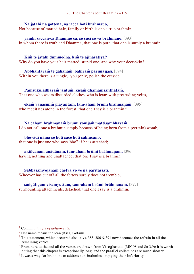#### **Na jaṭāhi na gottena, na jaccā hoti brāhmaṇo,**

Not because of matted hair, family or birth is one a true brahmin,

**yamhi saccañ-ca Dhammo ca, so sucī so va brāhmaṇo.** [393] in whom there is truth and Dhamma, that one is pure, that one is surely a brahmin.

### **Kiṁ te jaṭāhi dummedha, kiṁ te ajinasāṭiyā?**

Why do you have your hair matted, stupid one, and why your deer-skin?

**Abbhantaraṁ te gahanaṁ, bāhiraṁ parimajjasi.** [394] Within you there is a jungle,<sup> $1$ </sup> you (only) polish the outside.

**Paṁsukūladharaṁ jantuṁ, kisaṁ dhamanisanthataṁ,**  That one who wears discarded clothes, who is  $lean<sup>2</sup>$  with protruding veins,

#### **ekaṁ vanasmiṁ jhāyantaṁ, tam-ahaṁ brūmi brāhmaṇaṁ.** [395] who meditates alone in the forest, that one I say is a brahmin.<sup>3</sup>

**Na cāhaṁ brāhmaṇaṁ brūmi yonijaṁ mattisambhavaṁ,**  I do not call one a brahmin simply because of being born from a (certain) womb,<sup>4</sup>

**bhovādī nāma so hoti sace hoti sakiñcano;** that one is just one who says 'bho'<sup>5</sup> if he is attached;

**akiñcanaṁ anādānaṁ, tam-ahaṁ brūmi brāhmaṇaṁ.** [396] having nothing and unattached, that one I say is a brahmin.

**Sabbasaṁyojanaṁ chetvā yo ve na paritassati,**  Whoever has cut off all the fetters surely does not tremble,

**saṅgātigaṁ visaṁyuttaṁ, tam-ahaṁ brūmi brāhmaṇaṁ.** [397] surmounting attachments, detached, that one I say is a brahmin.

<sup>1</sup> Comm: *a jungle of defilements*.

 $2$  Her name means the lean (Kisā) Gotamī.

 $3$  This statement, which occurred also in vs. 385, 386 & 391 now becomes the refrain in all the remaining verses.

 $4$  From here to the end all the verses are drawn from Vāsetthasutta (MN 98 and Sn 3.9); it is worth noting that this chapter is exceptionally long, and the parallel collections are much shorter.

 $<sup>5</sup>$  It was a way for brahmins to address non-brahmins, implying their inferiority.</sup>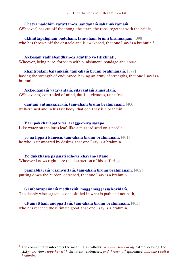**Chetvā naddhiṁ varattañ-ca, sandānaṁ sahanukkamaṁ,**  (Whoever) has cut off the thong, the strap, the rope, together with the bridle,

**ukkhittapalighaṁ buddhaṁ, tam-ahaṁ brūmi brāhmaṇaṁ.** [398] who has thrown off the obstacle and is awakened, that one I say is a brahmin.<sup>1</sup>

**Akkosaṁ vadhabandhañ-ca aduṭṭho yo titikkhati,**  Whoever, being pure, forbears with punishment, bondage and abuse,

**khantībalaṁ balānīkaṁ, tam-ahaṁ brūmi brāhmaṇaṁ.** [399] having the strength of endurance, having an army of strengths, that one I say is a brahmin.

**Akkodhanaṁ vatavantaṁ, sīlavantaṁ anussutaṁ,**  (Whoever is) controlled of mind, dutiful, virtuous, taint-free,

**dantaṁ antimasārīraṁ, tam-ahaṁ brūmi brāhmaṇaṁ.** [400] well-trained and in his last body, that one I say is a brahmin.

**Vāri pokkharapatte va, āragge-r-iva sāsapo,**  Like water on the lotus leaf, like a mustard seed on a needle,

**yo na lippati kāmesu, tam-ahaṁ brūmi brāhmaṇaṁ.** [401] he who is unsmeared by desires, that one I say is a brahmin.

**Yo dukkhassa pajānāti idheva khayam-attano,**  Whoever knows right here the destruction of his suffering,

**pannabhāraṁ visaṁyuttaṁ, tam-ahaṁ brūmi brāhmaṇaṁ.** [402] putting down the burden, detached, that one I say is a brahmin.

**Gambhīrapaññaṁ medhāviṁ, maggāmaggassa kovidaṁ,**  The deeply wise sagacious one, skilled in what is path and not path,

**uttamatthaṁ anuppattaṁ, tam-ahaṁ brūmi brāhmaṇaṁ.** [403] who has reached the ultimate good, that one I say is a brahmin.

<sup>1</sup> The commentary interprets the meaning as follows: *Whoever has cut off* hatred, craving, the sixty-two views *together with* the latent tendencies, *and thrown off* ignorance, *that one I call a brahmin*.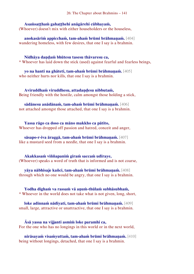### **Asaṁsaṭṭhaṁ gahaṭṭhehi anāgārehi cūbhayaṁ,**

(Whoever) doesn't mix with either householders or the houseless,

**anokasāriṁ appicchaṁ, tam-ahaṁ brūmi brāhmaṇaṁ.** [404] wandering homeless, with few desires, that one I say is a brahmin.

#### **Nidhāya daṇḍaṁ bhūtesu tasesu thāvaresu ca,**

\* Whoever has laid down the stick (used) against fearful and fearless beings,

**yo na hanti na ghāteti, tam-ahaṁ brūmi brāhmaṇaṁ.** [405] who neither hurts nor kills, that one I say is a brahmin.

**Aviruddhaṁ viruddhesu, attadaṇḍesu nibbutaṁ,**  Being friendly with the hostile, calm amongst those holding a stick,

**sādānesu anādānaṁ, tam-ahaṁ brūmi brāhmaṇaṁ.** [406] not attached amongst those attached, that one I say is a brahmin.

**Yassa rāgo ca doso ca māno makkho ca pātito,**  Whoever has dropped off passion and hatred, conceit and anger,

**sāsapo-r-iva āraggā, tam-ahaṁ brūmi brāhmaṇaṁ.** [407] like a mustard seed from a needle, that one I say is a brahmin.

**Akakkasaṁ viññapaniṁ giraṁ saccaṁ udīraye,**  (Whoever) speaks a word of truth that is informed and is not coarse,

**yāya nābhisaje kañci, tam-ahaṁ brūmi brāhmaṇaṁ.** [408] through which no one would be angry, that one I say is a brahmin.

#### **Yodha dīghaṁ va rassaṁ vā aṇuṁ-thūlaṁ subhāsubhaṁ,**  \* Whoever in the world does not take what is not given, long, short,

**loke adinnaṁ nādiyati, tam-ahaṁ brūmi brāhmaṇaṁ.** [409] small, large, attractive or unattractive, that one I say is a brahmin.

**Āsā yassa na vijjanti asmiṁ loke paramhi ca,**  For the one who has no longings in this world or in the next world,

**nirāsayaṁ visaṁyuttaṁ, tam-ahaṁ brūmi brāhmaṇaṁ.** [410] being without longings, detached, that one I say is a brahmin.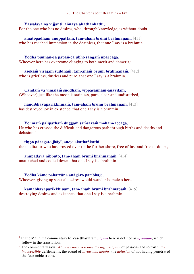## **Yassālayā na vijjanti, aññāya akathaṅkathī,**

For the one who has no desires, who, through knowledge, is without doubt,

**amatogadhaṁ anuppattaṁ, tam-ahaṁ brūmi brāhmaṇaṁ.** [411] who has reached immersion in the deathless, that one I say is a brahmin.

**Yodha puññañ-ca pāpañ-ca ubho saṅgaṁ upaccagā,**  Whoever here has overcome clinging to both merit and demerit, $<sup>1</sup>$ </sup>

**asokaṁ virajaṁ suddhaṁ, tam-ahaṁ brūmi brāhmaṇaṁ.** [412] who is griefless, dustless and pure, that one I say is a brahmin.

**Candaṁ va vimalaṁ suddhaṁ, vippasannam-anāvilaṁ,**  (Whoever) just like the moon is stainless, pure, clear and undisturbed,

# **nandībhavaparikkhīṇaṁ, tam-ahaṁ brūmi brāhmaṇaṁ.** [413]

has destroyed joy in existence, that one I say is a brahmin.

**Yo imaṁ palipathaṁ duggaṁ saṁsāraṁ moham-accagā,**  He who has crossed the difficult and dangerous path through births and deaths and delusion,<sup>2</sup>

**tiṇṇo pāragato jhāyī, anejo akathaṅkathī,** the meditator who has crossed over to the further shore, free of lust and free of doubt,

**anupādāya nibbuto, tam-ahaṁ brūmi brāhmaṇaṁ.** [414] unattached and cooled down, that one I say is a brahmin.

**Yodha kāme pahatvāna anāgāro paribbaje,**  Whoever, giving up sensual desires, would wander homeless here,

## **kāmabhavaparikkhīṇaṁ, tam-ahaṁ brūmi brāhmaṇaṁ.** [415]

destroying desires and existence, that one I say is a brahmin.

<sup>&</sup>lt;sup>1</sup> In the Majjhima commentary to Vāseṭṭhasuttam *pāpam* here is defined as *apuññam*, which I follow in the translation.

<sup>2</sup> The commentary says: *Whoever has overcome the difficult path* of passions and so forth, *the inaccessible* defilements, the round of *births and deaths*, the *delusion* of not having penetrated the four noble truths.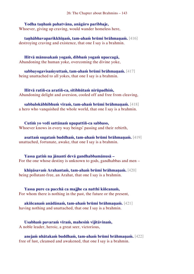### **Yodha taṇhaṁ pahatvāna, anāgāro paribbaje,**

Whoever, giving up craving, would wander homeless here,

**taṇhābhavaparikkhīṇaṁ, tam-ahaṁ brūmi brāhmaṇaṁ.** [416] destroying craving and existence, that one I say is a brahmin.

**Hitvā mānusakaṁ yogaṁ, dibbaṁ yogaṁ upaccagā,**  Abandoning the human yoke, overcoming the divine yoke,

**sabbayogavisaṁyuttaṁ, tam-ahaṁ brūmi brāhmaṇaṁ.** [417] being unattached to all yokes, that one I say is a brahmin.

**Hitvā ratiñ-ca aratiñ-ca, sītibhūtaṁ nirūpadhiṁ,**  Abandoning delight and aversion, cooled off and free from cleaving,

**sabbalokābhibhuṁ vīraṁ, tam-ahaṁ brūmi brāhmaṇaṁ.** [418] a hero who vanquished the whole world, that one I say is a brahmin.

**Cutiṁ yo vedi sattānaṁ upapattiñ-ca sabbaso,**  Whoever knows in every way beings' passing and their rebirth,

**asattaṁ sugataṁ buddhaṁ, tam-ahaṁ brūmi brāhmaṇaṁ.** [419] unattached, fortunate, awake, that one I say is a brahmin.

**Yassa gatiṁ na jānanti devā gandhabbamānusā –** For the one whose destiny is unknown to gods, gandhabbas and men –

**khīṇāsavaṁ Arahantaṁ, tam-ahaṁ brūmi brāhmaṇaṁ.** [420] being pollutant-free, an Arahat, that one I say is a brahmin.

**Yassa pure ca pacchā ca majjhe ca natthi kiñcanaṁ,**  For whom there is nothing in the past, the future or the present,

**akiñcanaṁ anādānaṁ, tam-ahaṁ brūmi brāhmaṇaṁ.** [421] having nothing and unattached, that one I say is a brahmin.

**Usabhaṁ pavaraṁ vīraṁ, mahesiṁ vijitāvinaṁ,**  A noble leader, heroic, a great seer, victorious,

**anejaṁ nhātakaṁ buddhaṁ, tam-ahaṁ brūmi brāhmaṇaṁ.** [422] free of lust, cleansed and awakened, that one I say is a brahmin.